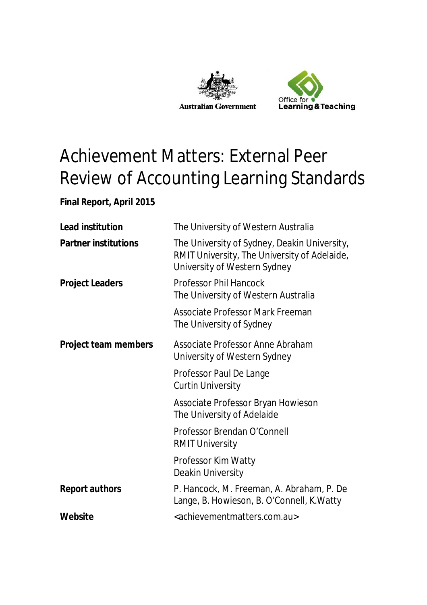



# Achievement Matters: External Peer Review of Accounting Learning Standards

#### **Final Report, April 2015**

| <b>Lead institution</b>     | The University of Western Australia                                                                                          |  |
|-----------------------------|------------------------------------------------------------------------------------------------------------------------------|--|
| <b>Partner institutions</b> | The University of Sydney, Deakin University,<br>RMIT University, The University of Adelaide,<br>University of Western Sydney |  |
| <b>Project Leaders</b>      | <b>Professor Phil Hancock</b><br>The University of Western Australia                                                         |  |
|                             | Associate Professor Mark Freeman<br>The University of Sydney                                                                 |  |
| <b>Project team members</b> | Associate Professor Anne Abraham<br>University of Western Sydney                                                             |  |
|                             | Professor Paul De Lange<br><b>Curtin University</b>                                                                          |  |
|                             | Associate Professor Bryan Howieson<br>The University of Adelaide                                                             |  |
|                             | Professor Brendan O'Connell<br><b>RMIT University</b>                                                                        |  |
|                             | Professor Kim Watty<br>Deakin University                                                                                     |  |
| <b>Report authors</b>       | P. Hancock, M. Freeman, A. Abraham, P. De<br>Lange, B. Howieson, B. O'Connell, K. Watty                                      |  |
| Website                     | <achievementmatters.com.au></achievementmatters.com.au>                                                                      |  |
|                             |                                                                                                                              |  |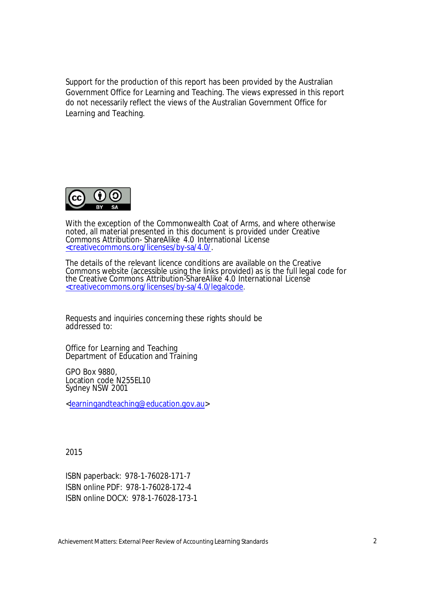Support for the production of this report has been provided by the Australian Government Office for Learning and Teaching. The views expressed in this report do not necessarily reflect the views of the Australian Government Office for Learning and Teaching.



With the exception of the Commonwealth Coat of Arms, and where otherwise noted, all material presented in this document is provided under Creative Commons Attribution- ShareAlike 4.0 International License <creativecommons.org/licenses/by-sa/4.0/.

The details of the relevant licence conditions are available on the Creative Commons website (accessible using the links provided) as is the full legal code for the Creative Commons Attribution-ShareAlike 4.0 International License <creativecommons.org/licenses/by-sa/4.0/legalcode.

Requests and inquiries concerning these rights should be addressed to:

Office for Learning and Teaching Department of Education and Training

GPO Box 9880, Location code N255EL10 Sydney NSW 2001

<learningandteaching@education.gov.au>

2015

ISBN paperback: 978-1-76028-171-7 ISBN online PDF: 978-1-76028-172-4 ISBN online DOCX: 978-1-76028-173-1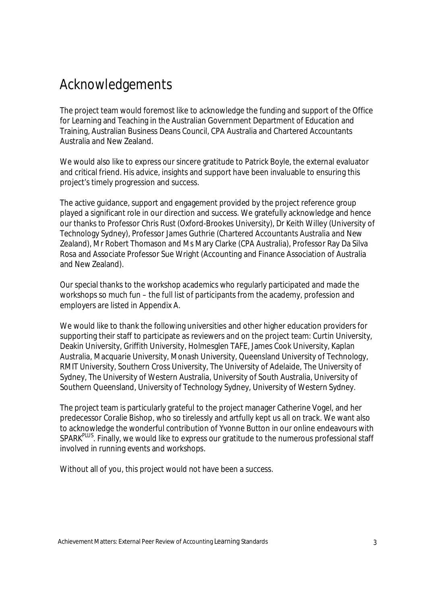## Acknowledgements

The project team would foremost like to acknowledge the funding and support of the Office for Learning and Teaching in the Australian Government Department of Education and Training, Australian Business Deans Council, CPA Australia and Chartered Accountants Australia and New Zealand.

We would also like to express our sincere gratitude to Patrick Boyle, the external evaluator and critical friend. His advice, insights and support have been invaluable to ensuring this project's timely progression and success.

The active guidance, support and engagement provided by the project reference group played a significant role in our direction and success. We gratefully acknowledge and hence our thanks to Professor Chris Rust (Oxford-Brookes University), Dr Keith Willey (University of Technology Sydney), Professor James Guthrie (Chartered Accountants Australia and New Zealand), Mr Robert Thomason and Ms Mary Clarke (CPA Australia), Professor Ray Da Silva Rosa and Associate Professor Sue Wright (Accounting and Finance Association of Australia and New Zealand).

Our special thanks to the workshop academics who regularly participated and made the workshops so much fun – the full list of participants from the academy, profession and employers are listed in Appendix A.

We would like to thank the following universities and other higher education providers for supporting their staff to participate as reviewers and on the project team: Curtin University, Deakin University, Griffith University, Holmesglen TAFE, James Cook University, Kaplan Australia, Macquarie University, Monash University, Queensland University of Technology, RMIT University, Southern Cross University, The University of Adelaide, The University of Sydney, The University of Western Australia, University of South Australia, University of Southern Queensland, University of Technology Sydney, University of Western Sydney.

The project team is particularly grateful to the project manager Catherine Vogel, and her predecessor Coralie Bishop, who so tirelessly and artfully kept us all on track. We want also to acknowledge the wonderful contribution of Yvonne Button in our online endeavours with SPARK<sup>PLUS</sup>. Finally, we would like to express our gratitude to the numerous professional staff involved in running events and workshops.

Without all of you, this project would not have been a success.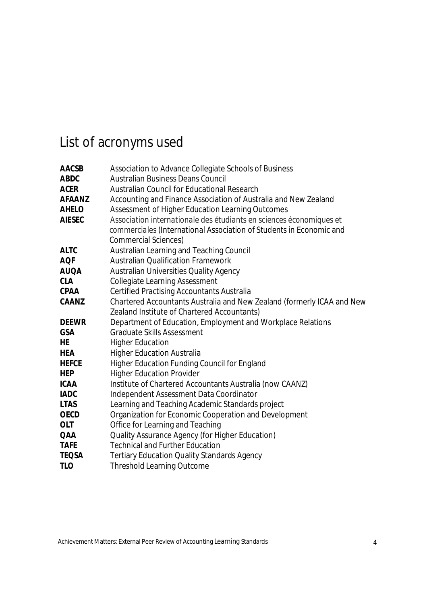# List of acronyms used

| <b>AACSB</b>  | Association to Advance Collegiate Schools of Business                  |  |  |  |  |
|---------------|------------------------------------------------------------------------|--|--|--|--|
| <b>ABDC</b>   | <b>Australian Business Deans Council</b>                               |  |  |  |  |
| <b>ACER</b>   | <b>Australian Council for Educational Research</b>                     |  |  |  |  |
| <b>AFAANZ</b> | Accounting and Finance Association of Australia and New Zealand        |  |  |  |  |
| <b>AHELO</b>  | Assessment of Higher Education Learning Outcomes                       |  |  |  |  |
| <b>AIESEC</b> | Association internationale des étudiants en sciences économiques et    |  |  |  |  |
|               | commerciales (International Association of Students in Economic and    |  |  |  |  |
|               | <b>Commercial Sciences)</b>                                            |  |  |  |  |
| <b>ALTC</b>   | Australian Learning and Teaching Council                               |  |  |  |  |
| <b>AQF</b>    | <b>Australian Qualification Framework</b>                              |  |  |  |  |
| <b>AUQA</b>   | <b>Australian Universities Quality Agency</b>                          |  |  |  |  |
| <b>CLA</b>    | <b>Collegiate Learning Assessment</b>                                  |  |  |  |  |
| <b>CPAA</b>   | <b>Certified Practising Accountants Australia</b>                      |  |  |  |  |
| <b>CAANZ</b>  | Chartered Accountants Australia and New Zealand (formerly ICAA and New |  |  |  |  |
|               | Zealand Institute of Chartered Accountants)                            |  |  |  |  |
| <b>DEEWR</b>  | Department of Education, Employment and Workplace Relations            |  |  |  |  |
| <b>GSA</b>    | <b>Graduate Skills Assessment</b>                                      |  |  |  |  |
| <b>HE</b>     | <b>Higher Education</b>                                                |  |  |  |  |
| <b>HEA</b>    | <b>Higher Education Australia</b>                                      |  |  |  |  |
| <b>HEFCE</b>  | <b>Higher Education Funding Council for England</b>                    |  |  |  |  |
| <b>HEP</b>    | <b>Higher Education Provider</b>                                       |  |  |  |  |
| <b>ICAA</b>   | Institute of Chartered Accountants Australia (now CAANZ)               |  |  |  |  |
| <b>IADC</b>   | Independent Assessment Data Coordinator                                |  |  |  |  |
| <b>LTAS</b>   | Learning and Teaching Academic Standards project                       |  |  |  |  |
| <b>OECD</b>   | Organization for Economic Cooperation and Development                  |  |  |  |  |
| <b>OLT</b>    | Office for Learning and Teaching                                       |  |  |  |  |
| <b>QAA</b>    | <b>Quality Assurance Agency (for Higher Education)</b>                 |  |  |  |  |
| <b>TAFE</b>   | <b>Technical and Further Education</b>                                 |  |  |  |  |
| <b>TEQSA</b>  | <b>Tertiary Education Quality Standards Agency</b>                     |  |  |  |  |
| <b>TLO</b>    | <b>Threshold Learning Outcome</b>                                      |  |  |  |  |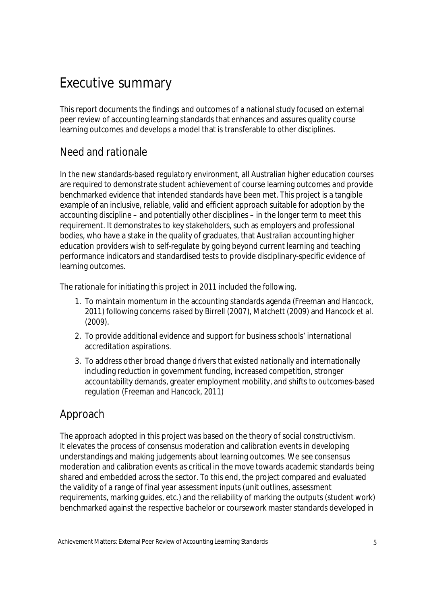## Executive summary

This report documents the findings and outcomes of a national study focused on external peer review of accounting learning standards that enhances and assures quality course learning outcomes and develops a model that is transferable to other disciplines.

## Need and rationale

In the new standards-based regulatory environment, all Australian higher education courses are required to demonstrate student achievement of course learning outcomes and provide benchmarked evidence that intended standards have been met. This project is a tangible example of an inclusive, reliable, valid and efficient approach suitable for adoption by the accounting discipline – and potentially other disciplines – in the longer term to meet this requirement. It demonstrates to key stakeholders, such as employers and professional bodies, who have a stake in the quality of graduates, that Australian accounting higher education providers wish to self-regulate by going beyond current learning and teaching performance indicators and standardised tests to provide disciplinary-specific evidence of learning outcomes.

The rationale for initiating this project in 2011 included the following.

- 1. To maintain momentum in the accounting standards agenda (Freeman and Hancock, 2011) following concerns raised by Birrell (2007), Matchett (2009) and Hancock et al. (2009).
- 2. To provide additional evidence and support for business schools' international accreditation aspirations.
- 3. To address other broad change drivers that existed nationally and internationally including reduction in government funding, increased competition, stronger accountability demands, greater employment mobility, and shifts to outcomes-based regulation (Freeman and Hancock, 2011)

### Approach

The approach adopted in this project was based on the theory of social constructivism. It elevates the process of consensus moderation and calibration events in developing understandings and making judgements about learning outcomes. We see consensus moderation and calibration events as critical in the move towards academic standards being shared and embedded across the sector. To this end, the project compared and evaluated the validity of a range of final year assessment inputs (unit outlines, assessment requirements, marking guides, etc.) and the reliability of marking the outputs (student work) benchmarked against the respective bachelor or coursework master standards developed in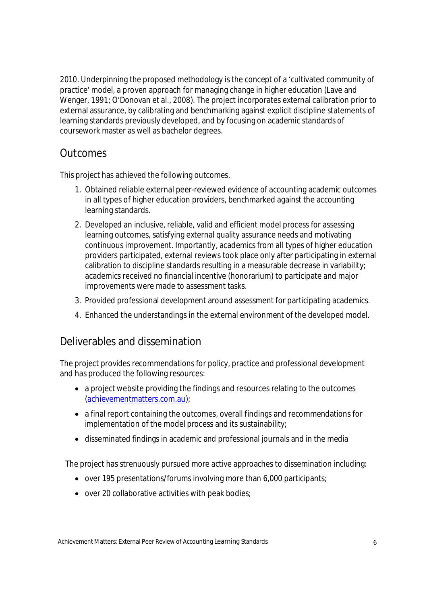2010. Underpinning the proposed methodology is the concept of a 'cultivated community of practice' model, a proven approach for managing change in higher education (Lave and Wenger, 1991; O'Donovan et al., 2008). The project incorporates external calibration prior to external assurance, by calibrating and benchmarking against explicit discipline statements of learning standards previously developed, and by focusing on academic standards of coursework master as well as bachelor degrees.

#### **Outcomes**

This project has achieved the following outcomes.

- 1. Obtained reliable external peer-reviewed evidence of accounting academic outcomes in all types of higher education providers, benchmarked against the accounting learning standards.
- 2. Developed an inclusive, reliable, valid and efficient model process for assessing learning outcomes, satisfying external quality assurance needs and motivating continuous improvement. Importantly, academics from all types of higher education providers participated, external reviews took place only after participating in external calibration to discipline standards resulting in a measurable decrease in variability; academics received no financial incentive (honorarium) to participate and major improvements were made to assessment tasks.
- 3. Provided professional development around assessment for participating academics.
- 4. Enhanced the understandings in the external environment of the developed model.

#### Deliverables and dissemination

The project provides recommendations for policy, practice and professional development and has produced the following resources:

- a project website providing the findings and resources relating to the outcomes (achievementmatters.com.au);
- a final report containing the outcomes, overall findings and recommendations for implementation of the model process and its sustainability;
- disseminated findings in academic and professional journals and in the media

The project has strenuously pursued more active approaches to dissemination including:

- $\bullet$  over 195 presentations/forums involving more than 6,000 participants;
- $\bullet$  over 20 collaborative activities with peak bodies;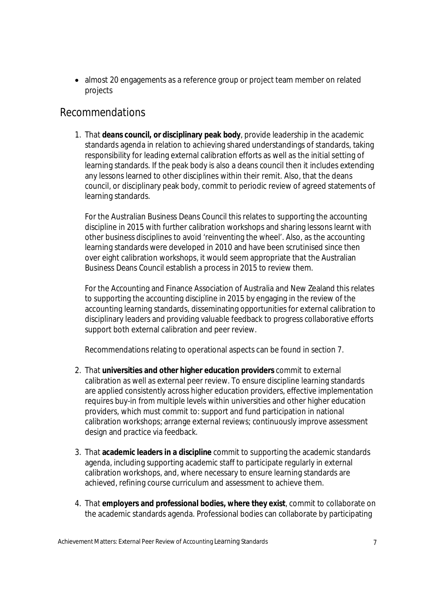• almost 20 engagements as a reference group or project team member on related projects

#### Recommendations

1. That **deans council, or disciplinary peak body**, provide leadership in the academic standards agenda in relation to achieving shared understandings of standards, taking responsibility for leading external calibration efforts as well as the initial setting of learning standards. If the peak body is also a deans council then it includes extending any lessons learned to other disciplines within their remit. Also, that the deans council, or disciplinary peak body, commit to periodic review of agreed statements of learning standards.

For the Australian Business Deans Council this relates to supporting the accounting discipline in 2015 with further calibration workshops and sharing lessons learnt with other business disciplines to avoid 'reinventing the wheel'. Also, as the accounting learning standards were developed in 2010 and have been scrutinised since then over eight calibration workshops, it would seem appropriate that the Australian Business Deans Council establish a process in 2015 to review them.

For the Accounting and Finance Association of Australia and New Zealand this relates to supporting the accounting discipline in 2015 by engaging in the review of the accounting learning standards, disseminating opportunities for external calibration to disciplinary leaders and providing valuable feedback to progress collaborative efforts support both external calibration and peer review.

Recommendations relating to operational aspects can be found in section 7.

- 2. That **universities and other higher education providers** commit to external calibration as well as external peer review. To ensure discipline learning standards are applied consistently across higher education providers, effective implementation requires buy-in from multiple levels within universities and other higher education providers, which must commit to: support and fund participation in national calibration workshops; arrange external reviews; continuously improve assessment design and practice via feedback.
- 3. That **academic leaders in a discipline** commit to supporting the academic standards agenda, including supporting academic staff to participate regularly in external calibration workshops, and, where necessary to ensure learning standards are achieved, refining course curriculum and assessment to achieve them.
- 4. That **employers and professional bodies, where they exist**, commit to collaborate on the academic standards agenda. Professional bodies can collaborate by participating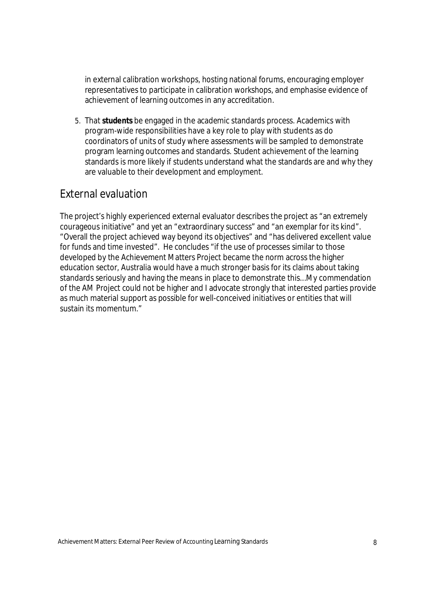in external calibration workshops, hosting national forums, encouraging employer representatives to participate in calibration workshops, and emphasise evidence of achievement of learning outcomes in any accreditation.

5. That **students** be engaged in the academic standards process. Academics with program-wide responsibilities have a key role to play with students as do coordinators of units of study where assessments will be sampled to demonstrate program learning outcomes and standards. Student achievement of the learning standards is more likely if students understand what the standards are and why they are valuable to their development and employment.

#### External evaluation

The project's highly experienced external evaluator describes the project as "an extremely courageous initiative" and yet an "extraordinary success" and "an exemplar for its kind". "Overall the project achieved way beyond its objectives" and "has delivered excellent value for funds and time invested". He concludes "if the use of processes similar to those developed by the Achievement Matters Project became the norm across the higher education sector, Australia would have a much stronger basis for its claims about taking standards seriously and having the means in place to demonstrate this...My commendation of the AM Project could not be higher and I advocate strongly that interested parties provide as much material support as possible for well-conceived initiatives or entities that will sustain its momentum."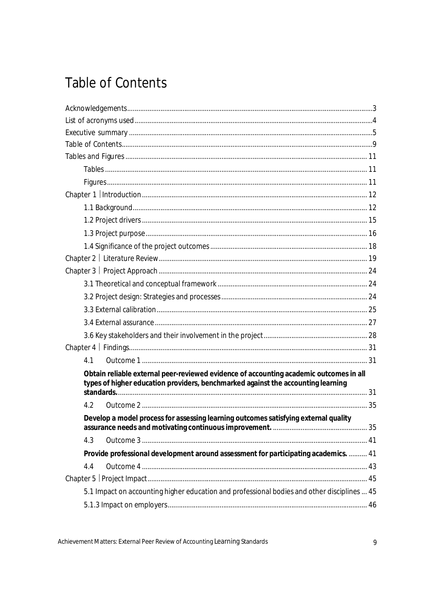# **Table of Contents**

| 4.1                                                                                                                                                                        |  |  |  |  |
|----------------------------------------------------------------------------------------------------------------------------------------------------------------------------|--|--|--|--|
| Obtain reliable external peer-reviewed evidence of accounting academic outcomes in all<br>types of higher education providers, benchmarked against the accounting learning |  |  |  |  |
| 4.2                                                                                                                                                                        |  |  |  |  |
|                                                                                                                                                                            |  |  |  |  |
| Develop a model process for assessing learning outcomes satisfying external quality                                                                                        |  |  |  |  |
| 4.3                                                                                                                                                                        |  |  |  |  |
| Provide professional development around assessment for participating academics.  41                                                                                        |  |  |  |  |
| 4.4                                                                                                                                                                        |  |  |  |  |
|                                                                                                                                                                            |  |  |  |  |
| 5.1 Impact on accounting higher education and professional bodies and other disciplines  45                                                                                |  |  |  |  |
|                                                                                                                                                                            |  |  |  |  |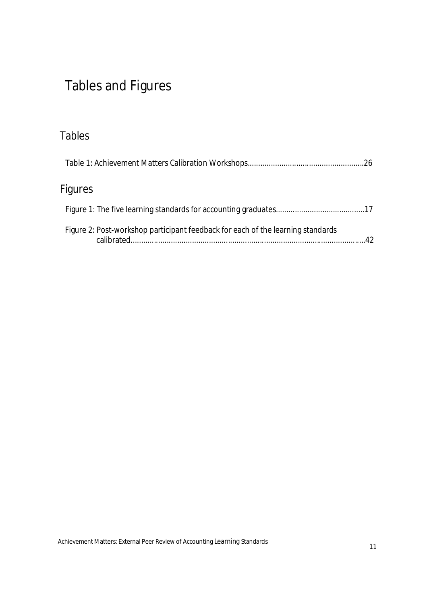# Tables and Figures

## Tables

| Figures                                                                         |    |
|---------------------------------------------------------------------------------|----|
|                                                                                 |    |
| Figure 2: Post-workshop participant feedback for each of the learning standards | 42 |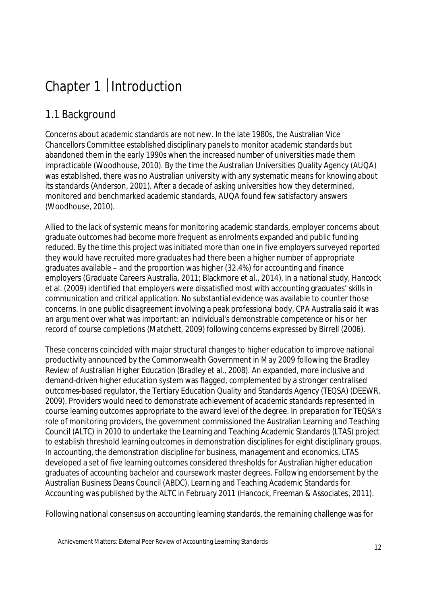# Chapter 1 | Introduction

## 1.1 Background

Concerns about academic standards are not new. In the late 1980s, the Australian Vice Chancellors Committee established disciplinary panels to monitor academic standards but abandoned them in the early 1990s when the increased number of universities made them impracticable (Woodhouse, 2010). By the time the Australian Universities Quality Agency (AUQA) was established, there was no Australian university with any systematic means for knowing about its standards (Anderson, 2001). After a decade of asking universities how they determined, monitored and benchmarked academic standards, AUQA found few satisfactory answers (Woodhouse, 2010).

Allied to the lack of systemic means for monitoring academic standards, employer concerns about graduate outcomes had become more frequent as enrolments expanded and public funding reduced. By the time this project was initiated more than one in five employers surveyed reported they would have recruited more graduates had there been a higher number of appropriate graduates available – and the proportion was higher (32.4%) for accounting and finance employers (Graduate Careers Australia, 2011; Blackmore et al., 2014). In a national study, Hancock et al. (2009) identified that employers were dissatisfied most with accounting graduates' skills in communication and critical application. No substantial evidence was available to counter those concerns. In one public disagreement involving a peak professional body, CPA Australia said it was an argument over what was important: an individual's demonstrable competence or his or her record of course completions (Matchett, 2009) following concerns expressed by Birrell (2006).

These concerns coincided with major structural changes to higher education to improve national productivity announced by the Commonwealth Government in May 2009 following the Bradley *Review of Australian Higher Education* (Bradley et al., 2008). An expanded, more inclusive and demand-driven higher education system was flagged, complemented by a stronger centralised outcomes-based regulator, the Tertiary Education Quality and Standards Agency (TEQSA) (DEEWR, 2009). Providers would need to demonstrate achievement of academic standards represented in course learning outcomes appropriate to the award level of the degree. In preparation for TEQSA's role of monitoring providers, the government commissioned the Australian Learning and Teaching Council (ALTC) in 2010 to undertake the Learning and Teaching Academic Standards (LTAS) project to establish threshold learning outcomes in demonstration disciplines for eight disciplinary groups. In accounting, the demonstration discipline for business, management and economics, LTAS developed a set of five learning outcomes considered thresholds for Australian higher education graduates of accounting bachelor and coursework master degrees. Following endorsement by the Australian Business Deans Council (ABDC), Learning and Teaching Academic Standards for Accounting was published by the ALTC in February 2011 (Hancock, Freeman & Associates, 2011).

Following national consensus on accounting learning standards, the remaining challenge was for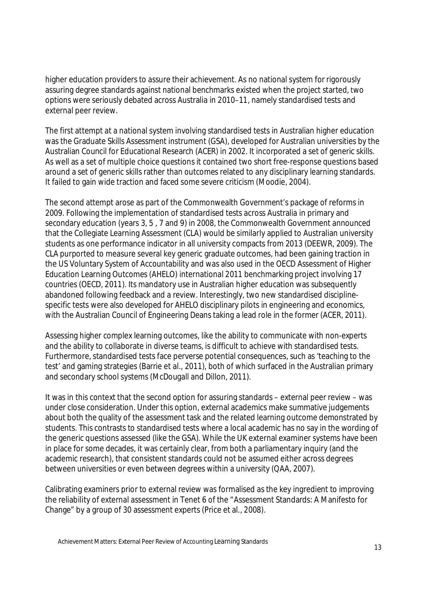higher education providers to assure their achievement. As no national system for rigorously assuring degree standards against national benchmarks existed when the project started, two options were seriously debated across Australia in 2010–11, namely standardised tests and external peer review.

The first attempt at a national system involving standardised tests in Australian higher education was the Graduate Skills Assessment instrument (GSA), developed for Australian universities by the Australian Council for Educational Research (ACER) in 2002. It incorporated a set of generic skills. As well as a set of multiple choice questions it contained two short free-response questions based around a set of generic skills rather than outcomes related to any disciplinary learning standards. It failed to gain wide traction and faced some severe criticism (Moodie, 2004).

The second attempt arose as part of the Commonwealth Government's package of reforms in 2009. Following the implementation of standardised tests across Australia in primary and secondary education (years 3, 5 , 7 and 9) in 2008, the Commonwealth Government announced that the Collegiate Learning Assessment (CLA) would be similarly applied to Australian university students as one performance indicator in all university compacts from 2013 (DEEWR, 2009). The CLA purported to measure several key generic graduate outcomes, had been gaining traction in the US Voluntary System of Accountability and was also used in the OECD Assessment of Higher Education Learning Outcomes (AHELO) international 2011 benchmarking project involving 17 countries (OECD, 2011). Its mandatory use in Australian higher education was subsequently abandoned following feedback and a review. Interestingly, two new standardised disciplinespecific tests were also developed for AHELO disciplinary pilots in engineering and economics, with the Australian Council of Engineering Deans taking a lead role in the former (ACER, 2011).

Assessing higher complex learning outcomes, like the ability to communicate with non-experts and the ability to collaborate in diverse teams, is difficult to achieve with standardised tests. Furthermore, standardised tests face perverse potential consequences, such as 'teaching to the test' and gaming strategies (Barrie et al., 2011), both of which surfaced in the Australian primary and secondary school systems (McDougall and Dillon, 2011).

It was in this context that the second option for assuring standards – external peer review – was under close consideration. Under this option, external academics make summative judgements about both the quality of the assessment task and the related learning outcome demonstrated by students. This contrasts to standardised tests where a local academic has no say in the wording of the generic questions assessed (like the GSA). While the UK external examiner systems have been in place for some decades, it was certainly clear, from both a parliamentary inquiry (and the academic research), that consistent standards could not be assumed either across degrees between universities or even between degrees within a university (QAA, 2007).

Calibrating examiners prior to external review was formalised as the key ingredient to improving the reliability of external assessment in Tenet 6 of the "Assessment Standards: A Manifesto for Change" by a group of 30 assessment experts (Price et al., 2008).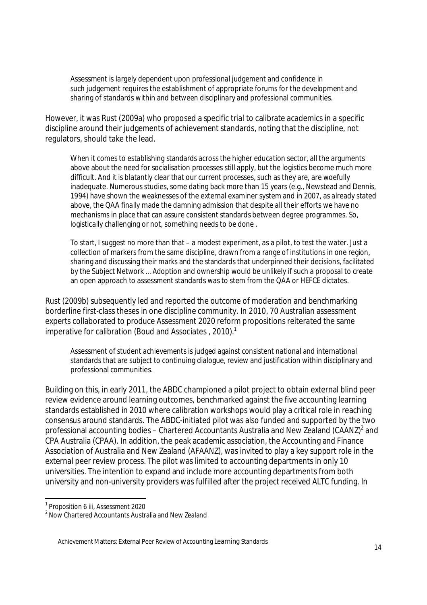Assessment is largely dependent upon professional judgement and confidence in such judgement requires the establishment of appropriate forums for the development and sharing of standards within and between disciplinary and professional communities.

However, it was Rust (2009a) who proposed a specific trial to calibrate academics in a specific discipline around their judgements of achievement standards, noting that the discipline, not regulators, should take the lead.

When it comes to establishing standards across the higher education sector, all the arguments above about the need for socialisation processes still apply, but the logistics become much more difficult. And it is blatantly clear that our current processes, such as they are, are woefully inadequate. Numerous studies, some dating back more than 15 years (e.g., Newstead and Dennis, 1994) have shown the weaknesses of the external examiner system and in 2007, as already stated above, the QAA finally made the damning admission that despite all their efforts we have no mechanisms in place that can assure consistent standards between degree programmes. So, logistically challenging or not, something needs to be done .

To start, I suggest no more than that – a modest experiment, as a pilot, to test the water. Just a collection of markers from the same discipline, drawn from a range of institutions in one region, sharing and discussing their marks and the standards that underpinned their decisions, facilitated by the Subject Network … Adoption and ownership would be unlikely if such a proposal to create an open approach to assessment standards was to stem from the QAA or HEFCE dictates.

Rust (2009b) subsequently led and reported the outcome of moderation and benchmarking borderline first-class theses in one discipline community. In 2010, 70 Australian assessment experts collaborated to produce *Assessment 2020* reform propositions reiterated the same imperative for calibration (Boud and Associates , 2010). 1

Assessment of student achievements is judged against consistent national and international standards that are subject to continuing dialogue, review and justification within disciplinary and professional communities.

Building on this, in early 2011, the ABDC championed a pilot project to obtain external blind peer review evidence around learning outcomes, benchmarked against the five accounting learning standards established in 2010 where calibration workshops would play a critical role in reaching consensus around standards. The ABDC-initiated pilot was also funded and supported by the two professional accounting bodies – Chartered Accountants Australia and New Zealand (CAANZ) $^2$  and CPA Australia (CPAA). In addition, the peak academic association, the Accounting and Finance Association of Australia and New Zealand (AFAANZ), was invited to play a key support role in the external peer review process. The pilot was limited to accounting departments in only 10 universities. The intention to expand and include more accounting departments from both university and non-university providers was fulfilled after the project received ALTC funding. In

 $\overline{\phantom{a}}$ 

<sup>1</sup> Proposition 6 iii, *Assessment 2020*

 $2$  Now Chartered Accountants Australia and New Zealand

Achievement Matters: External Peer Review of Accounting Learning Standards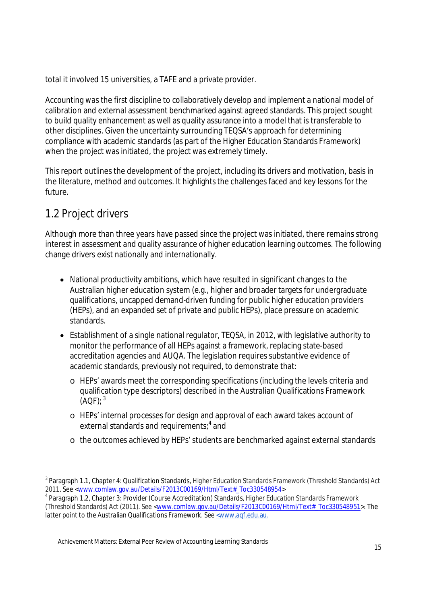total it involved 15 universities, a TAFE and a private provider.

Accounting was the first discipline to collaboratively develop and implement a national model of calibration and external assessment benchmarked against agreed standards. This project sought to build quality enhancement as well as quality assurance into a model that is transferable to other disciplines. Given the uncertainty surrounding TEQSA's approach for determining compliance with academic standards (as part of the Higher Education Standards Framework) when the project was initiated, the project was extremely timely.

This report outlines the development of the project, including its drivers and motivation, basis in the literature, method and outcomes. It highlights the challenges faced and key lessons for the future.

## 1.2 Project drivers

Although more than three years have passed since the project was initiated, there remains strong interest in assessment and quality assurance of higher education learning outcomes. The following change drivers exist nationally and internationally.

- National productivity ambitions, which have resulted in significant changes to the Australian higher education system (e.g., higher and broader targets for undergraduate qualifications, uncapped demand-driven funding for public higher education providers (HEPs), and an expanded set of private and public HEPs), place pressure on academic standards.
- Establishment of a single national regulator, TEQSA, in 2012, with legislative authority to monitor the performance of all HEPs against a framework, replacing state-based accreditation agencies and AUQA. The legislation requires substantive evidence of academic standards, previously not required, to demonstrate that:
	- o HEPs' awards meet the corresponding specifications (including the levels criteria and qualification type descriptors) described in the Australian Qualifications Framework  $(AOF);$ <sup>3</sup>
	- o HEPs' internal processes for design and approval of each award takes account of external standards and requirements; $^4$  and
	- o the outcomes achieved by HEPs' students are benchmarked against external standards

 3 Paragraph 1.1, Chapter 4: Qualification Standards, *Higher Education Standards Framework (Threshold Standards) Act 2011*. See <www.comlaw.gov.au/Details/F2013C00169/Html/Text#\_Toc330548954>

<sup>4</sup> Paragraph 1.2, Chapter 3: Provider (Course Accreditation) Standards, *Higher Education Standards Framework (Threshold Standards) Act (2011)*. See <www.comlaw.gov.au/Details/F2013C00169/Html/Text#\_Toc330548951>. The latter point to the Australian Qualifications Framework. See <www.aqf.edu.au.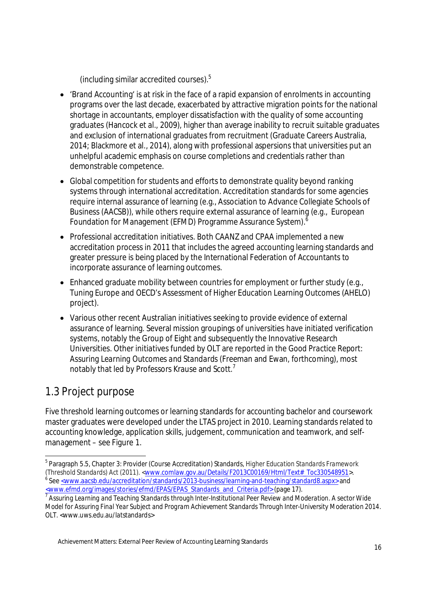(including similar accredited courses).<sup>5</sup>

- 'Brand Accounting' is at risk in the face of a rapid expansion of enrolments in accounting programs over the last decade, exacerbated by attractive migration points for the national shortage in accountants, employer dissatisfaction with the quality of some accounting graduates (Hancock et al., 2009), higher than average inability to recruit suitable graduates and exclusion of international graduates from recruitment (Graduate Careers Australia, 2014; Blackmore et al., 2014), along with professional aspersions that universities put an unhelpful academic emphasis on course completions and credentials rather than demonstrable competence.
- Global competition for students and efforts to demonstrate quality beyond ranking systems through international accreditation. Accreditation standards for some agencies require internal assurance of learning (e.g., Association to Advance Collegiate Schools of Business (AACSB)), while others require external assurance of learning (e.g., European Foundation for Management (EFMD) Programme Assurance System).
- Professional accreditation initiatives. Both CAANZ and CPAA implemented a new accreditation process in 2011 that includes the agreed accounting learning standards and greater pressure is being placed by the International Federation of Accountants to incorporate assurance of learning outcomes.
- Enhanced graduate mobility between countries for employment or further study (e.g., Tuning Europe and OECD's Assessment of Higher Education Learning Outcomes (AHELO) project).
- Various other recent Australian initiatives seeking to provide evidence of external assurance of learning. Several mission groupings of universities have initiated verification systems, notably the Group of Eight and subsequently the Innovative Research Universities. Other initiatives funded by OLT are reported in the *Good Practice Report: Assuring Learning Outcomes and Standards* (Freeman and Ewan, forthcoming), most notably that led by Professors Krause and Scott.<sup>7</sup>

## 1.3 Project purpose

 $\overline{a}$ 

Five threshold learning outcomes or learning standards for accounting bachelor and coursework master graduates were developed under the LTAS project in 2010. Learning standards related to accounting knowledge, application skills, judgement, communication and teamwork, and selfmanagement – see Figure 1.

<sup>5</sup> Paragraph 5.5, Chapter 3: Provider (Course Accreditation) Standards, *Higher Education Standards Framework*  (Threshold Standards) Act (2011). <<u>www.comlaw.gov.au/Details/F2013C00169/Html/Text#\_Toc330548951</u>>.<br><sup>6</sup> See <u><www.aacsb.edu/accreditation/standards/2013-business/learning-and-teaching/standard8.aspx></u> and <www.efmd.org/images/stories/efmd/EPAS/EPAS\_Standards\_and\_Criteria.pdf> (page 17).

<sup>7</sup> *Assuring Learning and Teaching Standards through Inter-Institutional Peer Review and Moderation. A sector Wide Model for Assuring Final Year Subject and Program Achievement Standards Through Inter-University Moderation 2014*. OLT. <www.uws.edu.au/latstandards>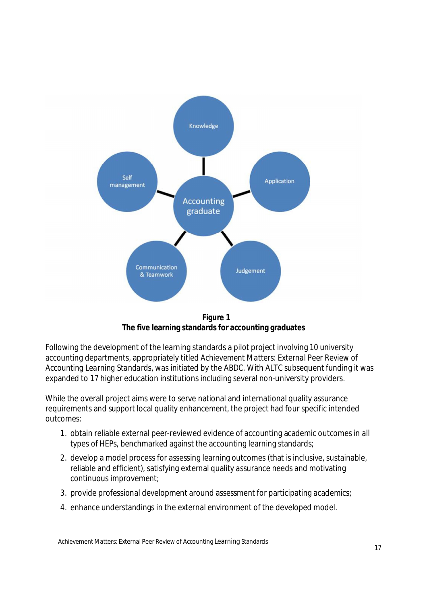

**Figure 1 The five learning standards for accounting graduates**

Following the development of the learning standards a pilot project involving 10 university accounting departments, appropriately titled *Achievement Matters: External Peer Review of Accounting Learning Standards,* was initiated by the ABDC. With ALTC subsequent funding it was expanded to 17 higher education institutions including several non-university providers.

While the overall project aims were to serve national and international quality assurance requirements and support local quality enhancement, the project had four specific intended outcomes:

- 1. obtain reliable external peer-reviewed evidence of accounting academic outcomes in all types of HEPs, benchmarked against the accounting learning standards;
- 2. develop a model process for assessing learning outcomes (that is inclusive, sustainable, reliable and efficient), satisfying external quality assurance needs and motivating continuous improvement;
- 3. provide professional development around assessment for participating academics;
- 4. enhance understandings in the external environment of the developed model.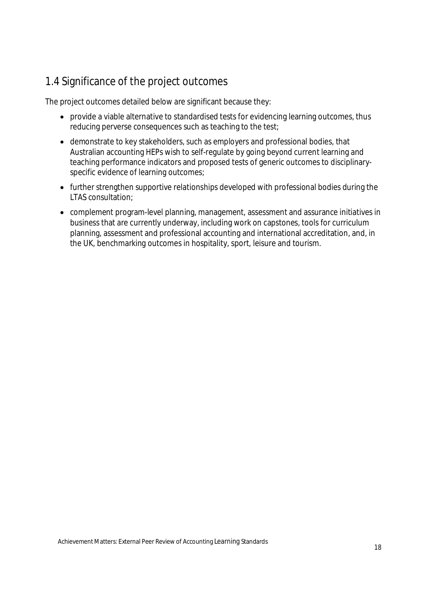## 1.4 Significance of the project outcomes

The project outcomes detailed below are significant because they:

- provide a viable alternative to standardised tests for evidencing learning outcomes, thus reducing perverse consequences such as teaching to the test;
- demonstrate to key stakeholders, such as employers and professional bodies, that Australian accounting HEPs wish to self-regulate by going beyond current learning and teaching performance indicators and proposed tests of generic outcomes to disciplinaryspecific evidence of learning outcomes;
- further strengthen supportive relationships developed with professional bodies during the LTAS consultation;
- complement program-level planning, management, assessment and assurance initiatives in business that are currently underway, including work on capstones, tools for curriculum planning, assessment and professional accounting and international accreditation, and, in the UK, benchmarking outcomes in hospitality, sport, leisure and tourism.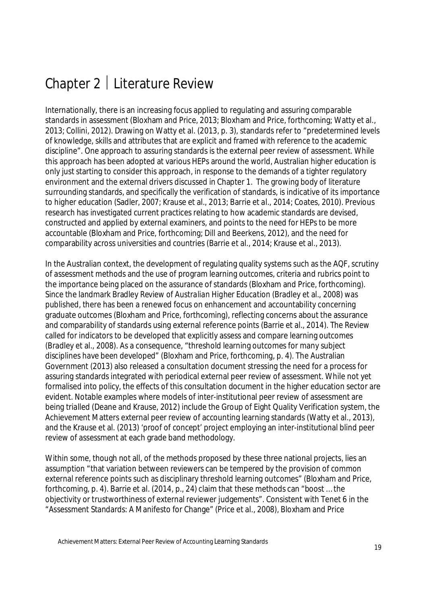# Chapter 2 | Literature Review

Internationally, there is an increasing focus applied to regulating and assuring comparable standards in assessment (Bloxham and Price, 2013; Bloxham and Price, forthcoming; Watty et al., 2013; Collini, 2012). Drawing on Watty et al. (2013, p. 3), standards refer to "predetermined levels of knowledge, skills and attributes that are explicit and framed with reference to the academic discipline". One approach to assuring standards is the external peer review of assessment. While this approach has been adopted at various HEPs around the world, Australian higher education is only just starting to consider this approach, in response to the demands of a tighter regulatory environment and the external drivers discussed in Chapter 1. The growing body of literature surrounding standards, and specifically the verification of standards, is indicative of its importance to higher education (Sadler, 2007; Krause et al., 2013; Barrie et al., 2014; Coates, 2010). Previous research has investigated current practices relating to how academic standards are devised, constructed and applied by external examiners, and points to the need for HEPs to be more accountable (Bloxham and Price, forthcoming; Dill and Beerkens, 2012), and the need for comparability across universities and countries (Barrie et al., 2014; Krause et al., 2013).

In the Australian context, the development of regulating quality systems such as the AQF, scrutiny of assessment methods and the use of program learning outcomes, criteria and rubrics point to the importance being placed on the assurance of standards (Bloxham and Price, forthcoming). Since the landmark Bradley *Review of Australian Higher Education* (Bradley et al., 2008) was published, there has been a renewed focus on enhancement and accountability concerning graduate outcomes (Bloxham and Price, forthcoming), reflecting concerns about the assurance and comparability of standards using external reference points (Barrie et al., 2014). The Review called for indicators to be developed that explicitly assess and compare learning outcomes (Bradley et al., 2008). As a consequence, "threshold learning outcomes for many subject disciplines have been developed" (Bloxham and Price, forthcoming, p. 4). The Australian Government (2013) also released a consultation document stressing the need for a process for assuring standards integrated with periodical external peer review of assessment. While not yet formalised into policy, the effects of this consultation document in the higher education sector are evident. Notable examples where models of inter-institutional peer review of assessment are being trialled (Deane and Krause, 2012) include the Group of Eight Quality Verification system, the Achievement Matters external peer review of accounting learning standards (Watty et al., 2013), and the Krause et al. (2013) 'proof of concept' project employing an inter-institutional blind peer review of assessment at each grade band methodology.

Within some, though not all, of the methods proposed by these three national projects, lies an assumption "that variation between reviewers can be tempered by the provision of common external reference points such as disciplinary threshold learning outcomes" (Bloxham and Price, forthcoming, p. 4). Barrie et al. (2014, p., 24) claim that these methods can "boost … the objectivity or trustworthiness of external reviewer judgements". Consistent with Tenet 6 in the "Assessment Standards: A Manifesto for Change" (Price et al., 2008), Bloxham and Price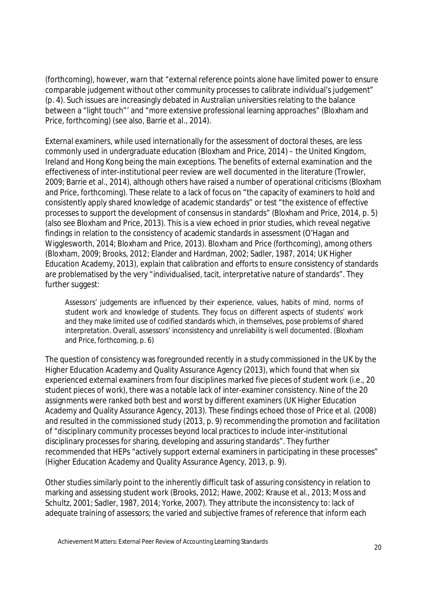(forthcoming), however, warn that "external reference points alone have limited power to ensure comparable judgement without other community processes to calibrate individual's judgement" (p. 4). Such issues are increasingly debated in Australian universities relating to the balance between a "light touch"' and "more extensive professional learning approaches" (Bloxham and Price, forthcoming) (see also, Barrie et al., 2014).

External examiners, while used internationally for the assessment of doctoral theses, are less commonly used in undergraduate education (Bloxham and Price, 2014) – the United Kingdom, Ireland and Hong Kong being the main exceptions. The benefits of external examination and the effectiveness of inter-institutional peer review are well documented in the literature (Trowler, 2009; Barrie et al., 2014), although others have raised a number of operational criticisms (Bloxham and Price, forthcoming). These relate to a lack of focus on "the capacity of examiners to hold and consistently apply shared knowledge of academic standards" or test "the existence of effective processes to support the development of consensus in standards" (Bloxham and Price, 2014, p. 5) (also see Bloxham and Price, 2013). This is a view echoed in prior studies, which reveal negative findings in relation to the consistency of academic standards in assessment (O'Hagan and Wigglesworth, 2014; Bloxham and Price, 2013). Bloxham and Price (forthcoming), among others (Bloxham, 2009; Brooks, 2012; Elander and Hardman, 2002; Sadler, 1987, 2014; UK Higher Education Academy, 2013), explain that calibration and efforts to ensure consistency of standards are problematised by the very "individualised, tacit, interpretative nature of standards". They further suggest:

Assessors' judgements are influenced by their experience, values, habits of mind, norms of student work and knowledge of students. They focus on different aspects of students' work and they make limited use of codified standards which, in themselves, pose problems of shared interpretation. Overall, assessors' inconsistency and unreliability is well documented. (Bloxham and Price, forthcoming, p. 6)

The question of consistency was foregrounded recently in a study commissioned in the UK by the Higher Education Academy and Quality Assurance Agency (2013), which found that when six experienced external examiners from four disciplines marked five pieces of student work (i.e., 20 student pieces of work), there was a notable lack of inter-examiner consistency. Nine of the 20 assignments were ranked both best and worst by different examiners (UK Higher Education Academy and Quality Assurance Agency, 2013). These findings echoed those of Price et al. (2008) and resulted in the commissioned study (2013, p. 9) recommending the promotion and facilitation of "disciplinary community processes beyond local practices to include inter-institutional disciplinary processes for sharing, developing and assuring standards". They further recommended that HEPs "actively support external examiners in participating in these processes" (Higher Education Academy and Quality Assurance Agency, 2013, p. 9).

Other studies similarly point to the inherently difficult task of assuring consistency in relation to marking and assessing student work (Brooks, 2012; Hawe, 2002; Krause et al., 2013; Moss and Schultz, 2001; Sadler, 1987, 2014; Yorke, 2007). They attribute the inconsistency to: lack of adequate training of assessors; the varied and subjective frames of reference that inform each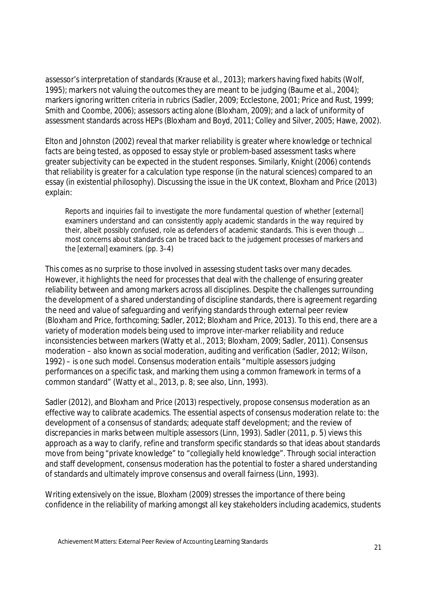assessor's interpretation of standards (Krause et al., 2013); markers having fixed habits (Wolf, 1995); markers not valuing the outcomes they are meant to be judging (Baume et al., 2004); markers ignoring written criteria in rubrics (Sadler, 2009; Ecclestone, 2001; Price and Rust, 1999; Smith and Coombe, 2006); assessors acting alone (Bloxham, 2009); and a lack of uniformity of assessment standards across HEPs (Bloxham and Boyd, 2011; Colley and Silver, 2005; Hawe, 2002).

Elton and Johnston (2002) reveal that marker reliability is greater where knowledge or technical facts are being tested, as opposed to essay style or problem-based assessment tasks where greater subjectivity can be expected in the student responses. Similarly, Knight (2006) contends that reliability is greater for a calculation type response (in the natural sciences) compared to an essay (in existential philosophy). Discussing the issue in the UK context, Bloxham and Price (2013) explain:

Reports and inquiries fail to investigate the more fundamental question of whether [external] examiners understand and can consistently apply academic standards in the way required by their, albeit possibly confused, role as defenders of academic standards. This is even though … most concerns about standards can be traced back to the judgement processes of markers and the [external] examiners. (pp. 3–4)

This comes as no surprise to those involved in assessing student tasks over many decades. However, it highlights the need for processes that deal with the challenge of ensuring greater reliability between and among markers across all disciplines. Despite the challenges surrounding the development of a shared understanding of discipline standards, there is agreement regarding the need and value of safeguarding and verifying standards through external peer review (Bloxham and Price, forthcoming; Sadler, 2012; Bloxham and Price, 2013). To this end, there are a variety of moderation models being used to improve inter-marker reliability and reduce inconsistencies between markers (Watty et al., 2013; Bloxham, 2009; Sadler, 2011). Consensus moderation – also known as social moderation, auditing and verification (Sadler, 2012; Wilson, 1992) – is one such model. Consensus moderation entails "multiple assessors judging performances on a specific task, and marking them using a common framework in terms of a common standard" (Watty et al., 2013, p. 8; see also, Linn, 1993).

Sadler (2012), and Bloxham and Price (2013) respectively, propose consensus moderation as an effective way to calibrate academics. The essential aspects of consensus moderation relate to: the development of a consensus of standards; adequate staff development; and the review of discrepancies in marks between multiple assessors (Linn, 1993). Sadler (2011, p. 5) views this approach as a way to clarify, refine and transform specific standards so that ideas about standards move from being "private knowledge" to "collegially held knowledge". Through social interaction and staff development, consensus moderation has the potential to foster a shared understanding of standards and ultimately improve consensus and overall fairness (Linn, 1993).

Writing extensively on the issue, Bloxham (2009) stresses the importance of there being confidence in the reliability of marking amongst all key stakeholders including academics, students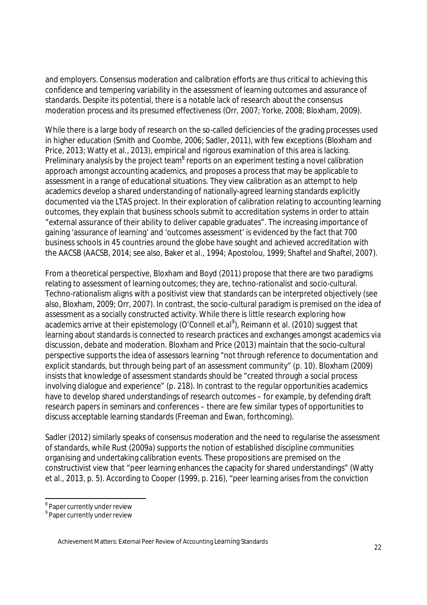and employers. Consensus moderation and calibration efforts are thus critical to achieving this confidence and tempering variability in the assessment of learning outcomes and assurance of standards. Despite its potential, there is a notable lack of research about the consensus moderation process and its presumed effectiveness (Orr, 2007; Yorke, 2008; Bloxham, 2009).

While there is a large body of research on the so-called deficiencies of the grading processes used in higher education (Smith and Coombe, 2006; Sadler, 2011), with few exceptions (Bloxham and Price, 2013; Watty et al., 2013), empirical and rigorous examination of this area is lacking. Preliminary analysis by the project team<sup>8</sup> reports on an experiment testing a novel calibration approach amongst accounting academics, and proposes a process that may be applicable to assessment in a range of educational situations. They view calibration as an attempt to help academics develop a shared understanding of nationally-agreed learning standards explicitly documented via the LTAS project. In their exploration of calibration relating to accounting learning outcomes, they explain that business schools submit to accreditation systems in order to attain "external assurance of their ability to deliver capable graduates". The increasing importance of gaining 'assurance of learning' and 'outcomes assessment' is evidenced by the fact that 700 business schools in 45 countries around the globe have sought and achieved accreditation with the AACSB (AACSB, 2014; see also, Baker et al., 1994; Apostolou, 1999; Shaftel and Shaftel, 2007).

From a theoretical perspective, Bloxham and Boyd (2011) propose that there are two paradigms relating to assessment of learning outcomes; they are, techno-rationalist and socio-cultural. Techno-rationalism aligns with a positivist view that standards can be interpreted objectively (see also, Bloxham, 2009; Orr, 2007). In contrast, the socio-cultural paradigm is premised on the idea of assessment as a socially constructed activity. While there is little research exploring how academics arrive at their epistemology (O'Connell et.al $^9$ ), Reimann et al. (2010) suggest that learning about standards is connected to research practices and exchanges amongst academics via discussion, debate and moderation. Bloxham and Price (2013) maintain that the socio-cultural perspective supports the idea of assessors learning "not through reference to documentation and explicit standards, but through being part of an assessment community" (p. 10). Bloxham (2009) insists that knowledge of assessment standards should be "created through a social process involving dialogue and experience" (p. 218). In contrast to the regular opportunities academics have to develop shared understandings of research outcomes – for example, by defending draft research papers in seminars and conferences – there are few similar types of opportunities to discuss acceptable learning standards (Freeman and Ewan, forthcoming).

Sadler (2012) similarly speaks of consensus moderation and the need to regularise the assessment of standards, while Rust (2009a) supports the notion of established discipline communities organising and undertaking calibration events. These propositions are premised on the constructivist view that "peer learning enhances the capacity for shared understandings" (Watty et al., 2013, p. 5). According to Cooper (1999, p. 216), "peer learning arises from the conviction

 $\overline{\phantom{a}}$ <sup>8</sup> Paper currently under review

<sup>&</sup>lt;sup>9</sup> Paper currently under review

Achievement Matters: External Peer Review of Accounting Learning Standards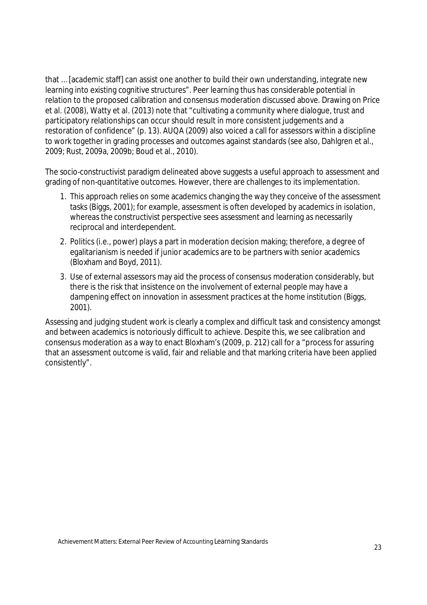that … [academic staff] can assist one another to build their own understanding, integrate new learning into existing cognitive structures". Peer learning thus has considerable potential in relation to the proposed calibration and consensus moderation discussed above. Drawing on Price et al. (2008), Watty et al. (2013) note that "cultivating a community where dialogue, trust and participatory relationships can occur should result in more consistent judgements and a restoration of confidence" (p. 13). AUQA (2009) also voiced a call for assessors within a discipline to work together in grading processes and outcomes against standards (see also, Dahlgren et al., 2009; Rust, 2009a, 2009b; Boud et al., 2010).

The socio-constructivist paradigm delineated above suggests a useful approach to assessment and grading of non-quantitative outcomes. However, there are challenges to its implementation.

- 1. This approach relies on some academics changing the way they conceive of the assessment tasks (Biggs, 2001); for example, assessment is often developed by academics in isolation, whereas the constructivist perspective sees assessment and learning as necessarily reciprocal and interdependent.
- 2. Politics (i.e., power) plays a part in moderation decision making; therefore, a degree of egalitarianism is needed if junior academics are to be partners with senior academics (Bloxham and Boyd, 2011).
- 3. Use of external assessors may aid the process of consensus moderation considerably, but there is the risk that insistence on the involvement of external people may have a dampening effect on innovation in assessment practices at the home institution (Biggs, 2001).

Assessing and judging student work is clearly a complex and difficult task and consistency amongst and between academics is notoriously difficult to achieve. Despite this, we see calibration and consensus moderation as a way to enact Bloxham's (2009, p. 212) call for a "process for assuring that an assessment outcome is valid, fair and reliable and that marking criteria have been applied consistently".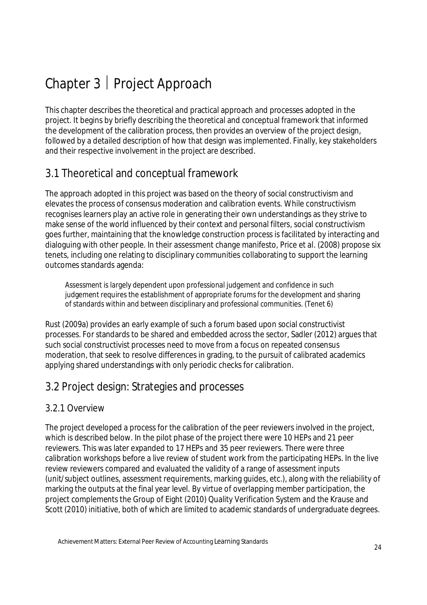# Chapter 3 | Project Approach

This chapter describes the theoretical and practical approach and processes adopted in the project. It begins by briefly describing the theoretical and conceptual framework that informed the development of the calibration process, then provides an overview of the project design, followed by a detailed description of how that design was implemented. Finally, key stakeholders and their respective involvement in the project are described.

## 3.1 Theoretical and conceptual framework

The approach adopted in this project was based on the theory of social constructivism and elevates the process of consensus moderation and calibration events. While constructivism recognises learners play an active role in generating their own understandings as they strive to make sense of the world influenced by their context and personal filters, social constructivism goes further, maintaining that the knowledge construction process is facilitated by interacting and dialoguing with other people. In their assessment change manifesto, Price et al. (2008) propose six tenets, including one relating to disciplinary communities collaborating to support the learning outcomes standards agenda:

Assessment is largely dependent upon professional judgement and confidence in such judgement requires the establishment of appropriate forums for the development and sharing of standards within and between disciplinary and professional communities. (Tenet 6)

Rust (2009a) provides an early example of such a forum based upon social constructivist processes. For standards to be shared and embedded across the sector, Sadler (2012) argues that such social constructivist processes need to move from a focus on repeated consensus moderation, that seek to resolve differences in grading, to the pursuit of calibrated academics applying shared understandings with only periodic checks for calibration.

## 3.2 Project design: Strategies and processes

#### 3.2.1 Overview

The project developed a process for the calibration of the peer reviewers involved in the project, which is described below. In the pilot phase of the project there were 10 HEPs and 21 peer reviewers. This was later expanded to 17 HEPs and 35 peer reviewers. There were three calibration workshops before a live review of student work from the participating HEPs. In the live review reviewers compared and evaluated the validity of a range of assessment inputs (unit/subject outlines, assessment requirements, marking guides, etc.), along with the reliability of marking the outputs at the final year level. By virtue of overlapping member participation, the project complements the Group of Eight (2010) Quality Verification System and the Krause and Scott (2010) initiative, both of which are limited to academic standards of undergraduate degrees.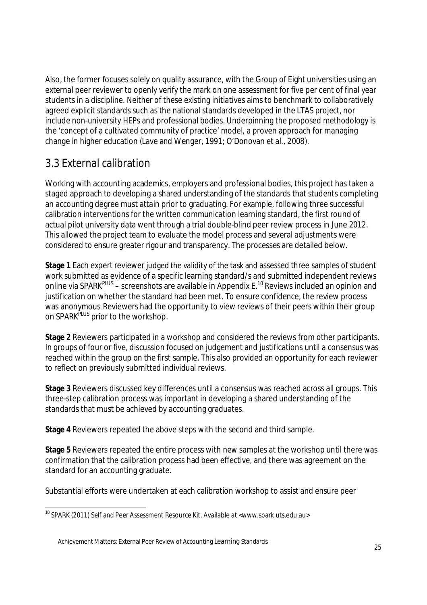Also, the former focuses solely on quality assurance, with the Group of Eight universities using an external peer reviewer to openly verify the mark on one assessment for five per cent of final year students in a discipline. Neither of these existing initiatives aims to benchmark to collaboratively agreed explicit standards such as the national standards developed in the LTAS project, nor include non-university HEPs and professional bodies. Underpinning the proposed methodology is the 'concept of a cultivated community of practice' model, a proven approach for managing change in higher education (Lave and Wenger, 1991; O'Donovan et al., 2008).

## 3.3 External calibration

Working with accounting academics, employers and professional bodies, this project has taken a staged approach to developing a shared understanding of the standards that students completing an accounting degree must attain prior to graduating. For example, following three successful calibration interventions for the written communication learning standard, the first round of actual pilot university data went through a trial double-blind peer review process in June 2012. This allowed the project team to evaluate the model process and several adjustments were considered to ensure greater rigour and transparency. The processes are detailed below.

**Stage 1** Each expert reviewer judged the validity of the task and assessed three samples of student work submitted as evidence of a specific learning standard/s and submitted independent reviews online via SPARK<sup>PLUS</sup> – screenshots are available in Appendix E.<sup>10</sup> Reviews included an opinion and justification on whether the standard had been met. To ensure confidence, the review process was anonymous. Reviewers had the opportunity to view reviews of their peers within their group on SPARK<sup>PLUS</sup> prior to the workshop.

**Stage 2** Reviewers participated in a workshop and considered the reviews from other participants. In groups of four or five, discussion focused on judgement and justifications until a consensus was reached within the group on the first sample. This also provided an opportunity for each reviewer to reflect on previously submitted individual reviews.

**Stage 3** Reviewers discussed key differences until a consensus was reached across all groups. This three-step calibration process was important in developing a shared understanding of the standards that must be achieved by accounting graduates.

**Stage 4** Reviewers repeated the above steps with the second and third sample.

**Stage 5** Reviewers repeated the entire process with new samples at the workshop until there was confirmation that the calibration process had been effective, and there was agreement on the standard for an accounting graduate.

Substantial efforts were undertaken at each calibration workshop to assist and ensure peer

 $\overline{a}$ <sup>10</sup> SPARK (2011) Self and Peer Assessment Resource Kit, Available at <www.spark.uts.edu.au>

Achievement Matters: External Peer Review of Accounting Learning Standards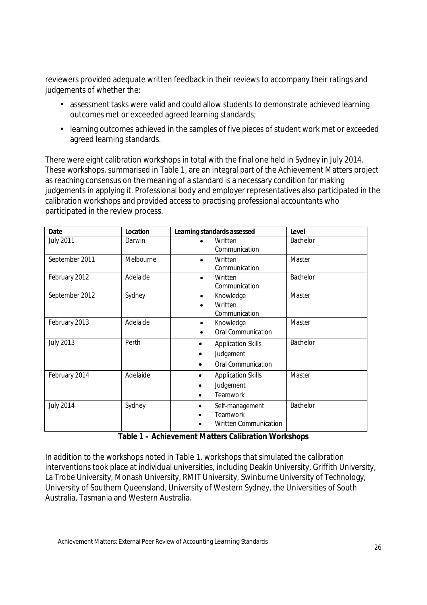reviewers provided adequate written feedback in their reviews to accompany their ratings and judgements of whether the:

- assessment tasks were valid and could allow students to demonstrate achieved learning outcomes met or exceeded agreed learning standards;
- learning outcomes achieved in the samples of five pieces of student work met or exceeded agreed learning standards.

There were eight calibration workshops in total with the final one held in Sydney in July 2014. These workshops, summarised in Table 1, are an integral part of the Achievement Matters project as reaching consensus on the meaning of a standard is a necessary condition for making judgements in applying it. Professional body and employer representatives also participated in the calibration workshops and provided access to practising professional accountants who participated in the review process.

| <b>Date</b>      | Location  | Learning standards assessed                                  | Level    |
|------------------|-----------|--------------------------------------------------------------|----------|
| <b>July 2011</b> | Darwin    | Written<br>Communication                                     | Bachelor |
| September 2011   | Melbourne | Written<br>$\bullet$<br>Communication                        | Master   |
| February 2012    | Adelaide  | Written<br>Communication                                     | Bachelor |
| September 2012   | Sydney    | Knowledge<br>Written<br>Communication                        | Master   |
| February 2013    | Adelaide  | Knowledge<br>$\bullet$<br><b>Oral Communication</b>          | Master   |
| <b>July 2013</b> | Perth     | <b>Application Skills</b><br>Judgement<br>Oral Communication | Bachelor |
| February 2014    | Adelaide  | <b>Application Skills</b><br>Judgement<br>Teamwork           | Master   |
| <b>July 2014</b> | Sydney    | Self-management<br>Teamwork<br><b>Written Communication</b>  | Bachelor |

#### **Table 1 – Achievement Matters Calibration Workshops**

In addition to the workshops noted in Table 1, workshops that simulated the calibration interventions took place at individual universities, including Deakin University, Griffith University, La Trobe University, Monash University, RMIT University, Swinburne University of Technology, University of Southern Queensland, University of Western Sydney, the Universities of South Australia, Tasmania and Western Australia.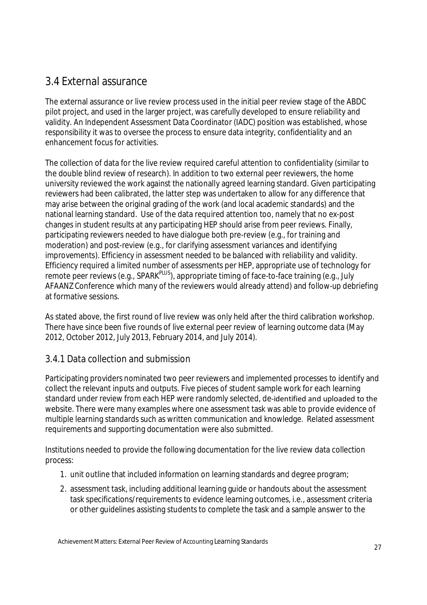## 3.4 External assurance

The external assurance or live review process used in the initial peer review stage of the ABDC pilot project, and used in the larger project, was carefully developed to ensure reliability and validity. An Independent Assessment Data Coordinator (IADC) position was established, whose responsibility it was to oversee the process to ensure data integrity, confidentiality and an enhancement focus for activities.

The collection of data for the live review required careful attention to confidentiality (similar to the double blind review of research). In addition to two external peer reviewers, the home university reviewed the work against the nationally agreed learning standard. Given participating reviewers had been calibrated, the latter step was undertaken to allow for any difference that may arise between the original grading of the work (and local academic standards) and the national learning standard. Use of the data required attention too, namely that no ex-post changes in student results at any participating HEP should arise from peer reviews. Finally, participating reviewers needed to have dialogue both pre-review (e.g., for training and moderation) and post-review (e.g., for clarifying assessment variances and identifying improvements). Efficiency in assessment needed to be balanced with reliability and validity. Efficiency required a limited number of assessments per HEP, appropriate use of technology for remote peer reviews (e.g., SPARK<sup>PLUS</sup>), appropriate timing of face-to-face training (e.g., July AFAANZ Conference which many of the reviewers would already attend) and follow-up debriefing at formative sessions.

As stated above, the first round of live review was only held after the third calibration workshop. There have since been five rounds of live external peer review of learning outcome data (May 2012, October 2012, July 2013, February 2014, and July 2014).

#### 3.4.1 Data collection and submission

Participating providers nominated two peer reviewers and implemented processes to identify and collect the relevant inputs and outputs. Five pieces of student sample work for each learning standard under review from each HEP were randomly selected, de‐identified and uploaded to the website. There were many examples where one assessment task was able to provide evidence of multiple learning standards such as written communication and knowledge. Related assessment requirements and supporting documentation were also submitted.

Institutions needed to provide the following documentation for the live review data collection process:

- 1. unit outline that included information on learning standards and degree program;
- 2. assessment task, including additional learning guide or handouts about the assessment task specifications/requirements to evidence learning outcomes, i.e., assessment criteria or other guidelines assisting students to complete the task and a sample answer to the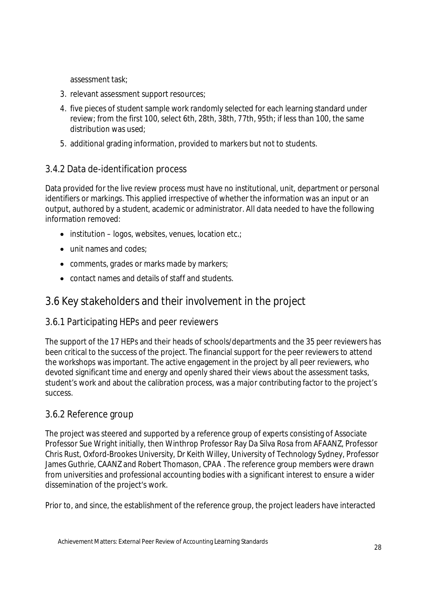assessment task;

- 3. relevant assessment support resources;
- 4. five pieces of student sample work randomly selected for each learning standard under review; from the first 100, select 6th, 28th, 38th, 77th, 95th; if less than 100, the same distribution was used;
- 5. additional grading information, provided to markers but not to students.

#### 3.4.2 Data de-identification process

Data provided for the live review process must have no institutional, unit, department or personal identifiers or markings. This applied irrespective of whether the information was an input or an output, authored by a student, academic or administrator. All data needed to have the following information removed:

- $\bullet$  institution logos, websites, venues, location etc.;
- unit names and codes:
- comments, grades or marks made by markers;
- contact names and details of staff and students.

#### 3.6 Key stakeholders and their involvement in the project

#### 3.6.1 Participating HEPs and peer reviewers

The support of the 17 HEPs and their heads of schools/departments and the 35 peer reviewers has been critical to the success of the project. The financial support for the peer reviewers to attend the workshops was important. The active engagement in the project by all peer reviewers, who devoted significant time and energy and openly shared their views about the assessment tasks, student's work and about the calibration process, was a major contributing factor to the project's success.

#### 3.6.2 Reference group

The project was steered and supported by a reference group of experts consisting of Associate Professor Sue Wright initially, then Winthrop Professor Ray Da Silva Rosa from AFAANZ, Professor Chris Rust, Oxford-Brookes University, Dr Keith Willey, University of Technology Sydney, Professor James Guthrie, CAANZ and Robert Thomason, CPAA . The reference group members were drawn from universities and professional accounting bodies with a significant interest to ensure a wider dissemination of the project's work.

Prior to, and since, the establishment of the reference group, the project leaders have interacted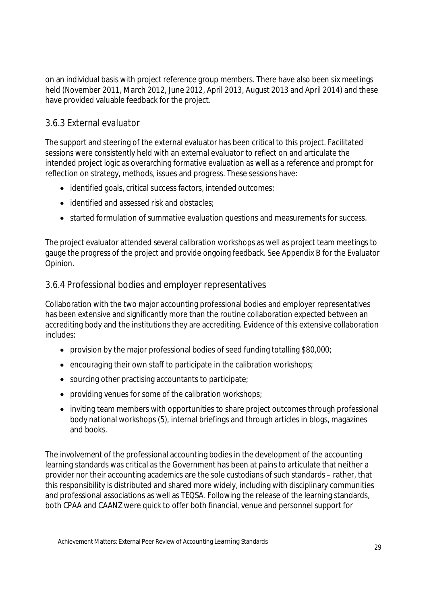on an individual basis with project reference group members. There have also been six meetings held (November 2011, March 2012, June 2012, April 2013, August 2013 and April 2014) and these have provided valuable feedback for the project.

#### 3.6.3 External evaluator

The support and steering of the external evaluator has been critical to this project. Facilitated sessions were consistently held with an external evaluator to reflect on and articulate the intended project logic as overarching formative evaluation as well as a reference and prompt for reflection on strategy, methods, issues and progress. These sessions have:

- identified goals, critical success factors, intended outcomes;
- identified and assessed risk and obstacles:
- started formulation of summative evaluation questions and measurements for success.

The project evaluator attended several calibration workshops as well as project team meetings to gauge the progress of the project and provide ongoing feedback. See Appendix B for the Evaluator Opinion.

#### 3.6.4 Professional bodies and employer representatives

Collaboration with the two major accounting professional bodies and employer representatives has been extensive and significantly more than the routine collaboration expected between an accrediting body and the institutions they are accrediting. Evidence of this extensive collaboration includes:

- provision by the major professional bodies of seed funding totalling \$80,000;
- encouraging their own staff to participate in the calibration workshops;
- sourcing other practising accountants to participate;
- providing venues for some of the calibration workshops;
- inviting team members with opportunities to share project outcomes through professional body national workshops (5), internal briefings and through articles in blogs, magazines and books.

The involvement of the professional accounting bodies in the development of the accounting learning standards was critical as the Government has been at pains to articulate that neither a provider nor their accounting academics are the sole custodians of such standards – rather, that this responsibility is distributed and shared more widely, including with disciplinary communities and professional associations as well as TEQSA. Following the release of the learning standards, both CPAA and CAANZ were quick to offer both financial, venue and personnel support for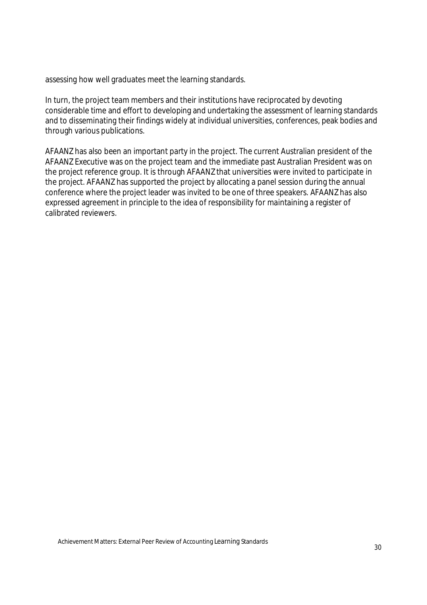assessing how well graduates meet the learning standards.

In turn, the project team members and their institutions have reciprocated by devoting considerable time and effort to developing and undertaking the assessment of learning standards and to disseminating their findings widely at individual universities, conferences, peak bodies and through various publications.

AFAANZ has also been an important party in the project. The current Australian president of the AFAANZ Executive was on the project team and the immediate past Australian President was on the project reference group. It is through AFAANZ that universities were invited to participate in the project. AFAANZ has supported the project by allocating a panel session during the annual conference where the project leader was invited to be one of three speakers. AFAANZ has also expressed agreement in principle to the idea of responsibility for maintaining a register of calibrated reviewers.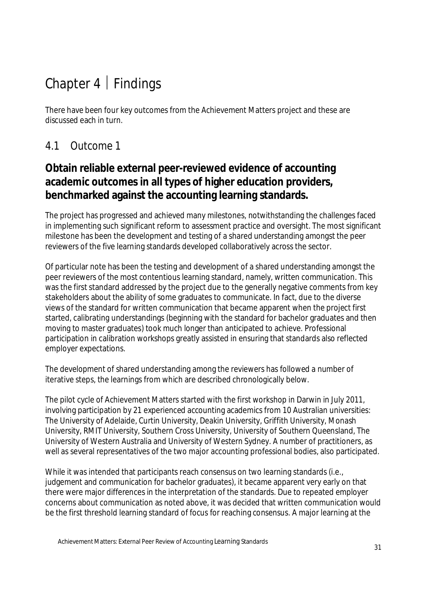# Chapter  $4 \mid$  Findings

There have been four key outcomes from the Achievement Matters project and these are discussed each in turn.

### 4.1 Outcome 1

### **Obtain reliable external peer-reviewed evidence of accounting academic outcomes in all types of higher education providers, benchmarked against the accounting learning standards.**

The project has progressed and achieved many milestones, notwithstanding the challenges faced in implementing such significant reform to assessment practice and oversight. The most significant milestone has been the development and testing of a shared understanding amongst the peer reviewers of the five learning standards developed collaboratively across the sector.

Of particular note has been the testing and development of a shared understanding amongst the peer reviewers of the most contentious learning standard, namely, written communication. This was the first standard addressed by the project due to the generally negative comments from key stakeholders about the ability of some graduates to communicate. In fact, due to the diverse views of the standard for written communication that became apparent when the project first started, calibrating understandings (beginning with the standard for bachelor graduates and then moving to master graduates) took much longer than anticipated to achieve. Professional participation in calibration workshops greatly assisted in ensuring that standards also reflected employer expectations.

The development of shared understanding among the reviewers has followed a number of iterative steps, the learnings from which are described chronologically below.

The pilot cycle of Achievement Matters started with the first workshop in Darwin in July 2011, involving participation by 21 experienced accounting academics from 10 Australian universities: The University of Adelaide, Curtin University, Deakin University, Griffith University, Monash University, RMIT University, Southern Cross University, University of Southern Queensland, The University of Western Australia and University of Western Sydney. A number of practitioners, as well as several representatives of the two major accounting professional bodies, also participated.

While it was intended that participants reach consensus on two learning standards (i.e., judgement and communication for bachelor graduates), it became apparent very early on that there were major differences in the interpretation of the standards. Due to repeated employer concerns about communication as noted above, it was decided that written communication would be the first threshold learning standard of focus for reaching consensus. A major learning at the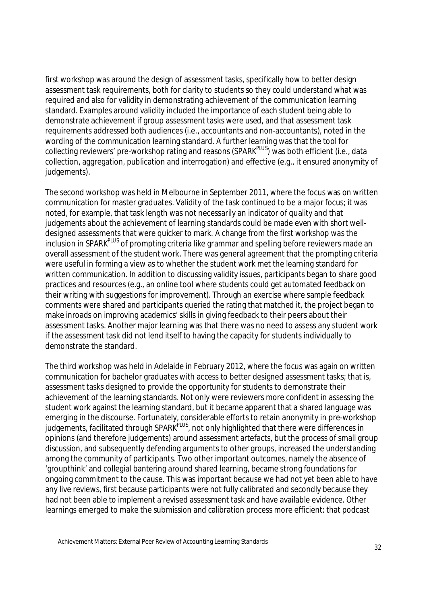first workshop was around the design of assessment tasks, specifically how to better design assessment task requirements, both for clarity to students so they could understand what was required and also for validity in demonstrating achievement of the communication learning standard. Examples around validity included the importance of *each* student being able to demonstrate achievement if group assessment tasks were used, and that assessment task requirements addressed both audiences (i.e., accountants and non-accountants), noted in the wording of the communication learning standard. A further learning was that the tool for collecting reviewers' pre-workshop rating and reasons (SPARK<sup>PLUS</sup>) was both efficient (i.e., data collection, aggregation, publication and interrogation) and effective (e.g., it ensured anonymity of judgements).

The second workshop was held in Melbourne in September 2011, where the focus was on written communication for master graduates. Validity of the task continued to be a major focus; it was noted, for example, that task length was not necessarily an indicator of quality and that judgements about the achievement of learning standards could be made even with short welldesigned assessments that were quicker to mark. A change from the first workshop was the inclusion in SPARK<sup>PLUS</sup> of prompting criteria like grammar and spelling before reviewers made an overall assessment of the student work. There was general agreement that the prompting criteria were useful in forming a view as to whether the student work met the learning standard for written communication. In addition to discussing validity issues, participants began to share good practices and resources (e.g., an online tool where students could get automated feedback on their writing with suggestions for improvement). Through an exercise where sample feedback comments were shared and participants queried the rating that matched it, the project began to make inroads on improving academics' skills in giving feedback to their peers about their assessment tasks. Another major learning was that there was no need to assess any student work if the assessment task did not lend itself to having the capacity for students individually to demonstrate the standard.

The third workshop was held in Adelaide in February 2012, where the focus was again on written communication for bachelor graduates with access to better designed assessment tasks; that is, assessment tasks designed to provide the opportunity for students to demonstrate their achievement of the learning standards. Not only were reviewers more confident in assessing the student work against the learning standard, but it became apparent that a shared language was emerging in the discourse. Fortunately, considerable efforts to retain anonymity in pre-workshop judgements, facilitated through SPARK<sup>PLUS</sup>, not only highlighted that there were differences in opinions (and therefore judgements) around assessment artefacts, but the process of small group discussion, and subsequently defending arguments to other groups, increased the understanding among the community of participants. Two other important outcomes, namely the absence of 'groupthink' and collegial bantering around shared learning, became strong foundations for ongoing commitment to the cause. This was important because we had not yet been able to have any live reviews, first because participants were not fully calibrated and secondly because they had not been able to implement a revised assessment task and have available evidence. Other learnings emerged to make the submission and calibration process more efficient: that podcast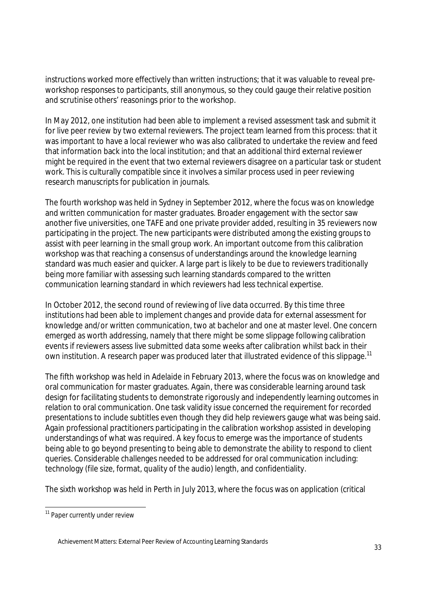instructions worked more effectively than written instructions; that it was valuable to reveal preworkshop responses to participants, still anonymous, so they could gauge their relative position and scrutinise others' reasonings prior to the workshop.

In May 2012, one institution had been able to implement a revised assessment task and submit it for live peer review by two external reviewers. The project team learned from this process: that it was important to have a local reviewer who was also calibrated to undertake the review and feed that information back into the local institution; and that an additional third external reviewer might be required in the event that two external reviewers disagree on a particular task or student work. This is culturally compatible since it involves a similar process used in peer reviewing research manuscripts for publication in journals.

The fourth workshop was held in Sydney in September 2012, where the focus was on knowledge and written communication for master graduates. Broader engagement with the sector saw another five universities, one TAFE and one private provider added, resulting in 35 reviewers now participating in the project. The new participants were distributed among the existing groups to assist with peer learning in the small group work. An important outcome from this calibration workshop was that reaching a consensus of understandings around the knowledge learning standard was much easier and quicker. A large part is likely to be due to reviewers traditionally being more familiar with assessing such learning standards compared to the written communication learning standard in which reviewers had less technical expertise.

In October 2012, the second round of reviewing of live data occurred. By this time three institutions had been able to implement changes and provide data for external assessment for knowledge and/or written communication, two at bachelor and one at master level. One concern emerged as worth addressing, namely that there might be some slippage following calibration events if reviewers assess live submitted data some weeks after calibration whilst back in their own institution. A research paper was produced later that illustrated evidence of this slippage.<sup>11</sup>

The fifth workshop was held in Adelaide in February 2013, where the focus was on knowledge and oral communication for master graduates. Again, there was considerable learning around task design for facilitating students to demonstrate rigorously and independently learning outcomes in relation to oral communication. One task validity issue concerned the requirement for recorded presentations to include subtitles even though they did help reviewers gauge what was being said. Again professional practitioners participating in the calibration workshop assisted in developing understandings of what was required. A key focus to emerge was the importance of students being able to go beyond presenting to being able to demonstrate the ability to respond to client queries. Considerable challenges needed to be addressed for oral communication including: technology (file size, format, quality of the audio) length, and confidentiality.

The sixth workshop was held in Perth in July 2013, where the focus was on application (critical

 $\overline{a}$ <sup>11</sup> Paper currently under review

Achievement Matters: External Peer Review of Accounting Learning Standards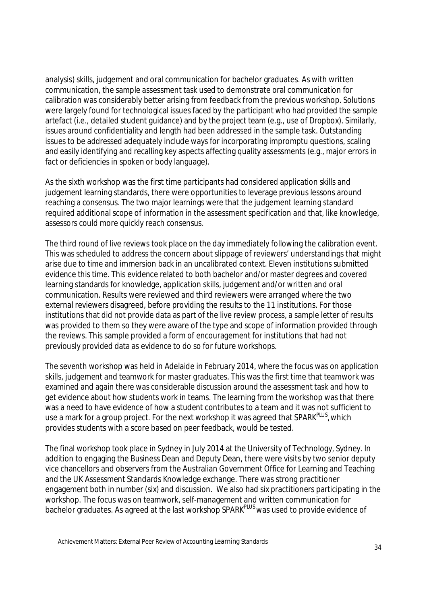analysis) skills, judgement and oral communication for bachelor graduates. As with written communication, the sample assessment task used to demonstrate oral communication for calibration was considerably better arising from feedback from the previous workshop. Solutions were largely found for technological issues faced by the participant who had provided the sample artefact (i.e., detailed student guidance) and by the project team (e.g., use of Dropbox). Similarly, issues around confidentiality and length had been addressed in the sample task. Outstanding issues to be addressed adequately include ways for incorporating impromptu questions, scaling and easily identifying and recalling key aspects affecting quality assessments (e.g., major errors in fact or deficiencies in spoken or body language).

As the sixth workshop was the first time participants had considered application skills and judgement learning standards, there were opportunities to leverage previous lessons around reaching a consensus. The two major learnings were that the judgement learning standard required additional scope of information in the assessment specification and that, like knowledge, assessors could more quickly reach consensus.

The third round of live reviews took place on the day immediately following the calibration event. This was scheduled to address the concern about slippage of reviewers' understandings that might arise due to time and immersion back in an uncalibrated context. Eleven institutions submitted evidence this time. This evidence related to both bachelor and/or master degrees and covered learning standards for knowledge, application skills, judgement and/or written and oral communication. Results were reviewed and third reviewers were arranged where the two external reviewers disagreed, before providing the results to the 11 institutions. For those institutions that did not provide data as part of the live review process, a sample letter of results was provided to them so they were aware of the type and scope of information provided through the reviews. This sample provided a form of encouragement for institutions that had not previously provided data as evidence to do so for future workshops.

The seventh workshop was held in Adelaide in February 2014, where the focus was on application skills, judgement and teamwork for master graduates. This was the first time that teamwork was examined and again there was considerable discussion around the assessment task and how to get evidence about how students work in teams. The learning from the workshop was that there was a need to have evidence of how a student contributes to a team and it was not sufficient to use a mark for a group project. For the next workshop it was agreed that SPARK<sup>PLUS</sup>, which provides students with a score based on peer feedback, would be tested.

The final workshop took place in Sydney in July 2014 at the University of Technology, Sydney. In addition to engaging the Business Dean and Deputy Dean, there were visits by two senior deputy vice chancellors and observers from the Australian Government Office for Learning and Teaching and the UK Assessment Standards Knowledge exchange. There was strong practitioner engagement both in number (six) and discussion. We also had six practitioners participating in the workshop. The focus was on teamwork, self-management and written communication for bachelor graduates. As agreed at the last workshop SPARK<sup>PLUS</sup> was used to provide evidence of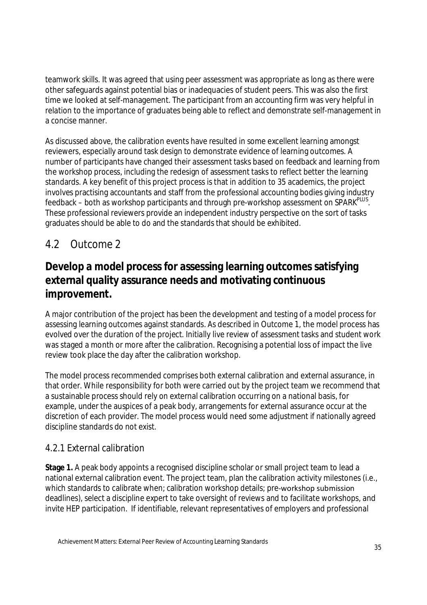teamwork skills. It was agreed that using peer assessment was appropriate as long as there were other safeguards against potential bias or inadequacies of student peers. This was also the first time we looked at self-management. The participant from an accounting firm was very helpful in relation to the importance of graduates being able to reflect and demonstrate self-management in a concise manner.

As discussed above, the calibration events have resulted in some excellent learning amongst reviewers, especially around task design to demonstrate evidence of learning outcomes. A number of participants have changed their assessment tasks based on feedback and learning from the workshop process, including the redesign of assessment tasks to reflect better the learning standards. A key benefit of this project process is that in addition to 35 academics, the project involves practising accountants and staff from the professional accounting bodies giving industry feedback – both as workshop participants and through pre-workshop assessment on SPARK<sup>PLUS</sup>. These professional reviewers provide an independent industry perspective on the sort of tasks graduates should be able to do and the standards that should be exhibited.

## 4.2 Outcome 2

## **Develop a model process for assessing learning outcomes satisfying external quality assurance needs and motivating continuous improvement.**

A major contribution of the project has been the development and testing of a model process for assessing learning outcomes against standards. As described in Outcome 1, the model process has evolved over the duration of the project. Initially live review of assessment tasks and student work was staged a month or more after the calibration. Recognising a potential loss of impact the live review took place the day after the calibration workshop.

The model process recommended comprises both external calibration and external assurance, in that order. While responsibility for both were carried out by the project team we recommend that a sustainable process should rely on external calibration occurring on a national basis, for example, under the auspices of a peak body, arrangements for external assurance occur at the discretion of each provider. The model process would need some adjustment if nationally agreed discipline standards do not exist.

#### 4.2.1 External calibration

**Stage 1.** A peak body appoints a recognised discipline scholar or small project team to lead a national external calibration event. The project team, plan the calibration activity milestones (i.e., which standards to calibrate when; calibration workshop details; pre-workshop submission deadlines), select a discipline expert to take oversight of reviews and to facilitate workshops, and invite HEP participation. If identifiable, relevant representatives of employers and professional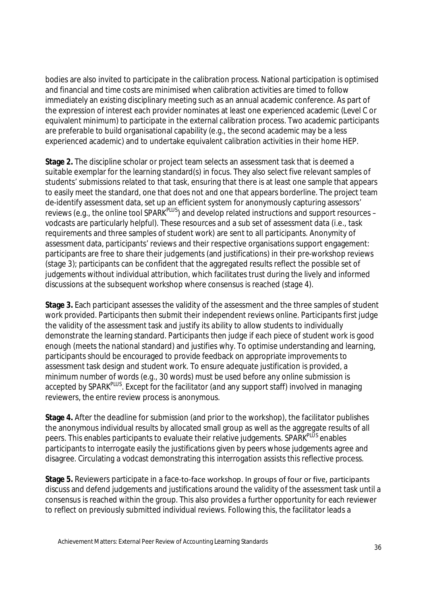bodies are also invited to participate in the calibration process. National participation is optimised and financial and time costs are minimised when calibration activities are timed to follow immediately an existing disciplinary meeting such as an annual academic conference. As part of the expression of interest each provider nominates at least one experienced academic (Level C or equivalent minimum) to participate in the external calibration process. Two academic participants are preferable to build organisational capability (e.g., the second academic may be a less experienced academic) and to undertake equivalent calibration activities in their home HEP.

**Stage 2.** The discipline scholar or project team selects an assessment task that is deemed a suitable exemplar for the learning standard(s) in focus. They also select five relevant samples of students' submissions related to that task, ensuring that there is at least one sample that appears to easily meet the standard, one that does not and one that appears borderline. The project team de-identify assessment data, set up an efficient system for anonymously capturing assessors' reviews (e.g., the online tool SPARK<sup>PLUS</sup>) and develop related instructions and support resources – vodcasts are particularly helpful). These resources and a sub set of assessment data (i.e., task requirements and three samples of student work) are sent to all participants. Anonymity of assessment data, participants' reviews and their respective organisations support engagement: participants are free to share their judgements (and justifications) in their pre-workshop reviews (stage 3); participants can be confident that the aggregated results reflect the possible set of judgements without individual attribution, which facilitates trust during the lively and informed discussions at the subsequent workshop where consensus is reached (stage 4).

**Stage 3.** Each participant assesses the validity of the assessment and the three samples of student work provided. Participants then submit their independent reviews online. Participants first judge the validity of the assessment task and justify its ability to allow students to individually demonstrate the learning standard. Participants then judge if each piece of student work is good enough (meets the national standard) and justifies why. To optimise understanding and learning, participants should be encouraged to provide feedback on appropriate improvements to assessment task design and student work. To ensure adequate justification is provided, a minimum number of words (e.g., 30 words) must be used before any online submission is accepted by SPARK<sup>PLUS</sup>. Except for the facilitator (and any support staff) involved in managing reviewers, the entire review process is anonymous.

**Stage 4.** After the deadline for submission (and prior to the workshop), the facilitator publishes the anonymous individual results by allocated small group as well as the aggregate results of all peers. This enables participants to evaluate their relative judgements. SPARK<sup>PLUS</sup> enables participants to interrogate easily the justifications given by peers whose judgements agree and disagree. Circulating a vodcast demonstrating this interrogation assists this reflective process.

Stage 5. Reviewers participate in a face-to-face workshop. In groups of four or five, participants discuss and defend judgements and justifications around the validity of the assessment task until a consensus is reached within the group. This also provides a further opportunity for each reviewer to reflect on previously submitted individual reviews. Following this, the facilitator leads a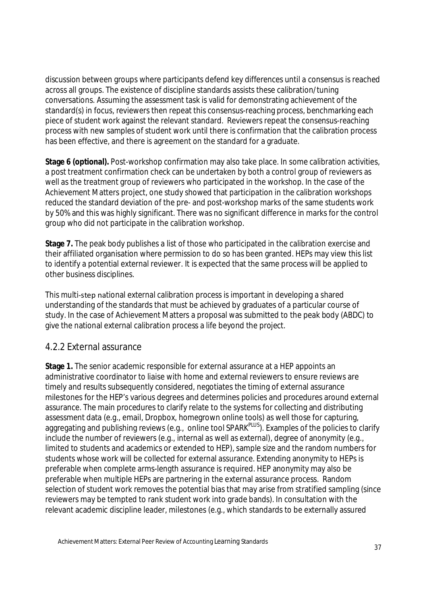discussion between groups where participants defend key differences until a consensus is reached across all groups. The existence of discipline standards assists these calibration/tuning conversations. Assuming the assessment task is valid for demonstrating achievement of the standard(s) in focus, reviewers then repeat this consensus-reaching process, benchmarking each piece of student work against the relevant standard. Reviewers repeat the consensus-reaching process with new samples of student work until there is confirmation that the calibration process has been effective, and there is agreement on the standard for a graduate.

**Stage 6 (optional).** Post-workshop confirmation may also take place. In some calibration activities, a post treatment confirmation check can be undertaken by both a control group of reviewers as well as the treatment group of reviewers who participated in the workshop. In the case of the Achievement Matters project, one study showed that participation in the calibration workshops reduced the standard deviation of the pre- and post-workshop marks of the same students work by 50% and this was highly significant. There was no significant difference in marks for the control group who did not participate in the calibration workshop.

**Stage 7.** The peak body publishes a list of those who participated in the calibration exercise and their affiliated organisation where permission to do so has been granted. HEPs may view this list to identify a potential external reviewer. It is expected that the same process will be applied to other business disciplines.

This multi‐step national external calibration process is important in developing a shared understanding of the standards that must be achieved by graduates of a particular course of study. In the case of Achievement Matters a proposal was submitted to the peak body (ABDC) to give the national external calibration process a life beyond the project.

### 4.2.2 External assurance

**Stage 1.** The senior academic responsible for external assurance at a HEP appoints an administrative coordinator to liaise with home and external reviewers to ensure reviews are timely and results subsequently considered, negotiates the timing of external assurance milestones for the HEP's various degrees and determines policies and procedures around external assurance. The main procedures to clarify relate to the systems for collecting and distributing assessment data (e.g., email, Dropbox, homegrown online tools) as well those for capturing, aggregating and publishing reviews (e.g., online tool SPARK<sup>PLUS</sup>). Examples of the policies to clarify include the number of reviewers (e.g., internal as well as external), degree of anonymity (e.g., limited to students and academics or extended to HEP), sample size and the random numbers for students whose work will be collected for external assurance. Extending anonymity to HEPs is preferable when complete arms-length assurance is required. HEP anonymity may also be preferable when multiple HEPs are partnering in the external assurance process. Random selection of student work removes the potential bias that may arise from stratified sampling (since reviewers may be tempted to rank student work into grade bands). In consultation with the relevant academic discipline leader, milestones (e.g., which standards to be externally assured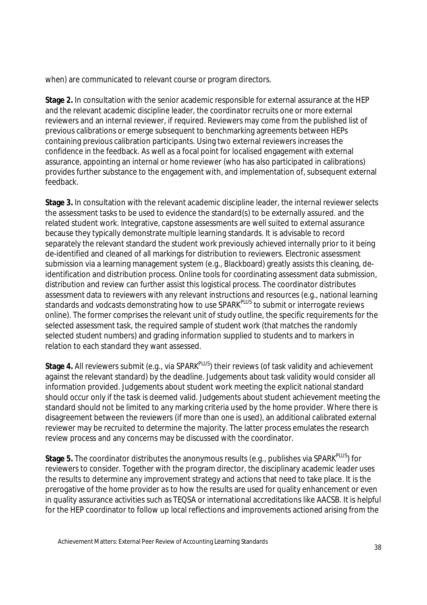when) are communicated to relevant course or program directors.

**Stage 2.** In consultation with the senior academic responsible for external assurance at the HEP and the relevant academic discipline leader, the coordinator recruits one or more external reviewers and an internal reviewer, if required. Reviewers may come from the published list of previous calibrations or emerge subsequent to benchmarking agreements between HEPs containing previous calibration participants. Using two external reviewers increases the confidence in the feedback. As well as a focal point for localised engagement with external assurance, appointing an internal or home reviewer (who has also participated in calibrations) provides further substance to the engagement with, and implementation of, subsequent external feedback.

**Stage 3.** In consultation with the relevant academic discipline leader, the internal reviewer selects the assessment tasks to be used to evidence the standard(s) to be externally assured. and the related student work. Integrative, capstone assessments are well suited to external assurance because they typically demonstrate multiple learning standards. It is advisable to record separately the relevant standard the student work previously achieved internally prior to it being de-identified and cleaned of all markings for distribution to reviewers. Electronic assessment submission via a learning management system (e.g., Blackboard) greatly assists this cleaning, deidentification and distribution process. Online tools for coordinating assessment data submission, distribution and review can further assist this logistical process. The coordinator distributes assessment data to reviewers with any relevant instructions and resources (e.g., national learning standards and vodcasts demonstrating how to use SPARK<sup>PLUS</sup> to submit or interrogate reviews online). The former comprises the relevant unit of study outline, the specific requirements for the selected assessment task, the required sample of student work (that matches the randomly selected student numbers) and grading information supplied to students and to markers in relation to each standard they want assessed.

**Stage 4.** All reviewers submit (e.g., via SPARK<sup>PLUS</sup>) their reviews (of task validity and achievement against the relevant standard) by the deadline. Judgements about task validity would consider all information provided. Judgements about student work meeting the explicit national standard should occur only if the task is deemed valid. Judgements about student achievement meeting the standard should not be limited to any marking criteria used by the home provider. Where there is disagreement between the reviewers (if more than one is used), an additional calibrated external reviewer may be recruited to determine the majority. The latter process emulates the research review process and any concerns may be discussed with the coordinator.

**Stage 5.** The coordinator distributes the anonymous results (e.g., publishes via SPARK<sup>PLUS</sup>) for reviewers to consider. Together with the program director, the disciplinary academic leader uses the results to determine any improvement strategy and actions that need to take place. It is the prerogative of the home provider as to how the results are used for quality enhancement or even in quality assurance activities such as TEQSA or international accreditations like AACSB. It is helpful for the HEP coordinator to follow up local reflections and improvements actioned arising from the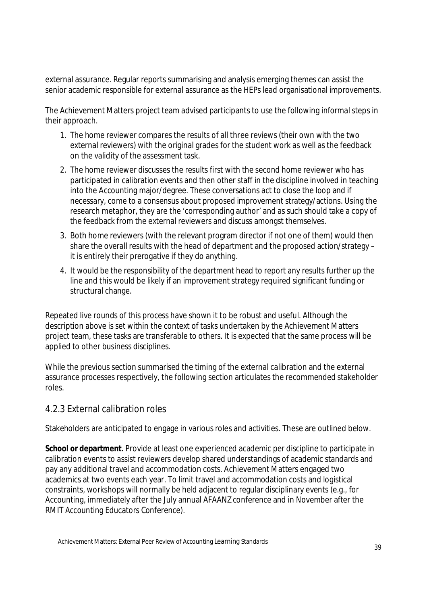external assurance. Regular reports summarising and analysis emerging themes can assist the senior academic responsible for external assurance as the HEPs lead organisational improvements.

The Achievement Matters project team advised participants to use the following informal steps in their approach.

- 1. The home reviewer compares the results of all three reviews (their own with the two external reviewers) with the original grades for the student work as well as the feedback on the validity of the assessment task.
- 2. The home reviewer discusses the results first with the second home reviewer who has participated in calibration events and then other staff in the discipline involved in teaching into the Accounting major/degree. These conversations act to close the loop and if necessary, come to a consensus about proposed improvement strategy/actions. Using the research metaphor, they are the 'corresponding author' and as such should take a copy of the feedback from the external reviewers and discuss amongst themselves.
- 3. Both home reviewers (with the relevant program director if not one of them) would then share the overall results with the head of department and the proposed action/strategy – it is entirely their prerogative if they do anything.
- 4. It would be the responsibility of the department head to report any results further up the line and this would be likely if an improvement strategy required significant funding or structural change.

Repeated live rounds of this process have shown it to be robust and useful. Although the description above is set within the context of tasks undertaken by the Achievement Matters project team, these tasks are transferable to others. It is expected that the same process will be applied to other business disciplines.

While the previous section summarised the timing of the external calibration and the external assurance processes respectively, the following section articulates the recommended stakeholder roles.

### 4.2.3 External calibration roles

Stakeholders are anticipated to engage in various roles and activities. These are outlined below.

**School or department.** Provide at least one experienced academic per discipline to participate in calibration events to assist reviewers develop shared understandings of academic standards and pay any additional travel and accommodation costs. Achievement Matters engaged two academics at two events each year. To limit travel and accommodation costs and logistical constraints, workshops will normally be held adjacent to regular disciplinary events (e.g., for Accounting, immediately after the July annual AFAANZ conference and in November after the RMIT Accounting Educators Conference).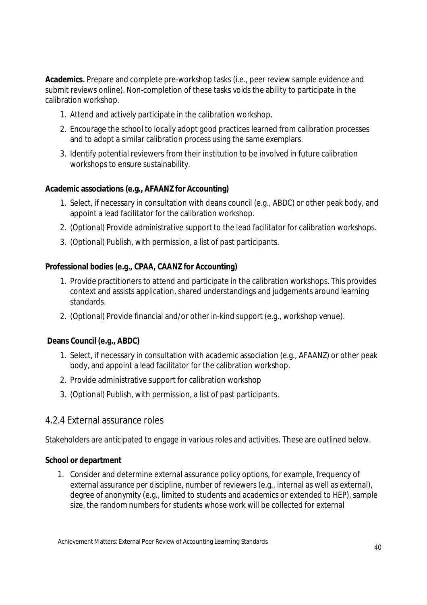**Academics.** Prepare and complete pre-workshop tasks (i.e., peer review sample evidence and submit reviews online). Non-completion of these tasks voids the ability to participate in the calibration workshop.

- 1. Attend and actively participate in the calibration workshop.
- 2. Encourage the school to locally adopt good practices learned from calibration processes and to adopt a similar calibration process using the same exemplars.
- 3. Identify potential reviewers from their institution to be involved in future calibration workshops to ensure sustainability.

#### **Academic associations (e.g., AFAANZ for Accounting)**

- 1. Select, if necessary in consultation with deans council (e.g., ABDC) or other peak body, and appoint a lead facilitator for the calibration workshop.
- 2. (Optional) Provide administrative support to the lead facilitator for calibration workshops.
- 3. (Optional) Publish, with permission, a list of past participants.

#### **Professional bodies (e.g., CPAA, CAANZ for Accounting)**

- 1. Provide practitioners to attend and participate in the calibration workshops. This provides context and assists application, shared understandings and judgements around learning standards.
- 2. (Optional) Provide financial and/or other in-kind support (e.g., workshop venue).

#### **Deans Council (e.g., ABDC)**

- 1. Select, if necessary in consultation with academic association (e.g., AFAANZ) or other peak body, and appoint a lead facilitator for the calibration workshop.
- 2. Provide administrative support for calibration workshop
- 3. (Optional) Publish, with permission, a list of past participants.

### 4.2.4 External assurance roles

Stakeholders are anticipated to engage in various roles and activities. These are outlined below.

#### **School or department**

1. Consider and determine external assurance policy options, for example, frequency of external assurance per discipline, number of reviewers (e.g., internal as well as external), degree of anonymity (e.g., limited to students and academics or extended to HEP), sample size, the random numbers for students whose work will be collected for external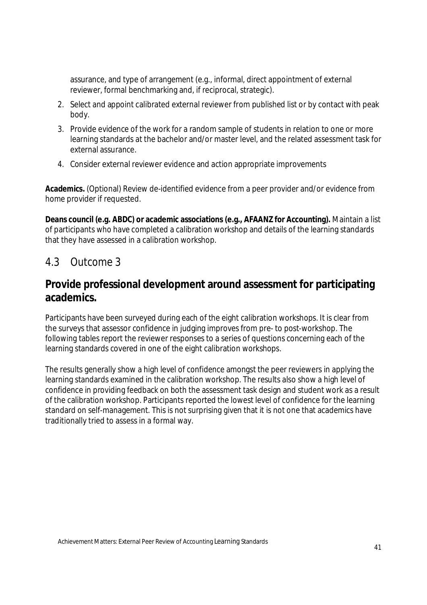assurance, and type of arrangement (e.g., informal, direct appointment of external reviewer, formal benchmarking and, if reciprocal, strategic).

- 2. Select and appoint calibrated external reviewer from published list or by contact with peak body.
- 3. Provide evidence of the work for a random sample of students in relation to one or more learning standards at the bachelor and/or master level, and the related assessment task for external assurance.
- 4. Consider external reviewer evidence and action appropriate improvements

**Academics.** (Optional) Review de-identified evidence from a peer provider and/or evidence from home provider if requested.

**Deans council (e.g. ABDC) or academic associations (e.g., AFAANZ for Accounting).** Maintain a list of participants who have completed a calibration workshop and details of the learning standards that they have assessed in a calibration workshop.

### 4.3 Outcome 3

### **Provide professional development around assessment for participating academics.**

Participants have been surveyed during each of the eight calibration workshops. It is clear from the surveys that assessor confidence in judging improves from pre- to post-workshop. The following tables report the reviewer responses to a series of questions concerning each of the learning standards covered in one of the eight calibration workshops.

The results generally show a high level of confidence amongst the peer reviewers in applying the learning standards examined in the calibration workshop. The results also show a high level of confidence in providing feedback on both the assessment task design and student work as a result of the calibration workshop. Participants reported the lowest level of confidence for the learning standard on self-management. This is not surprising given that it is not one that academics have traditionally tried to assess in a formal way.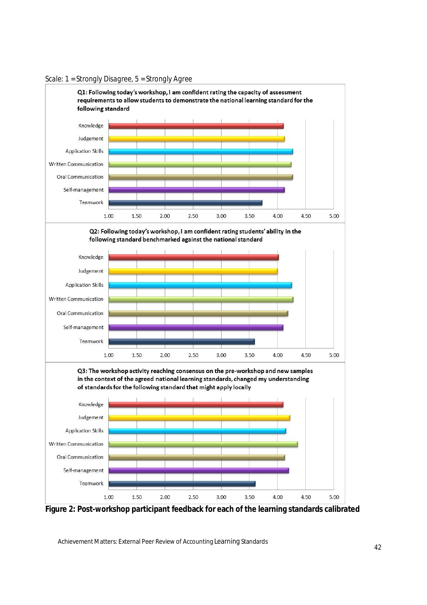

*Scale: 1 = Strongly Disagree, 5 = Strongly Agree*

**Figure 2: Post-workshop participant feedback for each of the learning standards calibrated**

Achievement Matters: External Peer Review of Accounting Learning Standards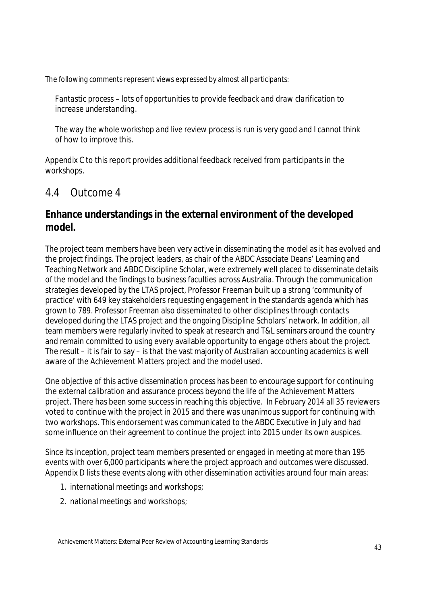The following comments represent views expressed by almost all participants:

*Fantastic process – lots of opportunities to provide feedback and draw clarification to increase understanding.* 

*The way the whole workshop and live review process is run is very good and I cannot think of how to improve this.* 

Appendix C to this report provides additional feedback received from participants in the workshops.

### 4.4 Outcome 4

### **Enhance understandings in the external environment of the developed model.**

The project team members have been very active in disseminating the model as it has evolved and the project findings. The project leaders, as chair of the ABDC Associate Deans' Learning and Teaching Network and ABDC Discipline Scholar, were extremely well placed to disseminate details of the model and the findings to business faculties across Australia. Through the communication strategies developed by the LTAS project, Professor Freeman built up a strong 'community of practice' with 649 key stakeholders requesting engagement in the standards agenda which has grown to 789. Professor Freeman also disseminated to other disciplines through contacts developed during the LTAS project and the ongoing Discipline Scholars' network. In addition, all team members were regularly invited to speak at research and T&L seminars around the country and remain committed to using every available opportunity to engage others about the project. The result – it is fair to say – is that the vast majority of Australian accounting academics is well aware of the Achievement Matters project and the model used.

One objective of this active dissemination process has been to encourage support for continuing the external calibration and assurance process beyond the life of the Achievement Matters project. There has been some success in reaching this objective. In February 2014 all 35 reviewers voted to continue with the project in 2015 and there was unanimous support for continuing with two workshops. This endorsement was communicated to the ABDC Executive in July and had some influence on their agreement to continue the project into 2015 under its own auspices.

Since its inception, project team members presented or engaged in meeting at more than 195 events with over 6,000 participants where the project approach and outcomes were discussed. Appendix D lists these events along with other dissemination activities around four main areas:

- 1. international meetings and workshops;
- 2. national meetings and workshops;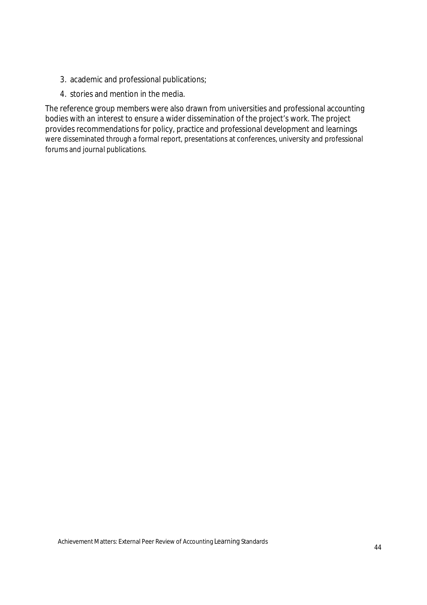- 3. academic and professional publications;
- 4. stories and mention in the media.

The reference group members were also drawn from universities and professional accounting bodies with an interest to ensure a wider dissemination of the project's work. The project provides recommendations for policy, practice and professional development and learnings were disseminated through a formal report, presentations at conferences, university and professional forums and journal publications.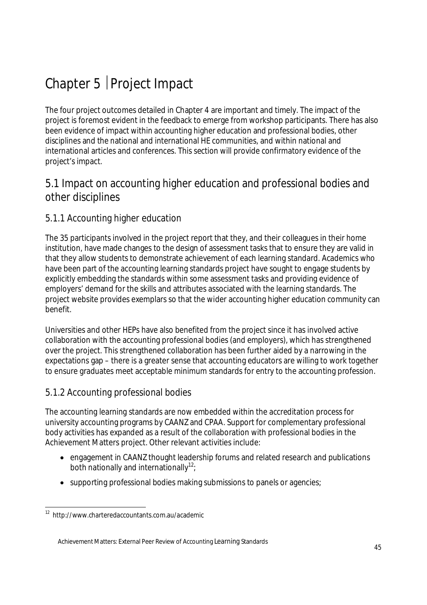# Chapter 5 | Project Impact

The four project outcomes detailed in Chapter 4 are important and timely. The impact of the project is foremost evident in the feedback to emerge from workshop participants. There has also been evidence of impact within accounting higher education and professional bodies, other disciplines and the national and international HE communities, and within national and international articles and conferences. This section will provide confirmatory evidence of the project's impact.

### 5.1 Impact on accounting higher education and professional bodies and other disciplines

### 5.1.1 Accounting higher education

The 35 participants involved in the project report that they, and their colleagues in their home institution, have made changes to the design of assessment tasks that to ensure they are valid in that they allow students to demonstrate achievement of each learning standard. Academics who have been part of the accounting learning standards project have sought to engage students by explicitly embedding the standards within some assessment tasks and providing evidence of employers' demand for the skills and attributes associated with the learning standards. The project website provides exemplars so that the wider accounting higher education community can benefit.

Universities and other HEPs have also benefited from the project since it has involved active collaboration with the accounting professional bodies (and employers), which has strengthened over the project. This strengthened collaboration has been further aided by a narrowing in the expectations gap – there is a greater sense that accounting educators are willing to work together to ensure graduates meet acceptable minimum standards for entry to the accounting profession.

### 5.1.2 Accounting professional bodies

The accounting learning standards are now embedded within the accreditation process for university accounting programs by CAANZ and CPAA. Support for complementary professional body activities has expanded as a result of the collaboration with professional bodies in the Achievement Matters project. Other relevant activities include:

- engagement in CAANZ thought leadership forums and related research and publications both nationally and internationally<sup>12</sup>;
- supporting professional bodies making submissions to panels or agencies;

 $\overline{a}$ <sup>12</sup> http://www.charteredaccountants.com.au/academic

Achievement Matters: External Peer Review of Accounting Learning Standards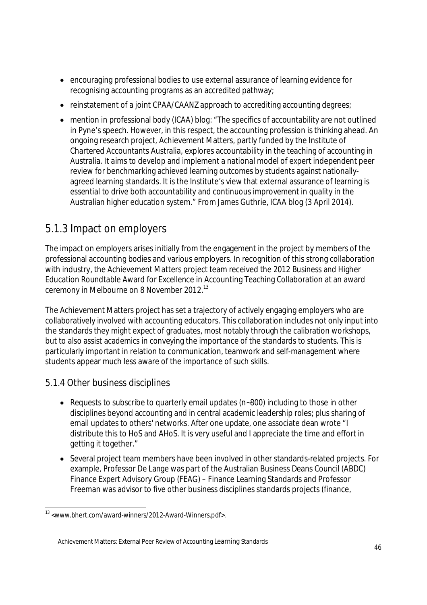- encouraging professional bodies to use external assurance of learning evidence for recognising accounting programs as an accredited pathway;
- reinstatement of a joint CPAA/CAANZ approach to accrediting accounting degrees;
- mention in professional body (ICAA) blog: "The specifics of accountability are not outlined in Pyne's speech. However, in this respect, the accounting profession is thinking ahead. An ongoing research project, Achievement Matters, partly funded by the Institute of Chartered Accountants Australia, explores accountability in the teaching of accounting in Australia. It aims to develop and implement a national model of expert independent peer review for benchmarking achieved learning outcomes by students against nationallyagreed learning standards. It is the Institute's view that external assurance of learning is essential to drive both accountability and continuous improvement in quality in the Australian higher education system." From James Guthrie, ICAA blog (3 April 2014).

### 5.1.3 Impact on employers

The impact on employers arises initially from the engagement in the project by members of the professional accounting bodies and various employers. In recognition of this strong collaboration with industry, the Achievement Matters project team received the 2012 Business and Higher Education Roundtable Award for Excellence in Accounting Teaching Collaboration at an award ceremony in Melbourne on 8 November 2012.<sup>13</sup>

The Achievement Matters project has set a trajectory of actively engaging employers who are collaboratively involved with accounting educators. This collaboration includes not only input into the standards they might expect of graduates, most notably through the calibration workshops, but to also assist academics in conveying the importance of the standards to students. This is particularly important in relation to communication, teamwork and self-management where students appear much less aware of the importance of such skills.

### 5.1.4 Other business disciplines

- Requests to subscribe to quarterly email updates (n~800) including to those in other disciplines beyond accounting and in central academic leadership roles; plus sharing of email updates to others' networks. After one update, one associate dean wrote "I distribute this to HoS and AHoS. It is very useful and I appreciate the time and effort in getting it together."
- Several project team members have been involved in other standards-related projects. For example, Professor De Lange was part of the Australian Business Deans Council (ABDC) Finance Expert Advisory Group (FEAG) – Finance Learning Standards and Professor Freeman was advisor to five other business disciplines standards projects (finance,

 13 <www.bhert.com/award-winners/2012-Award-Winners.pdf>.

Achievement Matters: External Peer Review of Accounting Learning Standards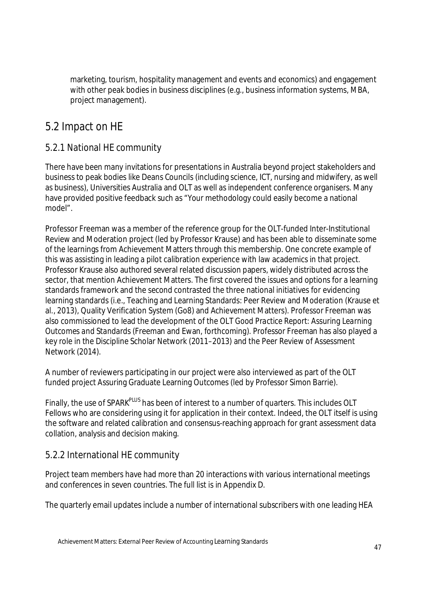marketing, tourism, hospitality management and events and economics) and engagement with other peak bodies in business disciplines (e.g., business information systems, MBA, project management).

### 5.2 Impact on HE

### 5.2.1 National HE community

There have been many invitations for presentations in Australia beyond project stakeholders and business to peak bodies like Deans Councils (including science, ICT, nursing and midwifery, as well as business), Universities Australia and OLT as well as independent conference organisers. Many have provided positive feedback such as "Your methodology could easily become a national model".

Professor Freeman was a member of the reference group for the OLT-funded Inter-Institutional Review and Moderation project (led by Professor Krause) and has been able to disseminate some of the learnings from Achievement Matters through this membership. One concrete example of this was assisting in leading a pilot calibration experience with law academics in that project. Professor Krause also authored several related discussion papers, widely distributed across the sector, that mention Achievement Matters. The first covered the issues and options for a learning standards framework and the second contrasted the three national initiatives for evidencing learning standards (i.e., Teaching and Learning Standards: Peer Review and Moderation (Krause et al., 2013), Quality Verification System (Go8) and Achievement Matters). Professor Freeman was also commissioned to lead the development of the OLT *Good Practice Report: Assuring Learning Outcomes and Standards* (Freeman and Ewan, forthcoming). Professor Freeman has also played a key role in the Discipline Scholar Network (2011–2013) and the Peer Review of Assessment Network (2014).

A number of reviewers participating in our project were also interviewed as part of the OLT funded project Assuring Graduate Learning Outcomes (led by Professor Simon Barrie).

Finally, the use of SPARK<sup>PLUS</sup> has been of interest to a number of quarters. This includes OLT Fellows who are considering using it for application in their context. Indeed, the OLT itself is using the software and related calibration and consensus-reaching approach for grant assessment data collation, analysis and decision making.

### 5.2.2 International HE community

Project team members have had more than 20 interactions with various international meetings and conferences in seven countries. The full list is in Appendix D.

The quarterly email updates include a number of international subscribers with one leading HEA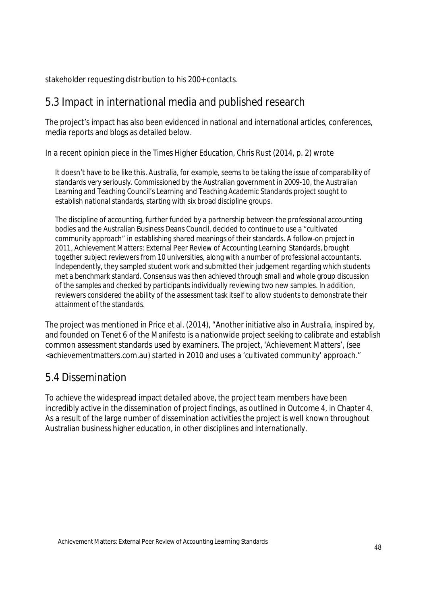stakeholder requesting distribution to his 200+ contacts.

### 5.3 Impact in international media and published research

The project's impact has also been evidenced in national and international articles, conferences, media reports and blogs as detailed below.

In a recent opinion piece in the *Times Higher Education*, Chris Rust (2014, p. 2) wrote

It doesn't have to be like this. Australia, for example, seems to be taking the issue of comparability of standards very seriously. Commissioned by the Australian government in 2009-10, the Australian Learning and Teaching Council's Learning and Teaching Academic Standards project sought to establish national standards, starting with six broad discipline groups.

The discipline of accounting, further funded by a partnership between the professional accounting bodies and the Australian Business Deans Council, decided to continue to use a "cultivated community approach" in establishing shared meanings of their standards. A follow-on project in 2011, Achievement Matters: External Peer Review of Accounting Learning Standards, brought together subject reviewers from 10 universities, along with a number of professional accountants. Independently, they sampled student work and submitted their judgement regarding which students met a benchmark standard. Consensus was then achieved through small and whole group discussion of the samples and checked by participants individually reviewing two new samples. In addition, reviewers considered the ability of the assessment task itself to allow students to demonstrate their attainment of the standards.

The project was mentioned in Price et al. (2014), "Another initiative also in Australia, inspired by, and founded on Tenet 6 of the Manifesto is a nationwide project seeking to calibrate and establish common assessment standards used by examiners. The project, 'Achievement Matters', (see <achievementmatters.com.au) started in 2010 and uses a 'cultivated community' approach."

### 5.4 Dissemination

To achieve the widespread impact detailed above, the project team members have been incredibly active in the dissemination of project findings, as outlined in Outcome 4, in Chapter 4. As a result of the large number of dissemination activities the project is well known throughout Australian business higher education, in other disciplines and internationally.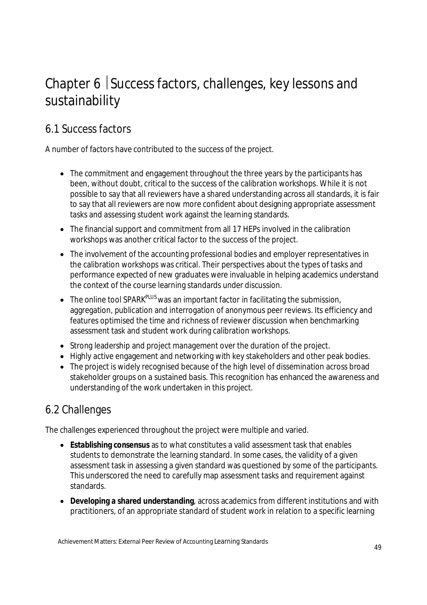# Chapter 6 Success factors, challenges, key lessons and sustainability

## 6.1 Success factors

A number of factors have contributed to the success of the project.

- The commitment and engagement throughout the three years by the participants has been, without doubt, critical to the success of the calibration workshops. While it is not possible to say that all reviewers have a shared understanding across all standards, it is fair to say that all reviewers are now more confident about designing appropriate assessment tasks and assessing student work against the learning standards.
- The financial support and commitment from all 17 HEPs involved in the calibration workshops was another critical factor to the success of the project.
- The involvement of the accounting professional bodies and employer representatives in the calibration workshops was critical. Their perspectives about the types of tasks and performance expected of new graduates were invaluable in helping academics understand the context of the course learning standards under discussion.
- $\bullet$  The online tool SPARK<sup>PLUS</sup> was an important factor in facilitating the submission, aggregation, publication and interrogation of anonymous peer reviews. Its efficiency and features optimised the time and richness of reviewer discussion when benchmarking assessment task and student work during calibration workshops.
- Strong leadership and project management over the duration of the project.
- Highly active engagement and networking with key stakeholders and other peak bodies.
- The project is widely recognised because of the high level of dissemination across broad stakeholder groups on a sustained basis. This recognition has enhanced the awareness and understanding of the work undertaken in this project.

### 6.2 Challenges

The challenges experienced throughout the project were multiple and varied.

- **Establishing consensus** as to what constitutes a valid assessment task that enables students to demonstrate the learning standard. In some cases, the validity of a given assessment task in assessing a given standard was questioned by some of the participants. This underscored the need to carefully map assessment tasks and requirement against standards.
- **Developing a shared understanding**, across academics from different institutions and with practitioners, of an appropriate standard of student work in relation to a specific learning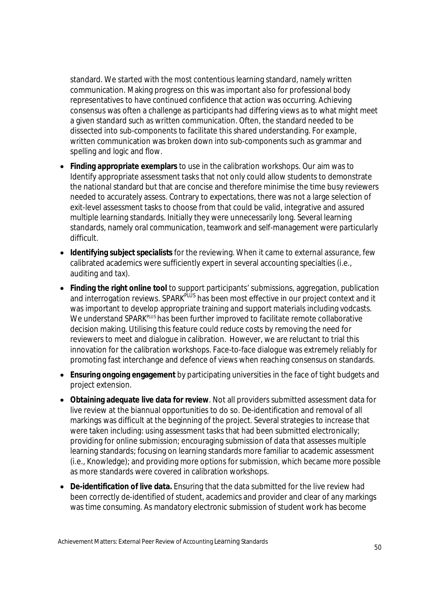standard. We started with the most contentious learning standard, namely written communication. Making progress on this was important also for professional body representatives to have continued confidence that action was occurring. Achieving consensus was often a challenge as participants had differing views as to what might meet a given standard such as written communication. Often, the standard needed to be dissected into sub-components to facilitate this shared understanding. For example, written communication was broken down into sub-components such as grammar and spelling and logic and flow.

- **Finding appropriate exemplars** to use in the calibration workshops. Our aim was to Identify appropriate assessment tasks that not only could allow students to demonstrate the national standard but that are concise and therefore minimise the time busy reviewers needed to accurately assess. Contrary to expectations, there was not a large selection of exit-level assessment tasks to choose from that could be valid, integrative and assured multiple learning standards. Initially they were unnecessarily long. Several learning standards, namely oral communication, teamwork and self-management were particularly difficult.
- **Identifying subject specialists** for the reviewing. When it came to external assurance, few calibrated academics were sufficiently expert in several accounting specialties (i.e., auditing and tax).
- **Finding the right online tool** to support participants' submissions, aggregation, publication and interrogation reviews. SPARK<sup>PLUS</sup> has been most effective in our project context and it was important to develop appropriate training and support materials including vodcasts. We understand SPARK<sup>PLUS</sup> has been further improved to facilitate remote collaborative decision making. Utilising this feature could reduce costs by removing the need for reviewers to meet and dialogue in calibration. However, we are reluctant to trial this innovation for the calibration workshops. Face-to-face dialogue was extremely reliably for promoting fast interchange and defence of views when reaching consensus on standards.
- **Ensuring ongoing engagement** by participating universities in the face of tight budgets and project extension.
- **Obtaining adequate live data for review**. Not all providers submitted assessment data for live review at the biannual opportunities to do so. De-identification and removal of all markings was difficult at the beginning of the project. Several strategies to increase that were taken including: using assessment tasks that had been submitted electronically; providing for online submission; encouraging submission of data that assesses multiple learning standards; focusing on learning standards more familiar to academic assessment (i.e., Knowledge); and providing more options forsubmission, which became more possible as more standards were covered in calibration workshops.
- **De-identification of live data.** Ensuring that the data submitted for the live review had been correctly de-identified of student, academics and provider and clear of any markings was time consuming. As mandatory electronic submission of student work has become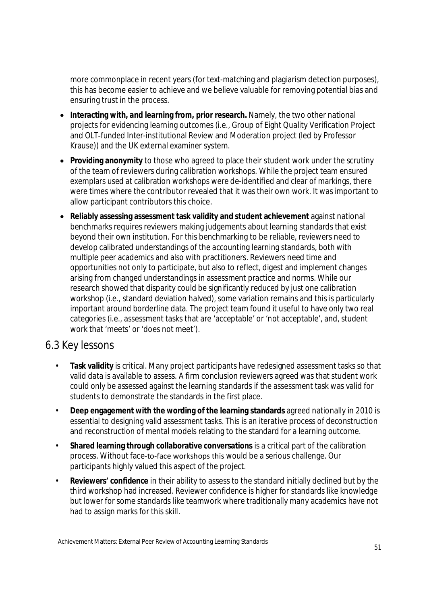more commonplace in recent years (for text-matching and plagiarism detection purposes), this has become easier to achieve and we believe valuable for removing potential bias and ensuring trust in the process.

- **Interacting with, and learning from, prior research.** Namely, the two other national projects for evidencing learning outcomes (i.e., Group of Eight Quality Verification Project and OLT‐funded Inter-institutional Review and Moderation project (led by Professor Krause)) and the UK external examiner system.
- **Providing anonymity** to those who agreed to place their student work under the scrutiny of the team of reviewers during calibration workshops. While the project team ensured exemplars used at calibration workshops were de-identified and clear of markings, there were times where the contributor revealed that it was their own work. It was important to allow participant contributors this choice.
- **Reliably assessing assessment task validity and student achievement** against national benchmarks requires reviewers making judgements about learning standards that exist beyond their own institution. For this benchmarking to be reliable, reviewers need to develop calibrated understandings of the accounting learning standards, both with multiple peer academics and also with practitioners. Reviewers need time and opportunities not only to participate, but also to reflect, digest and implement changes arising from changed understandings in assessment practice and norms. While our research showed that disparity could be significantly reduced by just one calibration workshop (i.e., standard deviation halved), some variation remains and this is particularly important around borderline data. The project team found it useful to have only two real categories (i.e., assessment tasks that are 'acceptable' or 'not acceptable', and, student work that 'meets' or 'does not meet').

### 6.3 Key lessons

- **Task validity** is critical. Many project participants have redesigned assessment tasks so that valid data is available to assess. A firm conclusion reviewers agreed was that student work could only be assessed against the learning standards if the assessment task was valid for students to demonstrate the standards in the first place.
- **Deep engagement with the wording of the learning standards** agreed nationally in 2010 is essential to designing valid assessment tasks. This is an iterative process of deconstruction and reconstruction of mental models relating to the standard for a learning outcome.
- **Shared learning through collaborative conversations** is a critical part of the calibration process. Without face-to-face workshops this would be a serious challenge. Our participants highly valued this aspect of the project.
- **Reviewers' confidence** in their ability to assess to the standard initially declined but by the third workshop had increased. Reviewer confidence is higher for standards like knowledge but lower for some standards like teamwork where traditionally many academics have not had to assign marks for this skill.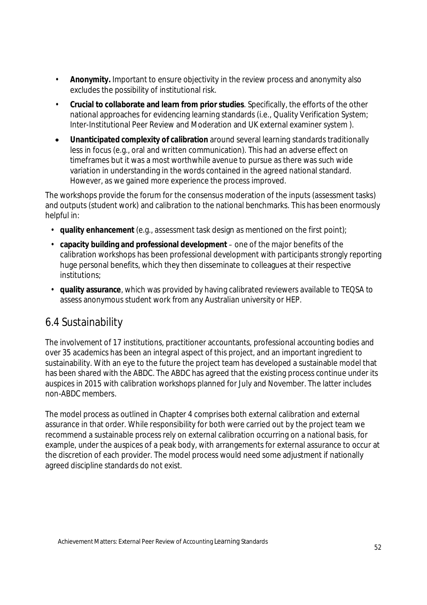- **Anonymity.** Important to ensure objectivity in the review process and anonymity also excludes the possibility of institutional risk.
- **Crucial to collaborate and learn from prior studies**. Specifically, the efforts of the other national approaches for evidencing learning standards (i.e., Quality Verification System; Inter-Institutional Peer Review and Moderation and UK external examiner system ).
- **Unanticipated complexity of calibration** around several learning standards traditionally less in focus (e.g., oral and written communication). This had an adverse effect on timeframes but it was a most worthwhile avenue to pursue as there was such wide variation in understanding in the words contained in the agreed national standard. However, as we gained more experience the process improved.

The workshops provide the forum for the consensus moderation of the inputs (assessment tasks) and outputs (student work) and calibration to the national benchmarks. This has been enormously helpful in:

- **quality enhancement** (e.g., assessment task design as mentioned on the first point);
- **capacity building and professional development** one of the major benefits of the calibration workshops has been professional development with participants strongly reporting huge personal benefits, which they then disseminate to colleagues at their respective institutions;
- **quality assurance**, which was provided by having calibrated reviewers available to TEQSA to assess anonymous student work from any Australian university or HEP.

### 6.4 Sustainability

The involvement of 17 institutions, practitioner accountants, professional accounting bodies and over 35 academics has been an integral aspect of this project, and an important ingredient to sustainability. With an eye to the future the project team has developed a sustainable model that has been shared with the ABDC. The ABDC has agreed that the existing process continue under its auspices in 2015 with calibration workshops planned for July and November. The latter includes non-ABDC members.

The model process as outlined in Chapter 4 comprises both external calibration and external assurance in that order. While responsibility for both were carried out by the project team we recommend a sustainable process rely on external calibration occurring on a national basis, for example, under the auspices of a peak body, with arrangements for external assurance to occur at the discretion of each provider. The model process would need some adjustment if nationally agreed discipline standards do not exist.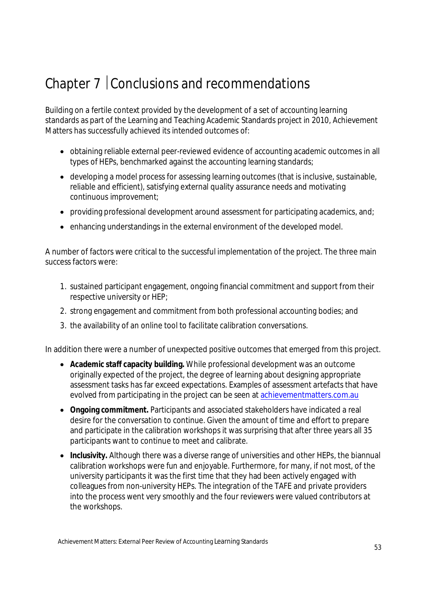# Chapter 7 | Conclusions and recommendations

Building on a fertile context provided by the development of a set of accounting learning standards as part of the Learning and Teaching Academic Standards project in 2010, Achievement Matters has successfully achieved its intended outcomes of:

- obtaining reliable external peer-reviewed evidence of accounting academic outcomes in all types of HEPs, benchmarked against the accounting learning standards;
- developing a model process for assessing learning outcomes (that is inclusive, sustainable, reliable and efficient), satisfying external quality assurance needs and motivating continuous improvement;
- providing professional development around assessment for participating academics, and;
- enhancing understandings in the external environment of the developed model.

A number of factors were critical to the successful implementation of the project. The three main success factors were:

- 1. sustained participant engagement, ongoing financial commitment and support from their respective university or HEP;
- 2. strong engagement and commitment from both professional accounting bodies; and
- 3. the availability of an online tool to facilitate calibration conversations.

In addition there were a number of unexpected positive outcomes that emerged from this project.

- **Academic staff capacity building.** While professional development was an outcome originally expected of the project, the degree of learning about designing appropriate assessment tasks has far exceed expectations. Examples of assessment artefacts that have evolved from participating in the project can be seen at achievementmatters.com.au
- **Ongoing commitment.** Participants and associated stakeholders have indicated a real desire for the conversation to continue. Given the amount of time and effort to prepare and participate in the calibration workshops it was surprising that after three years all 35 participants want to continue to meet and calibrate.
- **Inclusivity.** Although there was a diverse range of universities and other HEPs, the biannual calibration workshops were fun and enjoyable. Furthermore, for many, if not most, of the university participants it was the first time that they had been actively engaged with colleagues from non-university HEPs. The integration of the TAFE and private providers into the process went very smoothly and the four reviewers were valued contributors at the workshops.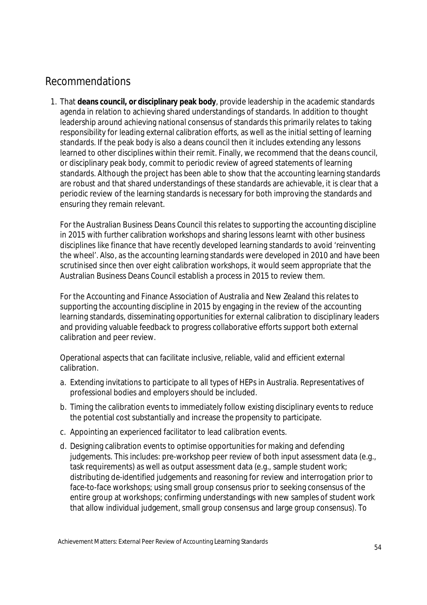### Recommendations

1. That **deans council, or disciplinary peak body**, provide leadership in the academic standards agenda in relation to achieving shared understandings of standards. In addition to thought leadership around achieving national consensus of standards this primarily relates to taking responsibility for leading external calibration efforts, as well as the initial setting of learning standards. If the peak body is also a deans council then it includes extending any lessons learned to other disciplines within their remit. Finally, we recommend that the deans council, or disciplinary peak body, commit to periodic review of agreed statements of learning standards. Although the project has been able to show that the accounting learning standards are robust and that shared understandings of these standards are achievable, it is clear that a periodic review of the learning standards is necessary for both improving the standards and ensuring they remain relevant.

For the Australian Business Deans Council this relates to supporting the accounting discipline in 2015 with further calibration workshops and sharing lessons learnt with other business disciplines like finance that have recently developed learning standards to avoid 'reinventing the wheel'. Also, as the accounting learning standards were developed in 2010 and have been scrutinised since then over eight calibration workshops, it would seem appropriate that the Australian Business Deans Council establish a process in 2015 to review them.

For the Accounting and Finance Association of Australia and New Zealand this relates to supporting the accounting discipline in 2015 by engaging in the review of the accounting learning standards, disseminating opportunities for external calibration to disciplinary leaders and providing valuable feedback to progress collaborative efforts support both external calibration and peer review.

Operational aspects that can facilitate inclusive, reliable, valid and efficient external calibration.

- a. Extending invitations to participate to all types of HEPs in Australia. Representatives of professional bodies and employers should be included.
- b. Timing the calibration events to immediately follow existing disciplinary events to reduce the potential cost substantially and increase the propensity to participate.
- c. Appointing an experienced facilitator to lead calibration events.
- d. Designing calibration events to optimise opportunities for making and defending judgements. This includes: pre-workshop peer review of both input assessment data (e.g., task requirements) as well as output assessment data (e.g., sample student work; distributing de-identified judgements and reasoning for review and interrogation prior to face-to-face workshops; using small group consensus prior to seeking consensus of the entire group at workshops; confirming understandings with new samples of student work that allow individual judgement, small group consensus and large group consensus). To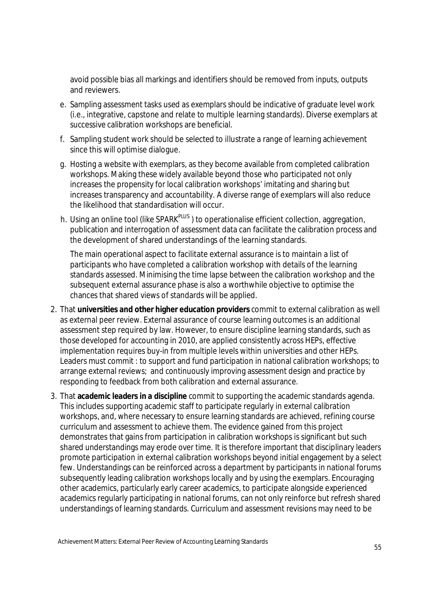avoid possible bias all markings and identifiers should be removed from inputs, outputs and reviewers.

- e. Sampling assessment tasks used as exemplars should be indicative of graduate level work (i.e., integrative, capstone and relate to multiple learning standards). Diverse exemplars at successive calibration workshops are beneficial.
- f. Sampling student work should be selected to illustrate a range of learning achievement since this will optimise dialogue.
- g. Hosting a website with exemplars, as they become available from completed calibration workshops. Making these widely available beyond those who participated not only increases the propensity for local calibration workshops' imitating and sharing but increases transparency and accountability. A diverse range of exemplars will also reduce the likelihood that standardisation will occur.
- h. Using an online tool (like SPARK<sup>PLUS</sup>) to operationalise efficient collection, aggregation, publication and interrogation of assessment data can facilitate the calibration process and the development of shared understandings of the learning standards.

The main operational aspect to facilitate external assurance is to maintain a list of participants who have completed a calibration workshop with details of the learning standards assessed. Minimising the time lapse between the calibration workshop and the subsequent external assurance phase is also a worthwhile objective to optimise the chances that shared views of standards will be applied.

- 2. That **universities and other higher education providers** commit to external calibration as well as external peer review. External assurance of course learning outcomes is an additional assessment step required by law. However, to ensure discipline learning standards, such as those developed for accounting in 2010, are applied consistently across HEPs, effective implementation requires buy-in from multiple levels within universities and other HEPs. Leaders must commit : to support and fund participation in national calibration workshops; to arrange external reviews; and continuously improving assessment design and practice by responding to feedback from both calibration and external assurance.
- 3. That **academic leaders in a discipline** commit to supporting the academic standards agenda. This includes supporting academic staff to participate regularly in external calibration workshops, and, where necessary to ensure learning standards are achieved, refining course curriculum and assessment to achieve them. The evidence gained from this project demonstrates that gains from participation in calibration workshops is significant but such shared understandings may erode over time. It is therefore important that disciplinary leaders promote participation in external calibration workshops beyond initial engagement by a select few. Understandings can be reinforced across a department by participants in national forums subsequently leading calibration workshops locally and by using the exemplars. Encouraging other academics, particularly early career academics, to participate alongside experienced academics regularly participating in national forums, can not only reinforce but refresh shared understandings of learning standards. Curriculum and assessment revisions may need to be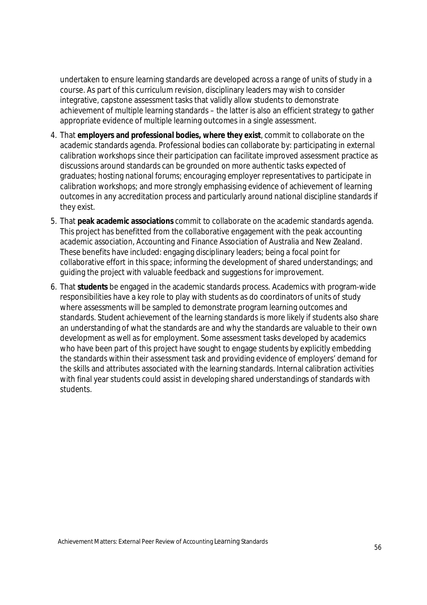undertaken to ensure learning standards are developed across a range of units of study in a course. As part of this curriculum revision, disciplinary leaders may wish to consider integrative, capstone assessment tasks that validly allow students to demonstrate achievement of multiple learning standards – the latter is also an efficient strategy to gather appropriate evidence of multiple learning outcomes in a single assessment.

- 4. That **employers and professional bodies, where they exist**, commit to collaborate on the academic standards agenda. Professional bodies can collaborate by: participating in external calibration workshops since their participation can facilitate improved assessment practice as discussions around standards can be grounded on more authentic tasks expected of graduates; hosting national forums; encouraging employer representatives to participate in calibration workshops; and more strongly emphasising evidence of achievement of learning outcomes in any accreditation process and particularly around national discipline standards if they exist.
- 5. That **peak academic associations** commit to collaborate on the academic standards agenda. This project has benefitted from the collaborative engagement with the peak accounting academic association, Accounting and Finance Association of Australia and New Zealand. These benefits have included: engaging disciplinary leaders; being a focal point for collaborative effort in this space; informing the development of shared understandings; and guiding the project with valuable feedback and suggestions for improvement.
- 6. That **students** be engaged in the academic standards process. Academics with program-wide responsibilities have a key role to play with students as do coordinators of units of study where assessments will be sampled to demonstrate program learning outcomes and standards. Student achievement of the learning standards is more likely if students also share an understanding of what the standards are and why the standards are valuable to their own development as well as for employment. Some assessment tasks developed by academics who have been part of this project have sought to engage students by explicitly embedding the standards within their assessment task and providing evidence of employers' demand for the skills and attributes associated with the learning standards. Internal calibration activities with final year students could assist in developing shared understandings of standards with students.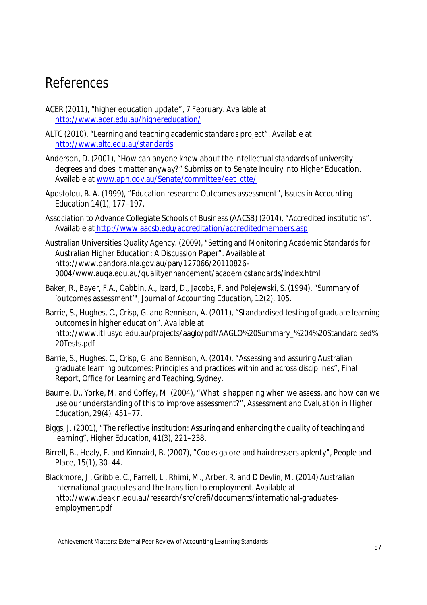# References

- ACER (2011), "higher education update", 7 February. Available at http://www.acer.edu.au/highereducation/
- ALTC (2010), "Learning and teaching academic standards project". Available at http://www.altc.edu.au/standards
- Anderson, D. (2001), "How can anyone know about the intellectual standards of university degrees and does it matter anyway?" Submission to Senate Inquiry into Higher Education. Available at www.aph.gov.au/Senate/committee/eet\_ctte/
- Apostolou, B. A. (1999), "Education research: Outcomes assessment", *Issues in Accounting Education* 14(1), 177–197.
- Association to Advance Collegiate Schools of Business (AACSB) (2014), "Accredited institutions". Available at http://www.aacsb.edu/accreditation/accreditedmembers.asp
- Australian Universities Quality Agency. (2009), "Setting and Monitoring Academic Standards for Australian Higher Education: A Discussion Paper". Available at http://www.pandora.nla.gov.au/pan/127066/20110826- 0004/www.auqa.edu.au/qualityenhancement/academicstandards/index.html
- Baker, R., Bayer, F.A., Gabbin, A., Izard, D., Jacobs, F. and Polejewski, S. (1994), "Summary of 'outcomes assessment'", *Journal of Accounting Education*, 12(2), 105.
- Barrie, S., Hughes, C., Crisp, G. and Bennison, A. (2011), "Standardised testing of graduate learning outcomes in higher education". Available at http://www.itl.usyd.edu.au/projects/aaglo/pdf/AAGLO%20Summary\_%204%20Standardised% 20Tests.pdf
- Barrie, S., Hughes, C., Crisp, G. and Bennison, A. (2014), "Assessing and assuring Australian graduate learning outcomes: Principles and practices within and across disciplines", Final Report, Office for Learning and Teaching, Sydney.
- Baume, D., Yorke, M. and Coffey, M. (2004), "What is happening when we assess, and how can we use our understanding of this to improve assessment?", *Assessment and Evaluation in Higher Education*, 29(4), 451–77.
- Biggs, J. (2001), "The reflective institution: Assuring and enhancing the quality of teaching and learning", *Higher Education*, 41(3), 221–238.
- Birrell, B., Healy, E. and Kinnaird, B. (2007), "Cooks galore and hairdressers aplenty", *People and Place*, 15(1), 30–44.
- Blackmore, J., Gribble, C., Farrell, L., Rhimi, M., Arber, R. and D Devlin, M. (2014) *Australian international graduates and the transition to employment*. Available at http://www.deakin.edu.au/research/src/crefi/documents/international-graduatesemployment.pdf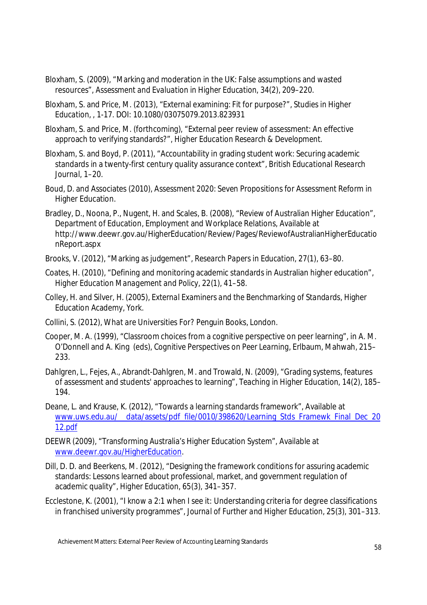- Bloxham, S. (2009), "Marking and moderation in the UK: False assumptions and wasted resources", *Assessment and Evaluation in Higher Education*, 34(2), 209–220.
- Bloxham, S. and Price, M. (2013), "External examining: Fit for purpose?", *Studies in Higher Education*, , 1-17. DOI: 10.1080/03075079.2013.823931
- Bloxham, S. and Price, M. (forthcoming), "External peer review of assessment: An effective approach to verifying standards?", *Higher Education Research & Development*.
- Bloxham, S. and Boyd, P. (2011), "Accountability in grading student work: Securing academic standards in a twenty-first century quality assurance context", *British Educational Research Journal*, 1–20.
- Boud, D. and Associates (2010), Assessment 2020: Seven Propositions for Assessment Reform in Higher Education.
- Bradley, D., Noona, P., Nugent, H. and Scales, B. (2008), "Review of Australian Higher Education", Department of Education, Employment and Workplace Relations, Available at http://www.deewr.gov.au/HigherEducation/Review/Pages/ReviewofAustralianHigherEducatio nReport.aspx
- Brooks, V. (2012), "Marking as judgement", *Research Papers in Education*, 27(1), 63–80.
- Coates, H. (2010), "Defining and monitoring academic standards in Australian higher education", *Higher Education Management and Policy*, 22(1), 41–58.
- Colley, H. and Silver, H. (2005), *External Examiners and the Benchmarking of Standards*, Higher Education Academy, York.
- Collini, S. (2012), *What are Universities For*? Penguin Books, London.
- Cooper, M. A. (1999), "Classroom choices from a cognitive perspective on peer learning", in A. M. O'Donnell and A. King (eds), *Cognitive Perspectives on Peer Learning*, Erlbaum, Mahwah, 215– 233.
- Dahlgren, L., Fejes, A., Abrandt-Dahlgren, M. and Trowald, N. (2009), "Grading systems, features of assessment and students' approaches to learning", *Teaching in Higher Education*, 14(2), 185– 194.
- Deane, L. and Krause, K. (2012), "Towards a learning standards framework", Available at www.uws.edu.au/ data/assets/pdf\_file/0010/398620/Learning\_Stds\_Framewk\_Final\_Dec\_20 12.pdf
- DEEWR (2009), "Transforming Australia's Higher Education System", Available at www.deewr.gov.au/HigherEducation.
- Dill, D. D. and Beerkens, M. (2012), "Designing the framework conditions for assuring academic standards: Lessons learned about professional, market, and government regulation of academic quality", *Higher Education*, 65(3), 341–357.
- Ecclestone, K. (2001), "I know a 2:1 when I see it: Understanding criteria for degree classifications in franchised university programmes", *Journal of Further and Higher Education*, 25(3), 301–313.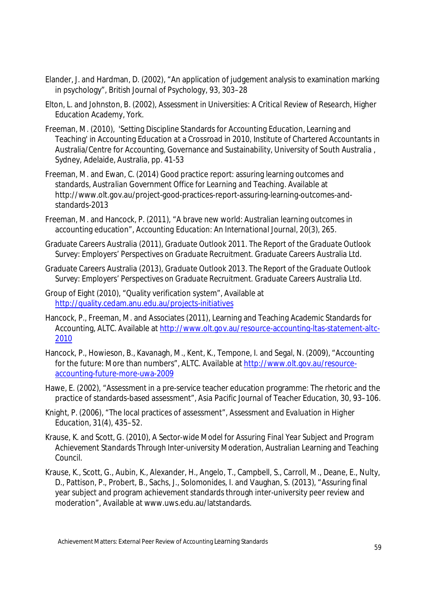- Elander, J. and Hardman, D. (2002), "An application of judgement analysis to examination marking in psychology", *British Journal of Psychology*, 93, 303–28
- Elton, L. and Johnston, B. (2002), *Assessment in Universities: A Critical Review of Research*, Higher Education Academy, York.
- Freeman, M. (2010), 'Setting Discipline Standards for Accounting Education, Learning and Teaching' in Accounting Education at a Crossroad in 2010, Institute of Chartered Accountants in Australia/Centre for Accounting, Governance and Sustainability, University of South Australia , Sydney, Adelaide, Australia, pp. 41-53
- Freeman, M. and Ewan, C. (2014) Good practice report: assuring learning outcomes and standards, *Australian Government Office for Learning and Teaching*. Available at http://www.olt.gov.au/project-good-practices-report-assuring-learning-outcomes-andstandards-2013
- Freeman, M. and Hancock, P. (2011), "A brave new world: Australian learning outcomes in accounting education", *Accounting Education: An International Journal,* 20(3), 265.
- Graduate Careers Australia (2011), *Graduate Outlook 2011. The Report of the Graduate Outlook Survey: Employers' Perspectives on Graduate Recruitment*. Graduate Careers Australia Ltd.
- Graduate Careers Australia (2013), *Graduate Outlook 2013*. *The Report of the Graduate Outlook Survey: Employers' Perspectives on Graduate Recruitment*. Graduate Careers Australia Ltd.
- Group of Eight (2010), "Quality verification system", Available at http://quality.cedam.anu.edu.au/projects-initiatives
- Hancock, P., Freeman, M. and Associates (2011), Learning and Teaching Academic Standards for Accounting, ALTC. Available at http://www.olt.gov.au/resource-accounting-ltas-statement-altc-2010
- Hancock, P., Howieson, B., Kavanagh, M., Kent, K., Tempone, I. and Segal, N. (2009), "Accounting for the future: More than numbers", ALTC. Available at http://www.olt.gov.au/resourceaccounting-future-more-uwa-2009
- Hawe, E. (2002), "Assessment in a pre-service teacher education programme: The rhetoric and the practice of standards-based assessment", *Asia Pacific Journal of Teacher Education*, 30, 93–106.
- Knight, P. (2006), "The local practices of assessment", *Assessment and Evaluation in Higher Education*, 31(4), 435–52.
- Krause, K. and Scott, G. (2010), *A Sector-wide Model for Assuring Final Year Subject and Program Achievement Standards Through Inter-university Moderation*, Australian Learning and Teaching Council.
- Krause, K., Scott, G., Aubin, K., Alexander, H., Angelo, T., Campbell, S., Carroll, M., Deane, E., Nulty, D., Pattison, P., Probert, B., Sachs, J., Solomonides, I. and Vaughan, S. (2013), "Assuring final year subject and program achievement standards through inter-university peer review and moderation", Available at www.uws.edu.au/latstandards.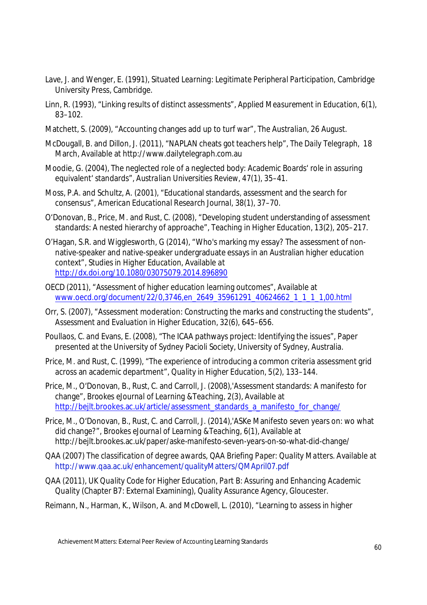- Lave, J. and Wenger, E. (1991), *Situated Learning: Legitimate Peripheral Participation*, Cambridge University Press, Cambridge.
- Linn, R. (1993), "Linking results of distinct assessments", *Applied Measurement in Education,* 6(1), 83–102.
- Matchett, S. (2009), "Accounting changes add up to turf war", *The Australian*, 26 August.
- McDougall, B. and Dillon, J. (2011), "NAPLAN cheats got teachers help", *The Daily Telegraph*, 18 March, Available at http://www.dailytelegraph.com.au
- Moodie, G. (2004), The neglected role of a neglected body: Academic Boards' role in assuring equivalent' standards", *Australian Universities Review*, 47(1), 35–41.
- Moss, P.A. and Schultz, A. (2001), "Educational standards, assessment and the search for consensus", *American Educational Research Journal*, 38(1), 37–70.
- O'Donovan, B., Price, M. and Rust, C. (2008), "Developing student understanding of assessment standards: A nested hierarchy of approache", *Teaching in Higher Education*, 13(2), 205–217.
- O'Hagan, S.R. and Wigglesworth, G (2014), "Who's marking my essay? The assessment of nonnative-speaker and native-speaker undergraduate essays in an Australian higher education context", *Studies in Higher Education*, Available at http://dx.doi.org/10.1080/03075079.2014.896890
- OECD (2011), "Assessment of higher education learning outcomes", Available at www.oecd.org/document/22/0,3746,en\_2649\_35961291\_40624662\_1\_1\_1\_1,00.html
- Orr, S. (2007), "Assessment moderation: Constructing the marks and constructing the students", *Assessment and Evaluation in Higher Education*, 32(6), 645–656.
- Poullaos, C. and Evans, E. (2008), "The ICAA pathways project: Identifying the issues", Paper presented at the University of Sydney Pacioli Society, University of Sydney, Australia.
- Price, M. and Rust, C. (1999), "The experience of introducing a common criteria assessment grid across an academic department", *Quality in Higher Education*, 5(2), 133–144.
- Price, M., O'Donovan, B., Rust, C. and Carroll, J. (2008),'Assessment standards: A manifesto for change", *Brookes eJournal of Learning &Teaching*, 2(3), Available at http://bejlt.brookes.ac.uk/article/assessment\_standards\_a\_manifesto\_for\_change/
- Price, M., O'Donovan, B., Rust, C. and Carroll, J. (2014),'ASKe Manifesto seven years on: wo what did change?", *Brookes eJournal of Learning &Teaching*, 6(1), Available at http://bejlt.brookes.ac.uk/paper/aske-manifesto-seven-years-on-so-what-did-change/
- QAA (2007) *The classification of degree awards, QAA Briefing Paper: Quality Matters.* Available at http://www.qaa.ac.uk/enhancement/qualityMatters/QMApril07.pdf
- QAA (2011), *UK Quality Code for Higher Education, Part B: Assuring and Enhancing Academic Quality* (Chapter B7: External Examining), Quality Assurance Agency, Gloucester.
- Reimann, N., Harman, K., Wilson, A. and McDowell, L. (2010), "Learning to assess in higher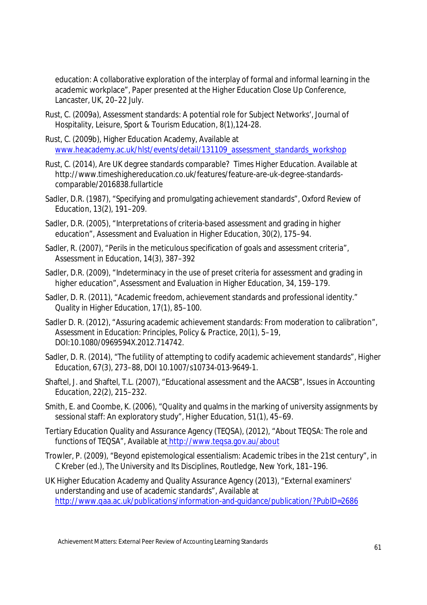education: A collaborative exploration of the interplay of formal and informal learning in the academic workplace", Paper presented at the Higher Education Close Up Conference, Lancaster, UK, 20–22 July.

- Rust, C. (2009a), Assessment standards: A potential role for Subject Networks', Journal of Hospitality, Leisure, Sport & Tourism Education, 8(1),124-28.
- Rust, C. (2009b), Higher Education Academy, Available at www.heacademy.ac.uk/hlst/events/detail/131109\_assessment\_standards\_workshop
- Rust, C. (2014), Are UK degree standards comparable? *Times Higher Education*. Available at http://www.timeshighereducation.co.uk/features/feature-are-uk-degree-standardscomparable/2016838.fullarticle
- Sadler, D.R. (1987), "Specifying and promulgating achievement standards", Oxford Review of Education, 13(2), 191–209.
- Sadler, D.R. (2005), "Interpretations of criteria-based assessment and grading in higher education", Assessment and Evaluation in Higher Education, 30(2), 175–94.
- Sadler, R. (2007), "Perils in the meticulous specification of goals and assessment criteria", Assessment in Education, 14(3), 387–392
- Sadler, D.R. (2009), "Indeterminacy in the use of preset criteria for assessment and grading in higher education", Assessment and Evaluation in Higher Education, 34, 159–179.
- Sadler, D. R. (2011), "Academic freedom, achievement standards and professional identity." Quality in Higher Education, 17(1), 85–100.
- Sadler D. R. (2012), "Assuring academic achievement standards: From moderation to calibration", *Assessment in Education: Principles, Policy & Practice*, 20(1), 5–19, DOI:10.1080/0969594X.2012.714742.
- Sadler, D. R. (2014), "The futility of attempting to codify academic achievement standards", *Higher Education*, 67(3), 273–88, DOI 10.1007/s10734-013-9649-1.
- Shaftel, J. and Shaftel, T.L. (2007), "Educational assessment and the AACSB", *Issues in Accounting Education*, 22(2), 215–232.
- Smith, E. and Coombe, K. (2006), "Quality and qualms in the marking of university assignments by sessional staff: An exploratory study", *Higher Education,* 51(1), 45–69.
- Tertiary Education Quality and Assurance Agency (TEQSA), (2012), "About TEQSA: The role and functions of TEQSA", Available at http://www.teqsa.gov.au/about
- Trowler, P. (2009), "Beyond epistemological essentialism: Academic tribes in the 21st century", in C Kreber (ed.), *The University and Its Disciplines*, Routledge, New York, 181–196.
- UK Higher Education Academy and Quality Assurance Agency (2013), "External examiners' understanding and use of academic standards", Available at http://www.qaa.ac.uk/publications/information-and-guidance/publication/?PubID=2686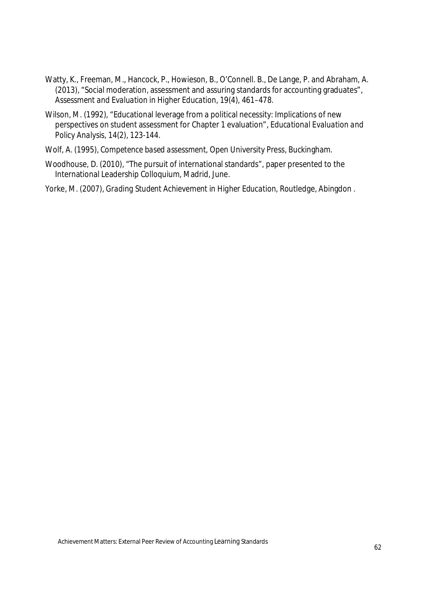- Watty, K., Freeman, M., Hancock, P., Howieson, B., O'Connell. B., De Lange, P. and Abraham, A. (2013), "Social moderation, assessment and assuring standards for accounting graduates", *Assessment and Evaluation in Higher Education*, 19(4), 461–478.
- Wilson, M. (1992), "Educational leverage from a political necessity: Implications of new perspectives on student assessment for Chapter 1 evaluation", *Educational Evaluation and Policy Analysis*, 14(2), 123-144.
- Wolf, A. (1995), *Competence based assessment*, Open University Press, Buckingham.
- Woodhouse, D. (2010), "The pursuit of international standards", paper presented to the International Leadership Colloquium, Madrid, June.
- Yorke, M. (2007), *Grading Student Achievement in Higher Education*, Routledge, Abingdon .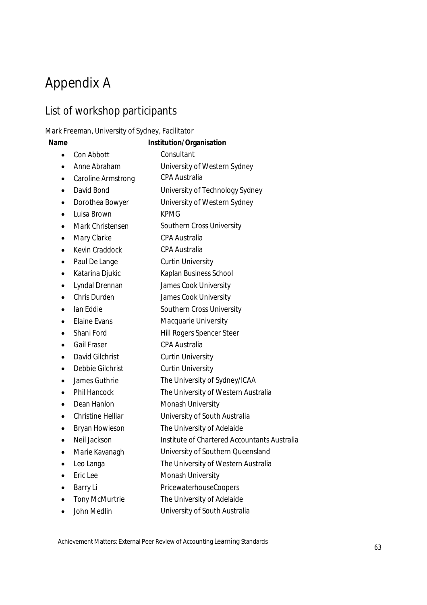# Appendix A

### List of workshop participants

#### Mark Freeman, University of Sydney, Facilitator

#### **Name Institution/Organisation**

- Con Abbott Consultant
- Anne Abraham University of Western Sydney
- Caroline Armstrong CPA Australia
- David Bond University of Technology Sydney
- Dorothea Bowyer University of Western Sydney
- Luisa Brown KPMG
- Mark Christensen Southern Cross University
- Mary Clarke CPA Australia
- Kevin Craddock CPA Australia
- Paul De Lange Curtin University
- Katarina Djukic Kaplan Business School
- Lyndal Drennan James Cook University
- Chris Durden James Cook University
- Ian Eddie Southern Cross University
- Elaine Evans Macquarie University
- Shani Ford Hill Rogers Spencer Steer
- Gail Fraser CPA Australia
- David Gilchrist Curtin University
- Debbie Gilchrist Curtin University
- James Guthrie The University of Sydney/ICAA
- Phil Hancock The University of Western Australia
- Dean Hanlon Monash University
- Christine Helliar University of South Australia
- Bryan Howieson The University of Adelaide
- Neil Jackson Institute of Chartered Accountants Australia
- Marie Kavanagh University of Southern Queensland
- Leo Langa The University of Western Australia
- Eric Lee Monash University
- Barry Li PricewaterhouseCoopers
- Tony McMurtrie The University of Adelaide
- John Medlin University of South Australia

Achievement Matters: External Peer Review of Accounting Learning Standards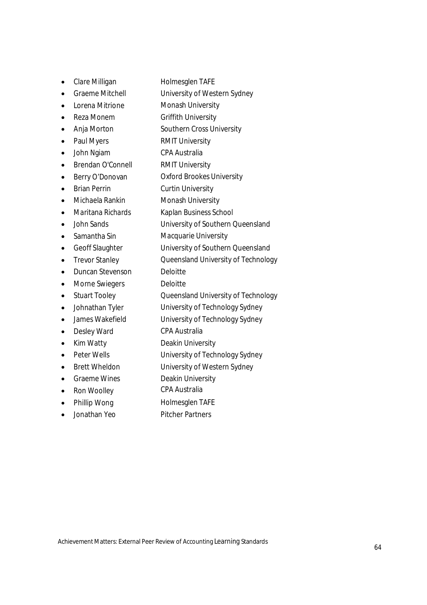- Clare Milligan Holmesglen TAFE
- Graeme Mitchell University of Western Sydney
- Lorena Mitrione Monash University
- Reza Monem Griffith University
- Anja Morton Southern Cross University
- Paul Myers RMIT University
- John Ngiam CPA Australia
- Brendan O'Connell RMIT University
- Berry O'Donovan Oxford Brookes University
- Brian Perrin Curtin University
- Michaela Rankin Monash University
- Maritana Richards Kaplan Business School
- John Sands University of Southern Queensland
- Samantha Sin Macquarie University
- Geoff Slaughter University of Southern Queensland
- Trevor Stanley **Queensland University of Technology**
- Duncan Stevenson Deloitte
- Morne Swiegers Deloitte
- Stuart Tooley Queensland University of Technology
- Johnathan Tyler University of Technology Sydney
- James Wakefield University of Technology Sydney
- Desley Ward CPA Australia
- Kim Watty **Deakin University**
- Peter Wells **University of Technology Sydney**
- Brett Wheldon University of Western Sydney
- Graeme Wines **Deakin University**
- Ron Woolley CPA Australia
- Phillip Wong Holmesglen TAFE
- Jonathan Yeo Pitcher Partners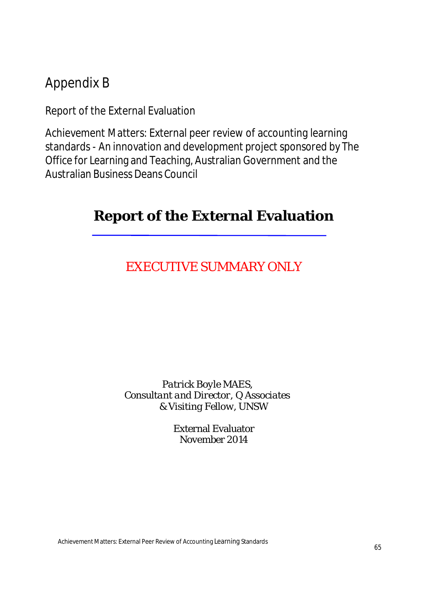# Appendix B

Report of the External Evaluation

Achievement Matters: External peer review of accounting learning standards - An innovation and development project sponsored by The Office for Learning and Teaching, Australian Government and the Australian Business Deans Council

# **Report of the External Evaluation**

# EXECUTIVE SUMMARY ONLY

### *Patrick Boyle MAES, Consultant and Director, Q Associates & Visiting Fellow, UNSW*

External Evaluator November 2014

Achievement Matters: External Peer Review of Accounting Learning Standards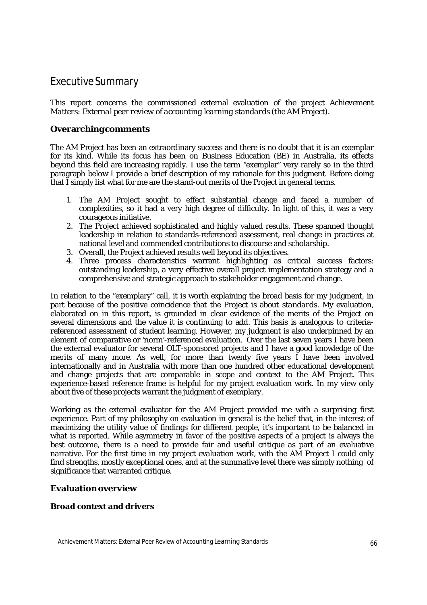### Executive Summary

This report concerns the commissioned external evaluation of the project *Achievement Matters: External peer review of accounting learning standards* (the AM Project).

#### **Overarchingcomments**

The AM Project has been an extraordinary success and there is no doubt that it is an exemplar for its kind. While its focus has been on Business Education (BE) in Australia, its effects beyond this field are increasing rapidly. I use the term "exemplar" very rarely so in the third paragraph below I provide a brief description of my rationale for this judgment. Before doing that I simply list what for me are the stand-out merits of the Project in general terms.

- 1. The AM Project sought to effect substantial change and faced a number of complexities, so it had a very high degree of difficulty. In light of this, it was a very courageous initiative.
- 2. The Project achieved sophisticated and highly valued results. These spanned thought leadership in relation to standards-referenced assessment, real change in practices at national level and commended contributions to discourse and scholarship.
- 3. Overall, the Project achieved results well beyond its objectives.
- 4. Three process characteristics warrant highlighting as critical success factors: outstanding leadership, a very effective overall project implementation strategy and a comprehensive and strategic approach to stakeholder engagement and change.

In relation to the "exemplary" call, it is worth explaining the broad basis for my judgment, in part because of the positive coincidence that the Project is about *standards*. My evaluation, elaborated on in this report, is grounded in clear evidence of the merits of the Project on several dimensions and the value it is continuing to add. This basis is analogous to criteriareferenced assessment of student learning. However, my judgment is also underpinned by an element of comparative or 'norm'-referenced evaluation. Over the last seven years I have been the external evaluator for several OLT-sponsored projects and I have a good knowledge of the merits of many more. As well, for more than twenty five years I have been involved internationally and in Australia with more than one hundred other educational development and change projects that are comparable in scope and context to the AM Project. This experience-based reference frame is helpful for my project evaluation work. In my view only about five of these projects warrant the judgment of exemplary.

Working as the external evaluator for the AM Project provided me with a surprising first experience. Part of my philosophy on evaluation in general is the belief that, in the interest of maximizing the utility value of findings for different people, it's important to be balanced in what is reported. While asymmetry in favor of the positive aspects of a project is always the best outcome, there is a need to provide fair and useful critique as part of an evaluative narrative. For the first time in my project evaluation work, with the AM Project I could only find strengths, mostly exceptional ones, and at the summative level there was simply nothing of significance that warranted critique.

#### **Evaluationoverview**

#### *Broad context and drivers*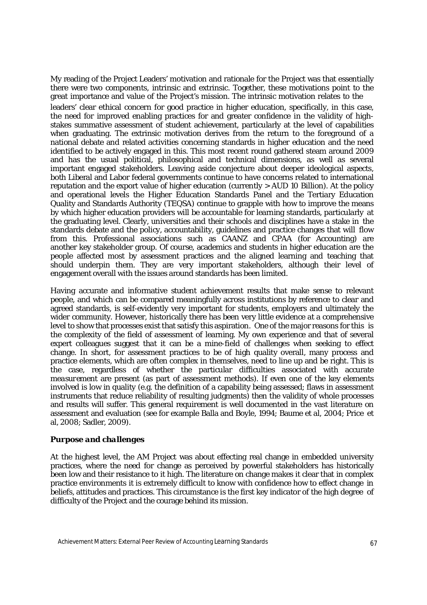My reading of the Project Leaders' motivation and rationale for the Project was that essentially there were two components, intrinsic and extrinsic. Together, these motivations point to the great importance and value of the Project's mission. The intrinsic motivation relates to the leaders' clear ethical concern for good practice in higher education, specifically, in this case, the need for improved enabling practices for and greater confidence in the validity of highstakes summative assessment of student achievement, particularly at the level of capabilities when graduating. The extrinsic motivation derives from the return to the foreground of a national debate and related activities concerning standards in higher education and the need identified to be actively engaged in this. This most recent round gathered steam around 2009 and has the usual political, philosophical and technical dimensions, as well as several important engaged stakeholders. Leaving aside conjecture about deeper ideological aspects, both Liberal and Labor federal governments continue to have concerns related to international reputation and the export value of higher education (currently > AUD 10 Billion). At the policy and operational levels the Higher Education Standards Panel and the Tertiary Education Quality and Standards Authority (TEQSA) continue to grapple with how to improve the means by which higher education providers will be accountable for learning standards, particularly at the graduating level. Clearly, universities and their schools and disciplines have a stake in the standards debate and the policy, accountability, guidelines and practice changes that will flow from this. Professional associations such as CAANZ and CPAA (for Accounting) are another key stakeholder group. Of course, academics and students in higher education are the people affected most by assessment practices and the aligned learning and teaching that should underpin them. They are very important stakeholders, although their level of engagement overall with the issues around standards has been limited.

Having accurate and informative student achievement results that make sense to relevant people, and which can be compared meaningfully across institutions by reference to clear and agreed standards, is self-evidently very important for students, employers and ultimately the wider community. However, historically there has been very little evidence at a comprehensive level to show that processes exist that satisfy this aspiration. One of the major reasons for this is the complexity of the field of assessment of learning. My own experience and that of several expert colleagues suggest that it can be a mine-field of challenges when seeking to effect change. In short, for assessment practices to be of high quality overall, many process and practice elements, which are often complex in themselves, need to line up and be right. This is the case, regardless of whether the particular difficulties associated with accurate *measurement* are present (as part of assessment methods). If even one of the key elements involved is low in quality (e.g. the definition of a capability being assessed; flaws in assessment instruments that reduce reliability of resulting judgments) then the validity of whole processes and results will suffer. This general requirement is well documented in the vast literature on assessment and evaluation (see for example Balla and Boyle, 1994; Baume et al, 2004; Price et al, 2008; Sadler, 2009).

#### *Purpose and challenges*

At the highest level, the AM Project was about effecting real change in embedded university practices, where the need for change as perceived by powerful stakeholders has historically been low and their resistance to it high. The literature on change makes it clear that in complex practice environments it is extremely difficult to know with confidence how to effect change in beliefs, attitudes and practices. This circumstance is the first key indicator of the high degree of difficulty of the Project and the courage behind its mission.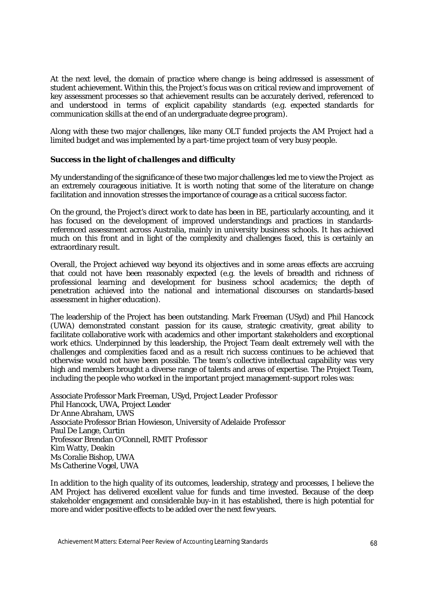At the next level, the domain of practice where change is being addressed is assessment of student achievement. Within this, the Project's focus was on critical review and improvement of key assessment processes so that achievement results can be accurately derived, referenced to and understood in terms of explicit capability standards (e.g. expected standards for communication skills at the end of an undergraduate degree program).

Along with these two major challenges, like many OLT funded projects the AM Project had a limited budget and was implemented by a part-time project team of very busy people.

#### *Success in the light of challenges and difficulty*

My understanding of the significance of these two major challenges led me to view the Project as an extremely courageous initiative. It is worth noting that some of the literature on change facilitation and innovation stresses the importance of courage as a critical success factor.

On the ground, the Project's direct work to date has been in BE, particularly accounting, and it has focused on the development of improved understandings and practices in standardsreferenced assessment across Australia, mainly in university business schools. It has achieved much on this front and in light of the complexity and challenges faced, this is certainly an extraordinary result.

Overall, the Project achieved way beyond its objectives and in some areas effects are accruing that could not have been reasonably expected (e.g. the levels of breadth and richness of professional learning and development for business school academics; the depth of penetration achieved into the national and international discourses on standards-based assessment in higher education).

The leadership of the Project has been outstanding. Mark Freeman (USyd) and Phil Hancock (UWA) demonstrated constant passion for its cause, strategic creativity, great ability to facilitate collaborative work with academics and other important stakeholders and exceptional work ethics. Underpinned by this leadership, the Project Team dealt extremely well with the challenges and complexities faced and as a result rich success continues to be achieved that otherwise would not have been possible. The team's collective intellectual capability was very high and members brought a diverse range of talents and areas of expertise. The Project Team, including the people who worked in the important project management-support roles was:

Associate Professor Mark Freeman, USyd, Project Leader Professor Phil Hancock, UWA, Project Leader Dr Anne Abraham, UWS Associate Professor Brian Howieson, University of Adelaide Professor Paul De Lange, Curtin Professor Brendan O'Connell, RMIT Professor Kim Watty, Deakin Ms Coralie Bishop, UWA Ms Catherine Vogel, UWA

In addition to the high quality of its outcomes, leadership, strategy and processes, I believe the AM Project has delivered excellent value for funds and time invested. Because of the deep stakeholder engagement and considerable buy-in it has established, there is high potential for more and wider positive effects to be added over the next few years.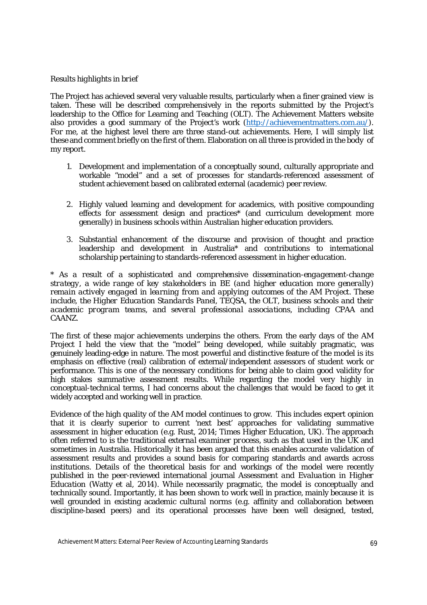#### *Results highlights in brief*

The Project has achieved several very valuable results, particularly when a finer grained view is taken. These will be described comprehensively in the reports submitted by the Project's leadership to the Office for Learning and Teaching (OLT). The Achievement Matters website also provides a good summary of the Project's work (http://achievementmatters.com.au/). For me, at the highest level there are three stand-out achievements. Here, I will simply list these and comment briefly on the first of them. Elaboration on all three is provided in the body of my report.

- 1. Development and implementation of a conceptually sound, culturally appropriate and workable "model" and a set of processes for standards-referenced assessment of student achievement based on calibrated external (academic) peer review.
- 2. Highly valued learning and development for academics, with positive compounding effects for assessment design and practices\* (and curriculum development more generally) in business schools within Australian higher education providers.
- 3. Substantial enhancement of the discourse and provision of thought and practice leadership and development in Australia\* and contributions to international scholarship pertaining to standards-referenced assessment in higher education.

*\* As a result of a sophisticated and comprehensive dissemination-engagement-change strategy, a wide range of key stakeholders in BE (and higher education more generally) remain actively engaged in learning from and applying outcomes of the AM Project. These include, the Higher Education Standards Panel, TEQSA, the OLT, business schools and their academic program teams, and several professional associations, including CPAA and CAANZ.*

The first of these major achievements underpins the others. From the early days of the AM Project I held the view that the "model" being developed, while suitably pragmatic, was genuinely leading-edge in nature. The most powerful and distinctive feature of the model is its emphasis on effective (real) calibration of external/independent assessors of student work or performance. This is one of the necessary conditions for being able to claim good validity for high stakes summative assessment results. While regarding the model very highly in conceptual-technical terms, I had concerns about the challenges that would be faced to get it widely accepted and working well in practice.

Evidence of the high quality of the AM model continues to grow. This includes expert opinion that it is clearly superior to current 'next best' approaches for validating summative assessment in higher education (e.g. Rust, 2014; Times Higher Education, UK). The approach often referred to is the traditional *external examiner process*, such as that used in the UK and sometimes in Australia. Historically it has been argued that this enables accurate validation of assessment results and provides a sound basis for comparing standards and awards across institutions. Details of the theoretical basis for and workings of the model were recently published in the peer-reviewed international journal *Assessment and Evaluation in Higher Education* (Watty et al, 2014). While necessarily pragmatic, the model is conceptually and technically sound. Importantly, it has been shown to work well in practice, mainly because it is well grounded in existing academic cultural norms (e.g. affinity and collaboration between discipline-based peers) and its operational processes have been well designed, tested,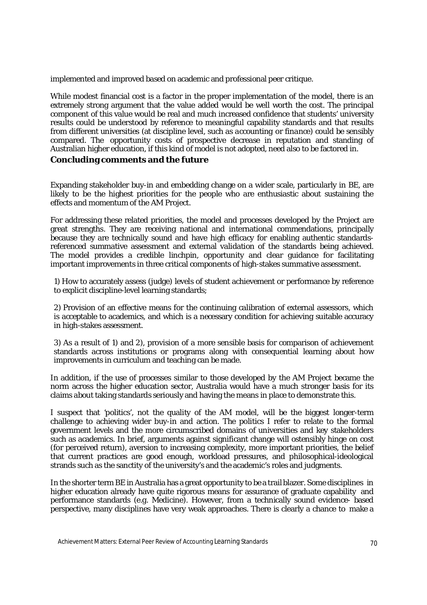implemented and improved based on academic and professional peer critique.

While modest financial cost is a factor in the proper implementation of the model, there is an extremely strong argument that the value added would be well worth the cost. The principal component of this value would be real and much increased confidence that students' university results could be understood by reference to meaningful capability standards and that results from different universities (at discipline level, such as *accounting* or *finance*) could be sensibly compared. The opportunity costs of prospective decrease in reputation and standing of Australian higher education, if this kind of model is not adopted, need also to be factored in.

#### **Concluding comments and the future**

Expanding stakeholder buy-in and embedding change on a wider scale, particularly in BE, are likely to be the highest priorities for the people who are enthusiastic about sustaining the effects and momentum of the AM Project.

For addressing these related priorities, the model and processes developed by the Project are great strengths. They are receiving national and international commendations, principally because they are technically sound and have high efficacy for enabling authentic standardsreferenced summative assessment and external validation of the standards being achieved. The model provides a credible linchpin, opportunity and clear guidance for facilitating important improvements in three critical components of high-stakes summative assessment.

1) How to accurately assess (judge) levels of student achievement or performance by reference to explicit discipline-level learning standards;

2) Provision of an effective means for the continuing calibration of external assessors, which is acceptable to academics, and which is a necessary condition for achieving suitable accuracy in high-stakes assessment.

3) As a result of 1) and 2), provision of a more sensible basis for comparison of achievement standards across institutions or programs along with consequential learning about how improvements in curriculum and teaching can be made.

In addition, if the use of processes similar to those developed by the AM Project became the norm across the higher education sector, Australia would have a much stronger basis for its claims about taking standards seriously and having the means in place to demonstrate this.

I suspect that 'politics', not the quality of the AM model, will be the biggest longer-term challenge to achieving wider buy-in and action. The politics I refer to relate to the formal government levels and the more circumscribed domains of universities and key stakeholders such as academics. In brief, arguments against significant change will ostensibly hinge on cost (for perceived return), aversion to increasing complexity, more important priorities, the belief that current practices are good enough, workload pressures, and philosophical-ideological strands such as the sanctity of the university's and the academic's roles and judgments.

In the shorter term BE in Australia has a great opportunity to be a trailblazer. Some disciplines in higher education already have quite rigorous means for assurance of graduate capability and performance standards (e.g. Medicine). However, from a technically sound evidence- based perspective, many disciplines have very weak approaches. There is clearly a chance to make a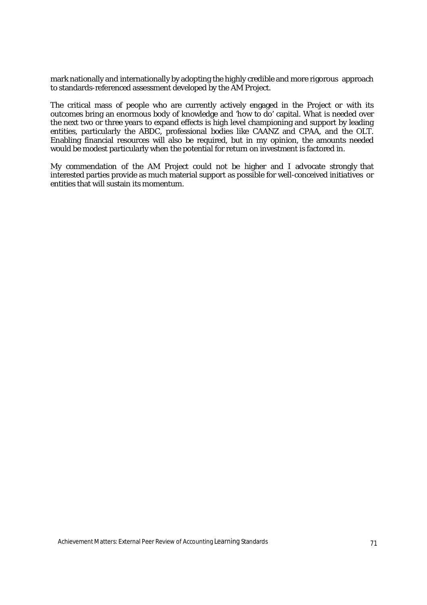mark nationally and internationally by adopting the highly credible and more rigorous approach to standards-referenced assessment developed by the AM Project.

The critical mass of people who are currently actively engaged in the Project or with its outcomes bring an enormous body of knowledge and 'how to do' capital. What is needed over the next two or three years to expand effects is high level championing and support by leading entities, particularly the ABDC, professional bodies like CAANZ and CPAA, and the OLT. Enabling financial resources will also be required, but in my opinion, the amounts needed would be modest particularly when the potential for return on investment is factored in.

My commendation of the AM Project could not be higher and I advocate strongly that interested parties provide as much material support as possible for well-conceived initiatives or entities that will sustain its momentum.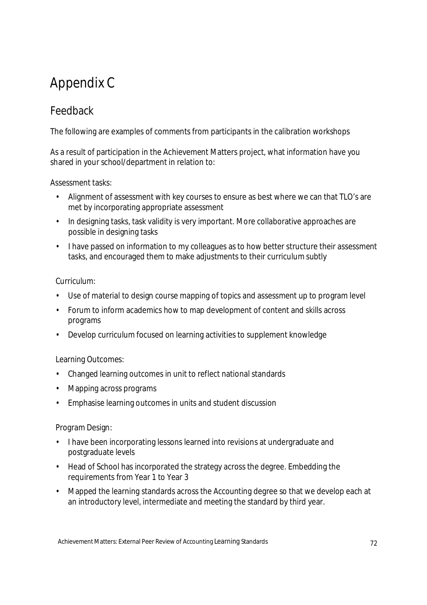# Appendix C

## Feedback

The following are examples of comments from participants in the calibration workshops

As a result of participation in the Achievement Matters project, what information have you shared in your school/department in relation to:

Assessment tasks:

- Alignment of assessment with key courses to ensure as best where we can that TLO's are met by incorporating appropriate assessment
- In designing tasks, task validity is very important. More collaborative approaches are possible in designing tasks
- I have passed on information to my colleagues as to how better structure their assessment tasks, and encouraged them to make adjustments to their curriculum subtly

### Curriculum:

- Use of material to design course mapping of topics and assessment up to program level
- Forum to inform academics how to map development of content and skills across programs
- Develop curriculum focused on learning activities to supplement knowledge

### Learning Outcomes:

- Changed learning outcomes in unit to reflect national standards
- Mapping across programs
- Emphasise learning outcomes in units and student discussion

### Program Design:

- I have been incorporating lessons learned into revisions at undergraduate and postgraduate levels
- Head of School has incorporated the strategy across the degree. Embedding the requirements from Year 1 to Year 3
- Mapped the learning standards across the Accounting degree so that we develop each at an introductory level, intermediate and meeting the standard by third year.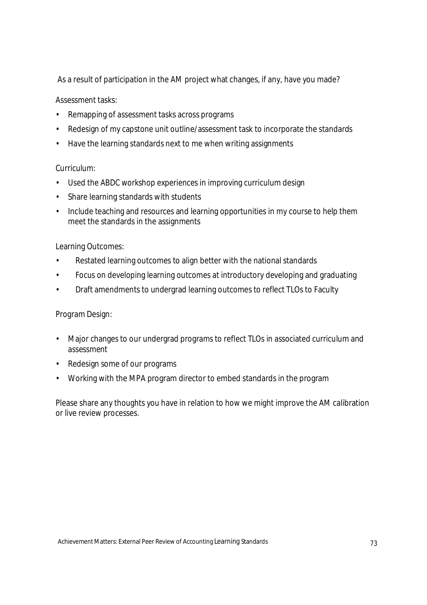As a result of participation in the AM project what changes, if any, have you made?

Assessment tasks:

- Remapping of assessment tasks across programs
- Redesign of my capstone unit outline/assessment task to incorporate the standards
- Have the learning standards next to me when writing assignments

#### Curriculum:

- Used the ABDC workshop experiences in improving curriculum design
- Share learning standards with students
- Include teaching and resources and learning opportunities in my course to help them meet the standards in the assignments

#### Learning Outcomes:

- Restated learning outcomes to align better with the national standards
- Focus on developing learning outcomes at introductory developing and graduating
- Draft amendments to undergrad learning outcomes to reflect TLOs to Faculty

#### Program Design:

- Major changes to our undergrad programs to reflect TLOs in associated curriculum and assessment
- Redesign some of our programs
- Working with the MPA program director to embed standards in the program

Please share any thoughts you have in relation to how we might improve the AM calibration or live review processes.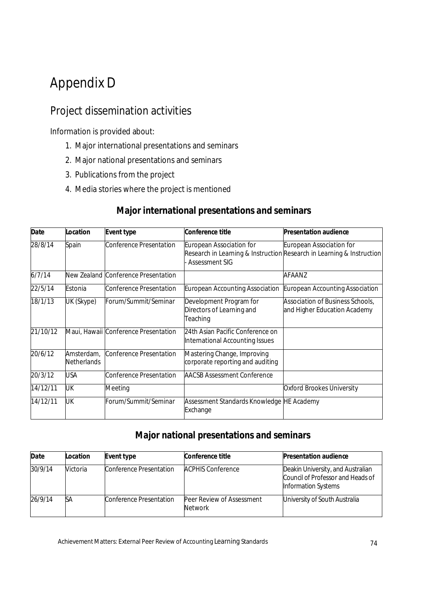# Appendix D

## Project dissemination activities

Information is provided about:

- 1. Major international presentations and seminars
- 2. Major national presentations and seminars
- 3. Publications from the project
- 4. Media stories where the project is mentioned

# **Major international presentations and seminars**

| <b>Date</b> | Location                  | <b>Event type</b>                    | <b>Conference title</b>                                             | <b>Presentation audience</b>                                                                      |
|-------------|---------------------------|--------------------------------------|---------------------------------------------------------------------|---------------------------------------------------------------------------------------------------|
| 28/8/14     | Spain                     | Conference Presentation              | European Association for<br><b>Assessment SIG</b>                   | European Association for<br>Research in Learning & Instruction Research in Learning & Instruction |
| 6/7/14      |                           | New Zealand Conference Presentation  |                                                                     | AFAANZ                                                                                            |
| 22/5/14     | Estonia                   | Conference Presentation              | <b>European Accounting Association</b>                              | <b>European Accounting Association</b>                                                            |
| 18/1/13     | UK (Skype)                | Forum/Summit/Seminar                 | Development Program for<br>Directors of Learning and<br>Teaching    | Association of Business Schools,<br>and Higher Education Academy                                  |
| 21/10/12    |                           | Maui, Hawaii Conference Presentation | 24th Asian Pacific Conference on<br>International Accounting Issues |                                                                                                   |
| 20/6/12     | Amsterdam,<br>Netherlands | Conference Presentation              | Mastering Change, Improving<br>corporate reporting and auditing     |                                                                                                   |
| 20/3/12     | <b>USA</b>                | <b>Conference Presentation</b>       | <b>AACSB Assessment Conference</b>                                  |                                                                                                   |
| 14/12/11    | UK                        | Meeting                              |                                                                     | Oxford Brookes University                                                                         |
| 14/12/11    | UK                        | Forum/Summit/Seminar                 | Assessment Standards Knowledge HE Academy<br>Exchange               |                                                                                                   |

### **Major national presentations and seminars**

| <b>Date</b> | Location | <b>Event type</b>       | Conference title                            | <b>Presentation audience</b>                                                                  |
|-------------|----------|-------------------------|---------------------------------------------|-----------------------------------------------------------------------------------------------|
| 30/9/14     | Victoria | Conference Presentation | <b>ACPHIS Conference</b>                    | Deakin University, and Australian<br>Council of Professor and Heads of<br>Information Systems |
| 26/9/14     | SА       | Conference Presentation | Peer Review of Assessment<br><b>Network</b> | University of South Australia                                                                 |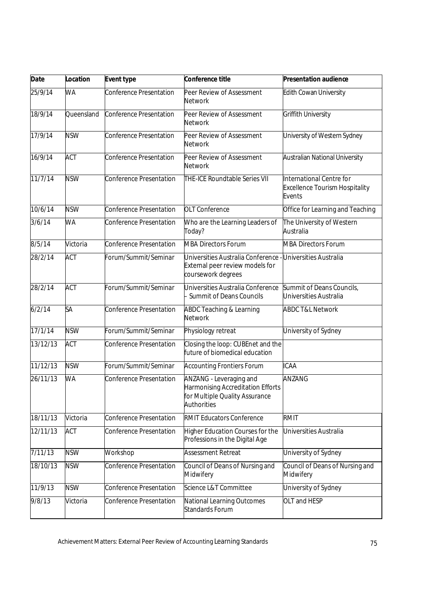| <b>Date</b> | Location   | <b>Event type</b>              | Conference title                                                                                              | <b>Presentation audience</b>                                                |
|-------------|------------|--------------------------------|---------------------------------------------------------------------------------------------------------------|-----------------------------------------------------------------------------|
| 25/9/14     | WA         | Conference Presentation        | Peer Review of Assessment<br><b>Network</b>                                                                   | Edith Cowan University                                                      |
| 18/9/14     | Queensland | <b>Conference Presentation</b> | Peer Review of Assessment<br><b>Network</b>                                                                   | Griffith University                                                         |
| 17/9/14     | <b>NSW</b> | Conference Presentation        | Peer Review of Assessment<br><b>Network</b>                                                                   | University of Western Sydney                                                |
| 16/9/14     | <b>ACT</b> | Conference Presentation        | Peer Review of Assessment<br><b>Network</b>                                                                   | <b>Australian National University</b>                                       |
| 11/7/14     | <b>NSW</b> | Conference Presentation        | THE-ICE Roundtable Series VII                                                                                 | International Centre for<br><b>Excellence Tourism Hospitality</b><br>Events |
| 10/6/14     | <b>NSW</b> | Conference Presentation        | <b>OLT Conference</b>                                                                                         | Office for Learning and Teaching                                            |
| 3/6/14      | <b>WA</b>  | Conference Presentation        | Who are the Learning Leaders of<br>Today?                                                                     | The University of Western<br>Australia                                      |
| 8/5/14      | Victoria   | Conference Presentation        | <b>MBA Directors Forum</b>                                                                                    | <b>MBA Directors Forum</b>                                                  |
| 28/2/14     | <b>ACT</b> | Forum/Summit/Seminar           | Universities Australia Conference<br>External peer review models for<br>coursework degrees                    | Universities Australia                                                      |
| 28/2/14     | <b>ACT</b> | Forum/Summit/Seminar           | Universities Australia Conference<br>- Summit of Deans Councils                                               | Summit of Deans Councils,<br>Universities Australia                         |
| 6/2/14      | SA         | Conference Presentation        | <b>ABDC Teaching &amp; Learning</b><br><b>Network</b>                                                         | <b>ABDC T&amp;L Network</b>                                                 |
| 17/1/14     | <b>NSW</b> | Forum/Summit/Seminar           | Physiology retreat                                                                                            | University of Sydney                                                        |
| 13/12/13    | <b>ACT</b> | Conference Presentation        | Closing the loop: CUBEnet and the<br>future of biomedical education                                           |                                                                             |
| 11/12/13    | <b>NSW</b> | Forum/Summit/Seminar           | <b>Accounting Frontiers Forum</b>                                                                             | <b>ICAA</b>                                                                 |
| 26/11/13    | <b>WA</b>  | <b>Conference Presentation</b> | ANZANG - Leveraging and<br>Harmonising Accreditation Efforts<br>for Multiple Quality Assurance<br>Authorities | ANZANG                                                                      |
| 18/11/13    | Victoria   | <b>Conference Presentation</b> | <b>RMIT Educators Conference</b>                                                                              | <b>RMIT</b>                                                                 |
| 12/11/13    | <b>ACT</b> | <b>Conference Presentation</b> | Higher Education Courses for the<br>Professions in the Digital Age                                            | Universities Australia                                                      |
| 7/11/13     | <b>NSW</b> | Workshop                       | <b>Assessment Retreat</b>                                                                                     | University of Sydney                                                        |
| 18/10/13    | <b>NSW</b> | <b>Conference Presentation</b> | Council of Deans of Nursing and<br>Midwifery                                                                  | Council of Deans of Nursing and<br>Midwifery                                |
| 11/9/13     | <b>NSW</b> | Conference Presentation        | Science L&T Committee                                                                                         | University of Sydney                                                        |
| 9/8/13      | Victoria   | Conference Presentation        | National Learning Outcomes<br>Standards Forum                                                                 | OLT and HESP                                                                |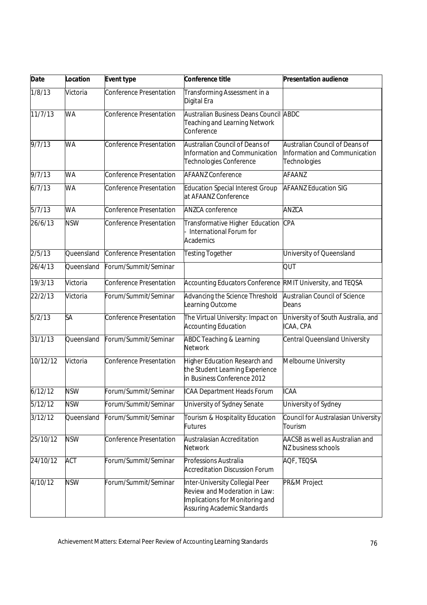| <b>Date</b> | <b>Location</b> | <b>Event type</b>              | Conference title                                                                                                                   | <b>Presentation audience</b>                                                    |
|-------------|-----------------|--------------------------------|------------------------------------------------------------------------------------------------------------------------------------|---------------------------------------------------------------------------------|
| 1/8/13      | Victoria        | <b>Conference Presentation</b> | Transforming Assessment in a<br>Digital Era                                                                                        |                                                                                 |
| 11/7/13     | <b>WA</b>       | <b>Conference Presentation</b> | Australian Business Deans Council ABDC<br><b>Teaching and Learning Network</b><br>Conference                                       |                                                                                 |
| 9/7/13      | <b>WA</b>       | <b>Conference Presentation</b> | Australian Council of Deans of<br>Information and Communication<br>Technologies Conference                                         | Australian Council of Deans of<br>Information and Communication<br>Technologies |
| 9/7/13      | <b>WA</b>       | <b>Conference Presentation</b> | <b>AFAANZ Conference</b>                                                                                                           | AFAANZ                                                                          |
| 6/7/13      | <b>WA</b>       | <b>Conference Presentation</b> | <b>Education Special Interest Group</b><br>at AFAANZ Conference                                                                    | <b>AFAANZ Education SIG</b>                                                     |
| 5/7/13      | <b>WA</b>       | <b>Conference Presentation</b> | <b>ANZCA conference</b>                                                                                                            | ANZCA                                                                           |
| 26/6/13     | <b>NSW</b>      | <b>Conference Presentation</b> | Transformative Higher Education<br>International Forum for<br>Academics                                                            | <b>CPA</b>                                                                      |
| 2/5/13      | Queensland      | <b>Conference Presentation</b> | <b>Testing Together</b>                                                                                                            | University of Queensland                                                        |
| 26/4/13     | Queensland      | Forum/Summit/Seminar           |                                                                                                                                    | QUT                                                                             |
| 19/3/13     | Victoria        | <b>Conference Presentation</b> | <b>Accounting Educators Conference</b>                                                                                             | RMIT University, and TEQSA                                                      |
| 22/2/13     | Victoria        | Forum/Summit/Seminar           | Advancing the Science Threshold<br>Learning Outcome                                                                                | <b>Australian Council of Science</b><br>Deans                                   |
| 5/2/13      | SA              | <b>Conference Presentation</b> | The Virtual University: Impact on<br><b>Accounting Education</b>                                                                   | University of South Australia, and<br>ICAA, CPA                                 |
| 31/1/13     | Queensland      | Forum/Summit/Seminar           | <b>ABDC Teaching &amp; Learning</b><br><b>Network</b>                                                                              | <b>Central Queensland University</b>                                            |
| 10/12/12    | Victoria        | <b>Conference Presentation</b> | Higher Education Research and<br>the Student Learning Experience<br>in Business Conference 2012                                    | Melbourne University                                                            |
| 6/12/12     | <b>NSW</b>      | Forum/Summit/Seminar           | ICAA Department Heads Forum                                                                                                        | <b>ICAA</b>                                                                     |
| 5/12/12     | <b>NSW</b>      | Forum/Summit/Seminar           | University of Sydney Senate                                                                                                        | University of Sydney                                                            |
| 3/12/12     | Queensland      | Forum/Summit/Seminar           | Tourism & Hospitality Education<br>Futures                                                                                         | Council for Australasian University<br>Tourism                                  |
| 25/10/12    | <b>NSW</b>      | <b>Conference Presentation</b> | Australasian Accreditation<br><b>Network</b>                                                                                       | AACSB as well as Australian and<br>NZ business schools                          |
| 24/10/12    | <b>ACT</b>      | Forum/Summit/Seminar           | Professions Australia<br><b>Accreditation Discussion Forum</b>                                                                     | AQF, TEQSA                                                                      |
| 4/10/12     | <b>NSW</b>      | Forum/Summit/Seminar           | Inter-University Collegial Peer<br>Review and Moderation in Law:<br>Implications for Monitoring and<br>Assuring Academic Standards | PR&M Project                                                                    |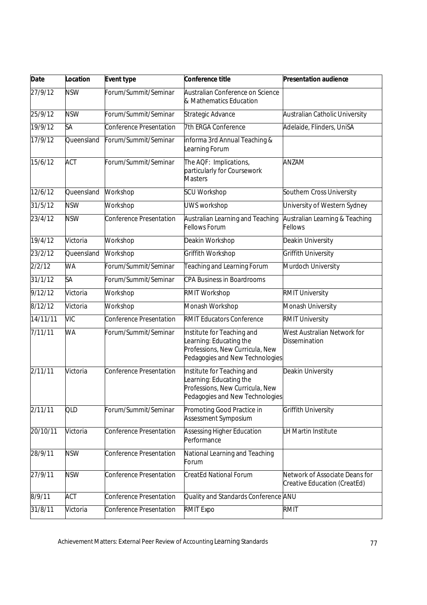| <b>Date</b> | Location   | <b>Event type</b>              | Conference title                                                                                                            | <b>Presentation audience</b>                                   |
|-------------|------------|--------------------------------|-----------------------------------------------------------------------------------------------------------------------------|----------------------------------------------------------------|
| 27/9/12     | <b>NSW</b> | Forum/Summit/Seminar           | Australian Conference on Science<br>& Mathematics Education                                                                 |                                                                |
| 25/9/12     | <b>NSW</b> | Forum/Summit/Seminar           | Strategic Advance                                                                                                           | <b>Australian Catholic University</b>                          |
| 19/9/12     | SA         | <b>Conference Presentation</b> | 7th ERGA Conference                                                                                                         | Adelaide, Flinders, UniSA                                      |
| 17/9/12     | Queensland | Forum/Summit/Seminar           | informa 3rd Annual Teaching &<br>Learning Forum                                                                             |                                                                |
| 15/6/12     | <b>ACT</b> | Forum/Summit/Seminar           | The AQF: Implications,<br>particularly for Coursework<br><b>Masters</b>                                                     | ANZAM                                                          |
| 12/6/12     | Queensland | Workshop                       | <b>SCU Workshop</b>                                                                                                         | Southern Cross University                                      |
| 31/5/12     | <b>NSW</b> | Workshop                       | <b>UWS workshop</b>                                                                                                         | University of Western Sydney                                   |
| 23/4/12     | <b>NSW</b> | <b>Conference Presentation</b> | Australian Learning and Teaching<br><b>Fellows Forum</b>                                                                    | Australian Learning & Teaching<br><b>Fellows</b>               |
| 19/4/12     | Victoria   | Workshop                       | Deakin Workshop                                                                                                             | Deakin University                                              |
| 23/2/12     | Queensland | Workshop                       | Griffith Workshop                                                                                                           | Griffith University                                            |
| 2/2/12      | <b>WA</b>  | Forum/Summit/Seminar           | <b>Teaching and Learning Forum</b>                                                                                          | Murdoch University                                             |
| 31/1/12     | SA         | Forum/Summit/Seminar           | <b>CPA Business in Boardrooms</b>                                                                                           |                                                                |
| 9/12/12     | Victoria   | Workshop                       | <b>RMIT Workshop</b>                                                                                                        | <b>RMIT University</b>                                         |
| 8/12/12     | Victoria   | Workshop                       | Monash Workshop                                                                                                             | Monash University                                              |
| 14/11/11    | <b>VIC</b> | <b>Conference Presentation</b> | <b>RMIT Educators Conference</b>                                                                                            | <b>RMIT University</b>                                         |
| 7/11/11     | <b>WA</b>  | Forum/Summit/Seminar           | Institute for Teaching and<br>Learning: Educating the<br>Professions, New Curricula, New<br>Pedagogies and New Technologies | West Australian Network for<br><b>Dissemination</b>            |
| 2/11/11     | Victoria   | <b>Conference Presentation</b> | Institute for Teaching and<br>Learning: Educating the<br>Professions, New Curricula, New<br>Pedagogies and New Technologies | Deakin University                                              |
| 2/11/11     | QLD        | Forum/Summit/Seminar           | Promoting Good Practice in<br>Assessment Symposium                                                                          | <b>Griffith University</b>                                     |
| 20/10/11    | Victoria   | <b>Conference Presentation</b> | <b>Assessing Higher Education</b><br>Performance                                                                            | LH Martin Institute                                            |
| 28/9/11     | <b>NSW</b> | Conference Presentation        | National Learning and Teaching<br>Forum                                                                                     |                                                                |
| 27/9/11     | <b>NSW</b> | <b>Conference Presentation</b> | <b>CreatEd National Forum</b>                                                                                               | Network of Associate Deans for<br>Creative Education (CreatEd) |
| 8/9/11      | <b>ACT</b> | Conference Presentation        | Quality and Standards Conference ANU                                                                                        |                                                                |
| 31/8/11     | Victoria   | Conference Presentation        | <b>RMIT Expo</b>                                                                                                            | <b>RMIT</b>                                                    |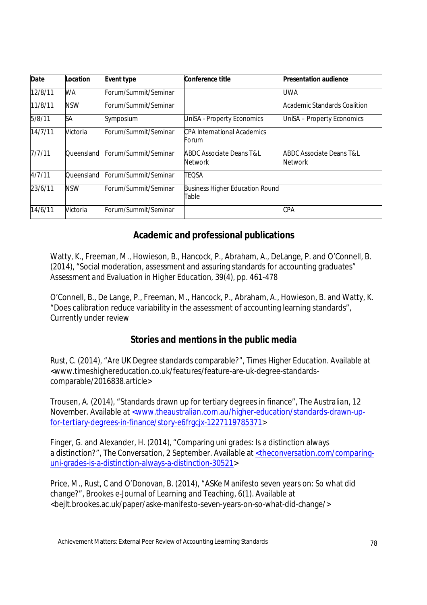| <b>Date</b> | Location   | <b>Event type</b>    | <b>Conference title</b>                               | <b>Presentation audience</b>                          |
|-------------|------------|----------------------|-------------------------------------------------------|-------------------------------------------------------|
| 12/8/11     | WA         | Forum/Summit/Seminar |                                                       | UWA                                                   |
| 11/8/11     | <b>NSW</b> | Forum/Summit/Seminar |                                                       | Academic Standards Coalition                          |
| 5/8/11      | SА         | Symposium            | UniSA - Property Economics                            | UniSA - Property Economics                            |
| 14/7/11     | Victoria   | Forum/Summit/Seminar | <b>CPA International Academics</b><br>Forum           |                                                       |
| 7/7/11      | Oueensland | Forum/Summit/Seminar | <b>ABDC Associate Deans T&amp;L</b><br><b>Network</b> | <b>ABDC Associate Deans T&amp;L</b><br><b>Network</b> |
| 4/7/11      | Oueensland | Forum/Summit/Seminar | <b>TEQSA</b>                                          |                                                       |
| 23/6/11     | <b>NSW</b> | Forum/Summit/Seminar | <b>Business Higher Education Round</b><br>Table       |                                                       |
| 14/6/11     | Victoria   | Forum/Summit/Seminar |                                                       | <b>CPA</b>                                            |

### **Academic and professional publications**

Watty, K., Freeman, M., Howieson, B., Hancock, P., Abraham, A., DeLange, P. and O'Connell, B. (2014), "Social moderation, assessment and assuring standards for accounting graduates" *Assessment and Evaluation in Higher Education,* 39(4), pp. 461-478

O'Connell, B., De Lange, P., Freeman, M., Hancock, P., Abraham, A., Howieson, B. and Watty, K. "Does calibration reduce variability in the assessment of accounting learning standards", Currently under review

### **Stories and mentions in the public media**

Rust, C. (2014), "Are UK Degree standards comparable?", *Times Higher Education.* Available at <www.timeshighereducation.co.uk/features/feature-are-uk-degree-standardscomparable/2016838.article>

Trousen, A. (2014), "Standards drawn up for tertiary degrees in finance", *The Australian*, 12 November. Available at <www.theaustralian.com.au/higher-education/standards-drawn-upfor-tertiary-degrees-in-finance/story-e6frgcjx-1227119785371>

Finger, G. and Alexander, H. (2014), "Comparing uni grades: Is a distinction always a distinction?", *The Conversation*, 2 September. Available at <theconversation.com/comparinguni-grades-is-a-distinction-always-a-distinction-30521>

Price, M., Rust, C and O'Donovan, B. (2014), "ASKe Manifesto seven years on: So what did change?", *Brookes e-Journal of Learning and Teaching*, 6(1). Available at <bejlt.brookes.ac.uk/paper/aske-manifesto-seven-years-on-so-what-did-change/>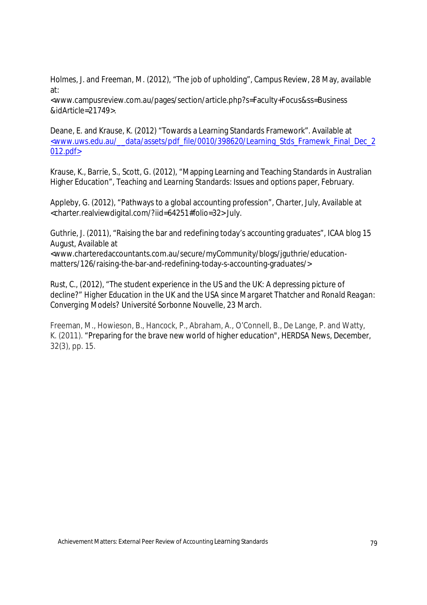Holmes, J. and Freeman, M. (2012), "The job of upholding", *Campus Review,* 28 May, available at:

<www.campusreview.com.au/pages/section/article.php?s=Faculty+Focus&ss=Business &idArticle=21749>.

Deane, E. and Krause, K. (2012) "Towards a Learning Standards Framework". Available at <www.uws.edu.au/\_\_data/assets/pdf\_file/0010/398620/Learning\_Stds\_Framewk\_Final\_Dec\_2  $012.pdf$ 

Krause, K., Barrie, S., Scott, G. (2012), "Mapping Learning and Teaching Standards in Australian Higher Education", *Teaching and Learning Standards: Issues and options paper*, February.

Appleby, G. (2012), "Pathways to a global accounting profession", *Charter*, July, Available at <charter.realviewdigital.com/?iid=64251#folio=32> July.

Guthrie, J. (2011), "Raising the bar and redefining today's accounting graduates", ICAA blog 15 August, Available at

<www.charteredaccountants.com.au/secure/myCommunity/blogs/jguthrie/educationmatters/126/raising-the-bar-and-redefining-today-s-accounting-graduates/>

Rust, C., (2012), "The student experience in the US and the UK: A depressing picture of decline?" *Higher Education in the UK and the USA since Margaret Thatcher and Ronald Reagan: Converging Models?* Université Sorbonne Nouvelle, 23 March.

Freeman, M., Howieson, B., Hancock, P., Abraham, A., O'Connell, B., De Lange, P. and Watty, K. (2011). "Preparing for the brave new world of higher education", *HERDSA News*, December, 32(3), pp. 15.